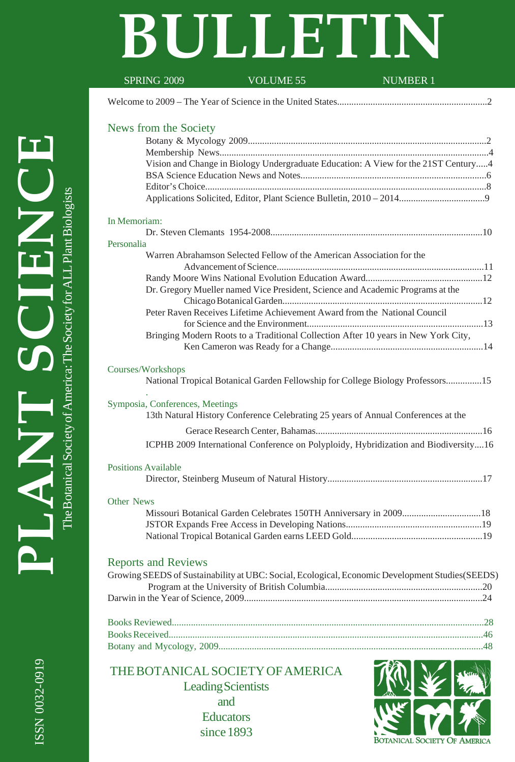# **BULLETIN**

| <b>SPRING 2009</b>              | VOLUME 55                                                                                       | <b>NUMBER 1</b> |
|---------------------------------|-------------------------------------------------------------------------------------------------|-----------------|
|                                 |                                                                                                 |                 |
| News from the Society           |                                                                                                 |                 |
|                                 |                                                                                                 |                 |
|                                 |                                                                                                 |                 |
|                                 | Vision and Change in Biology Undergraduate Education: A View for the 21ST Century4              |                 |
|                                 |                                                                                                 |                 |
|                                 |                                                                                                 |                 |
|                                 |                                                                                                 |                 |
| In Memoriam:                    |                                                                                                 |                 |
| Personalia                      |                                                                                                 |                 |
|                                 | Warren Abrahamson Selected Fellow of the American Association for the                           |                 |
|                                 |                                                                                                 |                 |
|                                 |                                                                                                 |                 |
|                                 | Dr. Gregory Mueller named Vice President, Science and Academic Programs at the                  |                 |
|                                 |                                                                                                 |                 |
|                                 | Peter Raven Receives Lifetime Achievement Award from the National Council                       |                 |
|                                 | Bringing Modern Roots to a Traditional Collection After 10 years in New York City,              |                 |
|                                 |                                                                                                 |                 |
|                                 |                                                                                                 |                 |
| Courses/Workshops               |                                                                                                 |                 |
|                                 | National Tropical Botanical Garden Fellowship for College Biology Professors15                  |                 |
| Symposia, Conferences, Meetings |                                                                                                 |                 |
|                                 | 13th Natural History Conference Celebrating 25 years of Annual Conferences at the               |                 |
|                                 |                                                                                                 |                 |
|                                 | ICPHB 2009 International Conference on Polyploidy, Hybridization and Biodiversity16             |                 |
|                                 |                                                                                                 |                 |
| <b>Positions Available</b>      |                                                                                                 |                 |
|                                 |                                                                                                 |                 |
| Other News                      |                                                                                                 |                 |
|                                 | Missouri Botanical Garden Celebrates 150TH Anniversary in 200918                                |                 |
|                                 |                                                                                                 |                 |
|                                 |                                                                                                 |                 |
|                                 |                                                                                                 |                 |
| <b>Reports and Reviews</b>      |                                                                                                 |                 |
|                                 | Growing SEEDS of Sustainability at UBC: Social, Ecological, Economic Development Studies(SEEDS) |                 |
|                                 |                                                                                                 |                 |
|                                 |                                                                                                 |                 |
|                                 |                                                                                                 |                 |
|                                 |                                                                                                 |                 |
|                                 |                                                                                                 |                 |
|                                 |                                                                                                 |                 |
|                                 | THE BOTANICAL SOCIETY OF AMERICA                                                                |                 |
|                                 |                                                                                                 |                 |
|                                 | <b>Leading Scientists</b>                                                                       |                 |
|                                 | and                                                                                             |                 |
|                                 | <b>Educators</b>                                                                                |                 |

since 1893

**BOTANICAL SOCIETY OF AMERICA**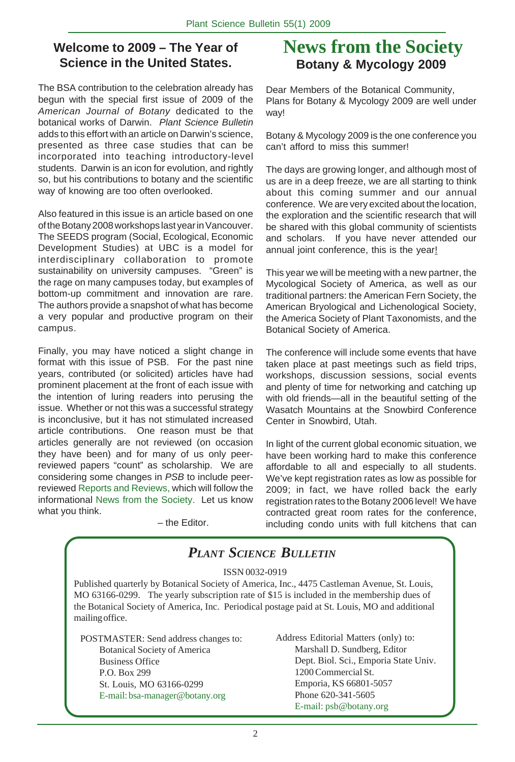## **Welcome to 2009 – The Year of Science in the United States.**

The BSA contribution to the celebration already has begun with the special first issue of 2009 of the *American Journal of Botany* dedicated to the botanical works of Darwin. *Plant Science Bulletin* adds to this effort with an article on Darwin's science, presented as three case studies that can be incorporated into teaching introductory-level students. Darwin is an icon for evolution, and rightly so, but his contributions to botany and the scientific way of knowing are too often overlooked.

Also featured in this issue is an article based on one of the Botany 2008 workshops last year in Vancouver. The SEEDS program (Social, Ecological, Economic Development Studies) at UBC is a model for interdisciplinary collaboration to promote sustainability on university campuses. "Green" is the rage on many campuses today, but examples of bottom-up commitment and innovation are rare. The authors provide a snapshot of what has become a very popular and productive program on their campus.

Finally, you may have noticed a slight change in format with this issue of PSB. For the past nine years, contributed (or solicited) articles have had prominent placement at the front of each issue with the intention of luring readers into perusing the issue. Whether or not this was a successful strategy is inconclusive, but it has not stimulated increased article contributions. One reason must be that articles generally are not reviewed (on occasion they have been) and for many of us only peerreviewed papers "count" as scholarship. We are considering some changes in *PSB* to include peerreviewed Reports and Reviews, which will follow the informational News from the Society. Let us know what you think.

– the Editor.

# **News from the Society Botany & Mycology 2009**

Dear Members of the Botanical Community, Plans for Botany & Mycology 2009 are well under way!

Botany & Mycology 2009 is the one conference you can't afford to miss this summer!

The days are growing longer, and although most of us are in a deep freeze, we are all starting to think about this coming summer and our annual conference. We are very excited about the location, the exploration and the scientific research that will be shared with this global community of scientists and scholars. If you have never attended our annual joint conference, this is the year!

This year we will be meeting with a new partner, the Mycological Society of America, as well as our traditional partners: the American Fern Society, the American Bryological and Lichenological Society, the America Society of Plant Taxonomists, and the Botanical Society of America.

The conference will include some events that have taken place at past meetings such as field trips, workshops, discussion sessions, social events and plenty of time for networking and catching up with old friends—all in the beautiful setting of the Wasatch Mountains at the Snowbird Conference Center in Snowbird, Utah.

In light of the current global economic situation, we have been working hard to make this conference affordable to all and especially to all students. We've kept registration rates as low as possible for 2009; in fact, we have rolled back the early registration rates to the Botany 2006 level! We have contracted great room rates for the conference, including condo units with full kitchens that can

## *PLANT SCIENCE BULLETIN*

#### ISSN 0032-0919

Published quarterly by Botanical Society of America, Inc., 4475 Castleman Avenue, St. Louis, MO 63166-0299. The yearly subscription rate of \$15 is included in the membership dues of the Botanical Society of America, Inc. Periodical postage paid at St. Louis, MO and additional mailing office.

POSTMASTER: Send address changes to: Botanical Society of America Business Office P.O. Box 299 St. Louis, MO 63166-0299 E-mail: bsa-manager@botany.org

Address Editorial Matters (only) to: Marshall D. Sundberg, Editor Dept. Biol. Sci., Emporia State Univ. 1200 Commercial St. Emporia, KS 66801-5057 Phone 620-341-5605 E-mail: psb@botany.org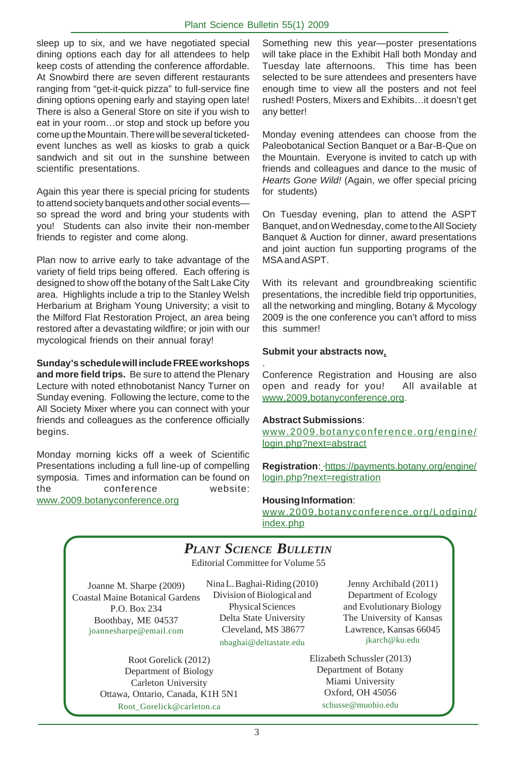sleep up to six, and we have negotiated special dining options each day for all attendees to help keep costs of attending the conference affordable. At Snowbird there are seven different restaurants ranging from "get-it-quick pizza" to full-service fine dining options opening early and staying open late! There is also a General Store on site if you wish to eat in your room…or stop and stock up before you come up the Mountain. There will be several ticketedevent lunches as well as kiosks to grab a quick sandwich and sit out in the sunshine between scientific presentations.

Again this year there is special pricing for students to attend society banquets and other social events so spread the word and bring your students with you! Students can also invite their non-member friends to register and come along.

Plan now to arrive early to take advantage of the variety of field trips being offered. Each offering is designed to show off the botany of the Salt Lake City area. Highlights include a trip to the Stanley Welsh Herbarium at Brigham Young University; a visit to the Milford Flat Restoration Project, an area being restored after a devastating wildfire; or join with our mycological friends on their annual foray!

**Sunday's schedule will include FREE workshops and more field trips.** Be sure to attend the Plenary Lecture with noted ethnobotanist Nancy Turner on Sunday evening. Following the lecture, come to the All Society Mixer where you can connect with your friends and colleagues as the conference officially begins.

Monday morning kicks off a week of Scientific Presentations including a full line-up of compelling symposia. Times and information can be found on the conference website: www.2009.botanyconference.org

Something new this year—poster presentations will take place in the Exhibit Hall both Monday and Tuesday late afternoons. This time has been selected to be sure attendees and presenters have enough time to view all the posters and not feel rushed! Posters, Mixers and Exhibits…it doesn't get any better!

Monday evening attendees can choose from the Paleobotanical Section Banquet or a Bar-B-Que on the Mountain. Everyone is invited to catch up with friends and colleagues and dance to the music of *Hearts Gone Wild!* (Again, we offer special pricing for students)

On Tuesday evening, plan to attend the ASPT Banquet, and on Wednesday, come to the All Society Banquet & Auction for dinner, award presentations and joint auction fun supporting programs of the MSA and ASPT.

With its relevant and groundbreaking scientific presentations, the incredible field trip opportunities, all the networking and mingling, Botany & Mycology 2009 is the one conference you can't afford to miss this summer!

#### **Submit your abstracts now.**

. Conference Registration and Housing are also open and ready for you! All available at www.2009.botanyconference.org.

#### **Abstract Submissions**:

www.2009.botanyconference.org/engine/ login.php?next=abstract

Registration: - https://payments.botany.org/engine/ login.php?next=registration

#### **Housing Information**:

www.2009.botanyconference.org/Lodging/ index.php

## *PLANT SCIENCE BULLETIN*

Editorial Committee for Volume 55

Joanne M. Sharpe (2009) Coastal Maine Botanical Gardens P.O. Box 234 Boothbay, ME 04537 joannesharpe@email.com

Nina L. Baghai-Riding (2010) Division of Biological and Physical Sciences Delta State University Cleveland, MS 38677 nbaghai@deltastate.edu

Root Gorelick (2012) Department of Biology Carleton University Ottawa, Ontario, Canada, K1H 5N1 Root\_Gorelick@carleton.ca

Jenny Archibald (2011) Department of Ecology and Evolutionary Biology The University of Kansas Lawrence, Kansas 66045 jkarch@ku.edu

Elizabeth Schussler (2013) Department of Botany Miami University Oxford, OH 45056 schusse@muohio.edu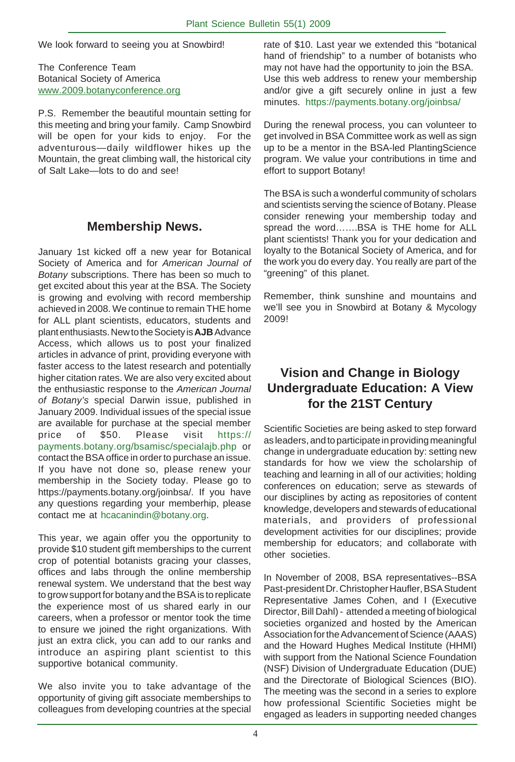We look forward to seeing you at Snowbird!

The Conference Team Botanical Society of America www.2009.botanyconference.org

P.S. Remember the beautiful mountain setting for this meeting and bring your family. Camp Snowbird will be open for your kids to enjoy. For the adventurous—daily wildflower hikes up the Mountain, the great climbing wall, the historical city of Salt Lake—lots to do and see!

## **Membership News.**

January 1st kicked off a new year for Botanical Society of America and for *American Journal of Botany* subscriptions. There has been so much to get excited about this year at the BSA. The Society is growing and evolving with record membership achieved in 2008. We continue to remain THE home for ALL plant scientists, educators, students and plant enthusiasts. New to the Society is **AJB** Advance Access, which allows us to post your finalized articles in advance of print, providing everyone with faster access to the latest research and potentially higher citation rates. We are also very excited about the enthusiastic response to the *American Journal of Botany's* special Darwin issue, published in January 2009. Individual issues of the special issue are available for purchase at the special member price of \$50. Please visit https:// payments.botany.org/bsamisc/specialajb.php or contact the BSA office in order to purchase an issue. If you have not done so, please renew your membership in the Society today. Please go to https://payments.botany.org/joinbsa/. If you have any questions regarding your memberhip, please contact me at hcacanindin@botany.org.

This year, we again offer you the opportunity to provide \$10 student gift memberships to the current crop of potential botanists gracing your classes, offices and labs through the online membership renewal system. We understand that the best way to grow support for botany and the BSA is to replicate the experience most of us shared early in our careers, when a professor or mentor took the time to ensure we joined the right organizations. With just an extra click, you can add to our ranks and introduce an aspiring plant scientist to this supportive botanical community.

We also invite you to take advantage of the opportunity of giving gift associate memberships to colleagues from developing countries at the special rate of \$10. Last year we extended this "botanical hand of friendship" to a number of botanists who may not have had the opportunity to join the BSA. Use this web address to renew your membership and/or give a gift securely online in just a few minutes. https://payments.botany.org/joinbsa/

During the renewal process, you can volunteer to get involved in BSA Committee work as well as sign up to be a mentor in the BSA-led PlantingScience program. We value your contributions in time and effort to support Botany!

The BSA is such a wonderful community of scholars and scientists serving the science of Botany. Please consider renewing your membership today and spread the word…….BSA is THE home for ALL plant scientists! Thank you for your dedication and loyalty to the Botanical Society of America, and for the work you do every day. You really are part of the "greening" of this planet.

Remember, think sunshine and mountains and we'll see you in Snowbird at Botany & Mycology 2009!

## **Vision and Change in Biology Undergraduate Education: A View for the 21ST Century**

Scientific Societies are being asked to step forward as leaders, and to participate in providing meaningful change in undergraduate education by: setting new standards for how we view the scholarship of teaching and learning in all of our activities; holding conferences on education; serve as stewards of our disciplines by acting as repositories of content knowledge, developers and stewards of educational materials, and providers of professional development activities for our disciplines; provide membership for educators; and collaborate with other societies.

In November of 2008, BSA representatives--BSA Past-president Dr. Christopher Haufler, BSA Student Representative James Cohen, and I (Executive Director, Bill Dahl) - attended a meeting of biological societies organized and hosted by the American Association for the Advancement of Science (AAAS) and the Howard Hughes Medical Institute (HHMI) with support from the National Science Foundation (NSF) Division of Undergraduate Education (DUE) and the Directorate of Biological Sciences (BIO). The meeting was the second in a series to explore how professional Scientific Societies might be engaged as leaders in supporting needed changes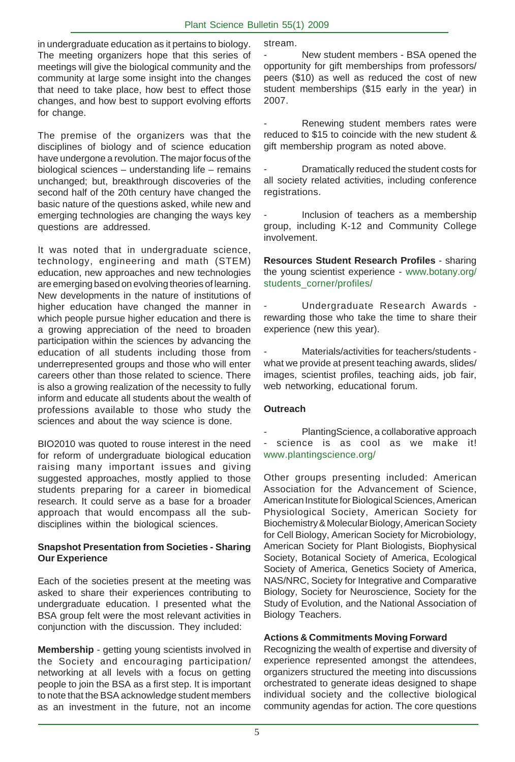in undergraduate education as it pertains to biology. The meeting organizers hope that this series of meetings will give the biological community and the community at large some insight into the changes that need to take place, how best to effect those changes, and how best to support evolving efforts for change.

The premise of the organizers was that the disciplines of biology and of science education have undergone a revolution. The major focus of the biological sciences – understanding life – remains unchanged; but, breakthrough discoveries of the second half of the 20th century have changed the basic nature of the questions asked, while new and emerging technologies are changing the ways key questions are addressed.

It was noted that in undergraduate science, technology, engineering and math (STEM) education, new approaches and new technologies are emerging based on evolving theories of learning. New developments in the nature of institutions of higher education have changed the manner in which people pursue higher education and there is a growing appreciation of the need to broaden participation within the sciences by advancing the education of all students including those from underrepresented groups and those who will enter careers other than those related to science. There is also a growing realization of the necessity to fully inform and educate all students about the wealth of professions available to those who study the sciences and about the way science is done.

BIO2010 was quoted to rouse interest in the need for reform of undergraduate biological education raising many important issues and giving suggested approaches, mostly applied to those students preparing for a career in biomedical research. It could serve as a base for a broader approach that would encompass all the subdisciplines within the biological sciences.

#### **Snapshot Presentation from Societies - Sharing Our Experience**

Each of the societies present at the meeting was asked to share their experiences contributing to undergraduate education. I presented what the BSA group felt were the most relevant activities in conjunction with the discussion. They included:

**Membership** - getting young scientists involved in the Society and encouraging participation/ networking at all levels with a focus on getting people to join the BSA as a first step. It is important to note that the BSA acknowledge student members as an investment in the future, not an income

stream.

New student members - BSA opened the opportunity for gift memberships from professors/ peers (\$10) as well as reduced the cost of new student memberships (\$15 early in the year) in 2007.

Renewing student members rates were reduced to \$15 to coincide with the new student & gift membership program as noted above.

Dramatically reduced the student costs for all society related activities, including conference registrations.

Inclusion of teachers as a membership group, including K-12 and Community College involvement.

**Resources Student Research Profiles** - sharing the young scientist experience - www.botany.org/ students\_corner/profiles/

- Undergraduate Research Awards rewarding those who take the time to share their experience (new this year).

- Materials/activities for teachers/students what we provide at present teaching awards, slides/ images, scientist profiles, teaching aids, job fair, web networking, educational forum.

#### **Outreach**

PlantingScience, a collaborative approach - science is as cool as we make it! www.plantingscience.org/

Other groups presenting included: American Association for the Advancement of Science, American Institute for Biological Sciences, American Physiological Society, American Society for Biochemistry & Molecular Biology, American Society for Cell Biology, American Society for Microbiology, American Society for Plant Biologists, Biophysical Society, Botanical Society of America, Ecological Society of America, Genetics Society of America, NAS/NRC, Society for Integrative and Comparative Biology, Society for Neuroscience, Society for the Study of Evolution, and the National Association of Biology Teachers.

#### **Actions & Commitments Moving Forward**

Recognizing the wealth of expertise and diversity of experience represented amongst the attendees, organizers structured the meeting into discussions orchestrated to generate ideas designed to shape individual society and the collective biological community agendas for action. The core questions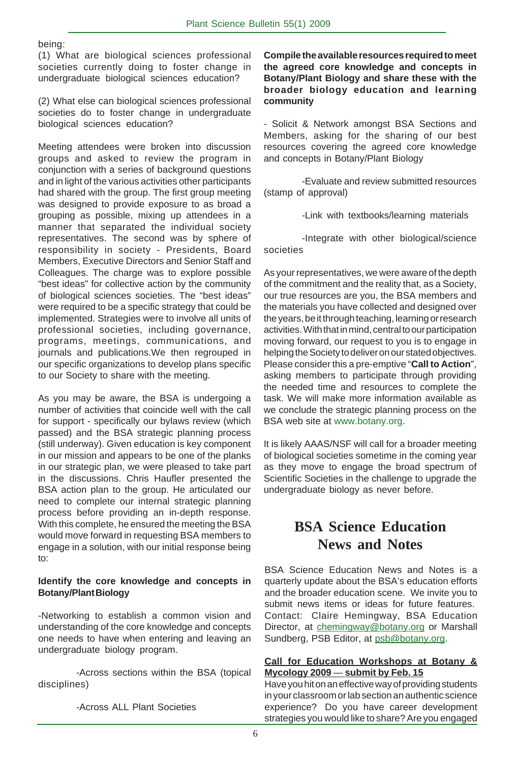being:

(1) What are biological sciences professional societies currently doing to foster change in undergraduate biological sciences education?

(2) What else can biological sciences professional societies do to foster change in undergraduate biological sciences education?

Meeting attendees were broken into discussion groups and asked to review the program in conjunction with a series of background questions and in light of the various activities other participants had shared with the group. The first group meeting was designed to provide exposure to as broad a grouping as possible, mixing up attendees in a manner that separated the individual society representatives. The second was by sphere of responsibility in society - Presidents, Board Members, Executive Directors and Senior Staff and Colleagues. The charge was to explore possible "best ideas" for collective action by the community of biological sciences societies. The "best ideas" were required to be a specific strategy that could be implemented. Strategies were to involve all units of professional societies, including governance, programs, meetings, communications, and journals and publications.We then regrouped in our specific organizations to develop plans specific to our Society to share with the meeting.

As you may be aware, the BSA is undergoing a number of activities that coincide well with the call for support - specifically our bylaws review (which passed) and the BSA strategic planning process (still underway). Given education is key component in our mission and appears to be one of the planks in our strategic plan, we were pleased to take part in the discussions. Chris Haufler presented the BSA action plan to the group. He articulated our need to complete our internal strategic planning process before providing an in-depth response. With this complete, he ensured the meeting the BSA would move forward in requesting BSA members to engage in a solution, with our initial response being to:

#### **Identify the core knowledge and concepts in Botany/Plant Biology**

-Networking to establish a common vision and understanding of the core knowledge and concepts one needs to have when entering and leaving an undergraduate biology program.

-Across sections within the BSA (topical disciplines)

-Across ALL Plant Societies

#### **Compile the available resources required to meet the agreed core knowledge and concepts in Botany/Plant Biology and share these with the broader biology education and learning community**

- Solicit & Network amongst BSA Sections and Members, asking for the sharing of our best resources covering the agreed core knowledge and concepts in Botany/Plant Biology

-Evaluate and review submitted resources (stamp of approval)

-Link with textbooks/learning materials

-Integrate with other biological/science societies

As your representatives, we were aware of the depth of the commitment and the reality that, as a Society, our true resources are you, the BSA members and the materials you have collected and designed over the years, be it through teaching, learning or research activities. With that in mind, central to our participation moving forward, our request to you is to engage in helping the Society to deliver on our stated objectives. Please consider this a pre-emptive "**Call to Action**", asking members to participate through providing the needed time and resources to complete the task. We will make more information available as we conclude the strategic planning process on the BSA web site at www.botany.org.

It is likely AAAS/NSF will call for a broader meeting of biological societies sometime in the coming year as they move to engage the broad spectrum of Scientific Societies in the challenge to upgrade the undergraduate biology as never before.

# **BSA Science Education News and Notes**

BSA Science Education News and Notes is a quarterly update about the BSA's education efforts and the broader education scene. We invite you to submit news items or ideas for future features. Contact: Claire Hemingway, BSA Education Director, at chemingway@botany.org or Marshall Sundberg, PSB Editor, at psb@botany.org.

#### **Call for Education Workshops at Botany & Mycology 2009** — **submit by Feb. 15**

Have you hit on an effective way of providing students in your classroom or lab section an authentic science experience? Do you have career development strategies you would like to share? Are you engaged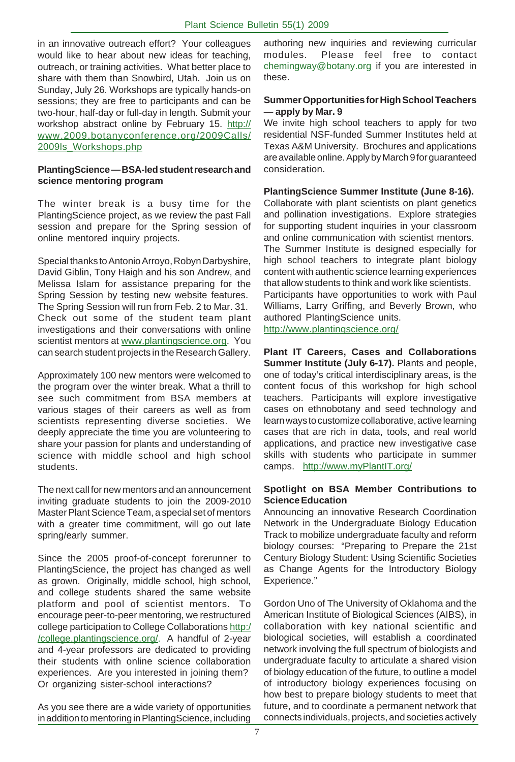in an innovative outreach effort? Your colleagues would like to hear about new ideas for teaching, outreach, or training activities. What better place to share with them than Snowbird, Utah. Join us on Sunday, July 26. Workshops are typically hands-on sessions; they are free to participants and can be two-hour, half-day or full-day in length. Submit your workshop abstract online by February 15. http:// www.2009.botanyconference.org/2009Calls/ 2009ls\_Workshops.php

#### **PlantingScience** *—* **BSA-led student research and science mentoring program**

The winter break is a busy time for the PlantingScience project, as we review the past Fall session and prepare for the Spring session of online mentored inquiry projects.

Special thanks to Antonio Arroyo, Robyn Darbyshire, David Giblin, Tony Haigh and his son Andrew, and Melissa Islam for assistance preparing for the Spring Session by testing new website features. The Spring Session will run from Feb. 2 to Mar. 31. Check out some of the student team plant investigations and their conversations with online scientist mentors at www.plantingscience.org. You can search student projects in the Research Gallery.

Approximately 100 new mentors were welcomed to the program over the winter break. What a thrill to see such commitment from BSA members at various stages of their careers as well as from scientists representing diverse societies. We deeply appreciate the time you are volunteering to share your passion for plants and understanding of science with middle school and high school students.

The next call for new mentors and an announcement inviting graduate students to join the 2009-2010 Master Plant Science Team, a special set of mentors with a greater time commitment, will go out late spring/early summer.

Since the 2005 proof-of-concept forerunner to PlantingScience, the project has changed as well as grown. Originally, middle school, high school, and college students shared the same website platform and pool of scientist mentors. To encourage peer-to-peer mentoring, we restructured college participation to College Collaborations http:/ /college.plantingscience.org/. A handful of 2-year and 4-year professors are dedicated to providing their students with online science collaboration experiences. Are you interested in joining them? Or organizing sister-school interactions?

As you see there are a wide variety of opportunities in addition to mentoring in PlantingScience, including authoring new inquiries and reviewing curricular modules. Please feel free to contact chemingway@botany.org if you are interested in these.

#### **Summer Opportunities for High School Teachers** *—* **apply by Mar. 9**

We invite high school teachers to apply for two residential NSF-funded Summer Institutes held at Texas A&M University. Brochures and applications are available online. Apply by March 9 for guaranteed consideration.

#### **PlantingScience Summer Institute (June 8-16).**

Collaborate with plant scientists on plant genetics and pollination investigations. Explore strategies for supporting student inquiries in your classroom and online communication with scientist mentors. The Summer Institute is designed especially for high school teachers to integrate plant biology content with authentic science learning experiences that allow students to think and work like scientists. Participants have opportunities to work with Paul Williams, Larry Griffing, and Beverly Brown, who authored PlantingScience units. http://www.plantingscience.org/

**Plant IT Careers, Cases and Collaborations Summer Institute (July 6-17).** Plants and people, one of today's critical interdisciplinary areas, is the content focus of this workshop for high school teachers. Participants will explore investigative cases on ethnobotany and seed technology and learn ways to customize collaborative, active learning cases that are rich in data, tools, and real world applications, and practice new investigative case skills with students who participate in summer camps.http://www.myPlantIT.org/

#### **Spotlight on BSA Member Contributions to Science Education**

. biology courses: "Preparing to Prepare the 21st Announcing an innovative Research Coordination Network in the Undergraduate Biology Education Track to mobilize undergraduate faculty and reform Century Biology Student: Using Scientific Societies as Change Agents for the Introductory Biology Experience."

Gordon Uno of The University of Oklahoma and the American Institute of Biological Sciences (AIBS), in collaboration with key national scientific and biological societies, will establish a coordinated network involving the full spectrum of biologists and undergraduate faculty to articulate a shared vision of biology education of the future, to outline a model of introductory biology experiences focusing on how best to prepare biology students to meet that future, and to coordinate a permanent network that connects individuals, projects, and societiesactively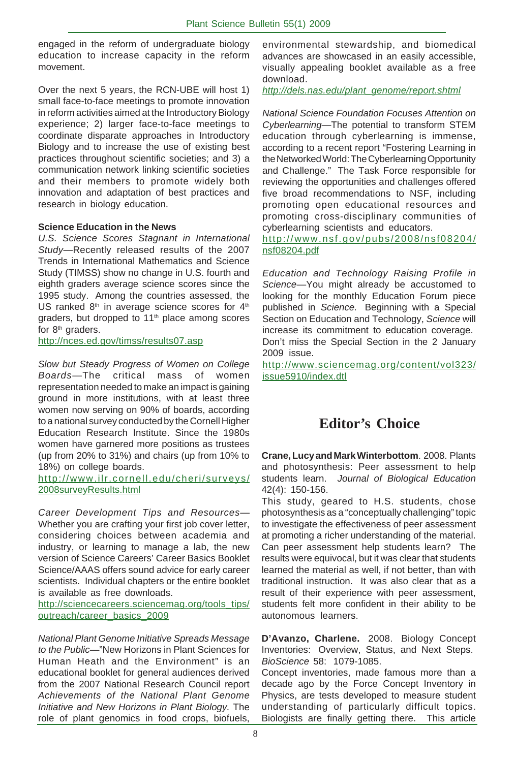engaged in the reform of undergraduate biology education to increase capacity in the reform movement.

Over the next 5 years, the RCN-UBE will host 1) small face-to-face meetings to promote innovation in reform activities aimed at the Introductory Biology experience; 2) larger face-to-face meetings to coordinate disparate approaches in Introductory Biology and to increase the use of existing best practices throughout scientific societies; and 3) a communication network linking scientific societies and their members to promote widely both innovation and adaptation of best practices and research in biology education.

#### **Science Education in the News**

*U.S. Science Scores Stagnant in International Study*—Recently released results of the 2007 Trends in International Mathematics and Science Study (TIMSS) show no change in U.S. fourth and eighth graders average science scores since the 1995 study. Among the countries assessed, the US ranked  $8<sup>th</sup>$  in average science scores for  $4<sup>th</sup>$ graders, but dropped to 11<sup>th</sup> place among scores for 8<sup>th</sup> graders.

http://nces.ed.gov/timss/results07.asp

*Slow but Steady Progress of Women on College Boards*—The critical mass of women representation needed to make an impact is gaining ground in more institutions, with at least three women now serving on 90% of boards, according to a national survey conducted by the Cornell Higher Education Research Institute. Since the 1980s women have garnered more positions as trustees (up from 20% to 31%) and chairs (up from 10% to 18%) on college boards.

http://www.ilr.cornell.edu/cheri/surveys/ 2008surveyResults.html

*Career Development Tips and Resources*— Whether you are crafting your first job cover letter, considering choices between academia and industry, or learning to manage a lab, the new version of Science Careers' Career Basics Booklet Science/AAAS offers sound advice for early career scientists. Individual chapters or the entire booklet is available as free downloads.

http://sciencecareers.sciencemag.org/tools\_tips/ outreach/career\_basics\_2009

*National Plant Genome Initiative Spreads Message to the Public*—"New Horizons in Plant Sciences for Human Heath and the Environment" is an educational booklet for general audiences derived from the 2007 National Research Council report *Achievements of the National Plant Genome Initiative and New Horizons in Plant Biology.* The role of plant genomics in food crops, biofuels,

environmental stewardship, and biomedical advances are showcased in an easily accessible, visually appealing booklet available as a free download.

*http://dels.nas.edu/plant\_genome/report.shtml*

*National Science Foundation Focuses Attention on Cyberlearning*—The potential to transform STEM education through cyberlearning is immense, according to a recent report "Fostering Learning in the Networked World: The Cyberlearning Opportunity and Challenge." The Task Force responsible for reviewing the opportunities and challenges offered five broad recommendations to NSF, including promoting open educational resources and promoting cross-disciplinary communities of cyberlearning scientists and educators.

http://www.nsf.gov/pubs/2008/nsf08204/ nsf08204.pdf

*Education and Technology Raising Profile in Science*—You might already be accustomed to looking for the monthly Education Forum piece published in *Science.* Beginning with a Special Section on Education and Technology, *Science* will increase its commitment to education coverage. Don't miss the Special Section in the 2 January

2009 issue. http://www.sciencemag.org/content/vol323/ issue5910/index.dtl

## **Editor's Choice**

**Crane, Lucy and Mark Winterbottom**. 2008. Plants and photosynthesis: Peer assessment to help students learn. *Journal of Biological Education* 42(4): 150-156.

This study, geared to H.S. students, chose photosynthesis as a "conceptually challenging" topic to investigate the effectiveness of peer assessment at promoting a richer understanding of the material. Can peer assessment help students learn? The results were equivocal, but it was clear that students learned the material as well, if not better, than with traditional instruction. It was also clear that as a result of their experience with peer assessment, students felt more confident in their ability to be autonomous learners.

**D'Avanzo, Charlene.** 2008. Biology Concept Inventories: Overview, Status, and Next Steps. *BioScience* 58: 1079-1085.

Concept inventories, made famous more than a decade ago by the Force Concept Inventory in Physics, are tests developed to measure student understanding of particularly difficult topics. Biologists are finally getting there. This article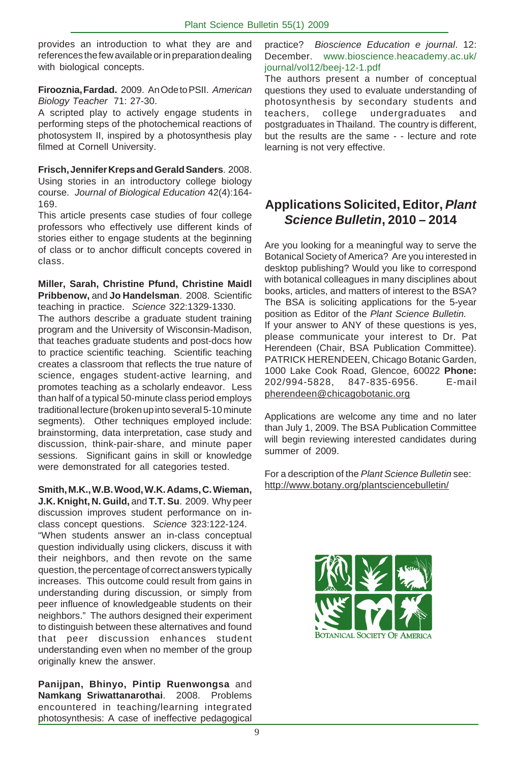provides an introduction to what they are and references the few available or in preparation dealing with biological concepts.

**Firooznia, Fardad.** 2009. An Ode to PSII. *American Biology Teacher* 71: 27-30.

A scripted play to actively engage students in performing steps of the photochemical reactions of photosystem II, inspired by a photosynthesis play filmed at Cornell University.

**Frisch, Jennifer Kreps and Gerald Sanders**. 2008. Using stories in an introductory college biology course. *Journal of Biological Education* 42(4):164- 169.

This article presents case studies of four college professors who effectively use different kinds of stories either to engage students at the beginning of class or to anchor difficult concepts covered in class.

**Miller, Sarah, Christine Pfund, Christine Maidl Pribbenow,** and **Jo Handelsman**. 2008. Scientific teaching in practice. *Science* 322:1329-1330.

The authors describe a graduate student training program and the University of Wisconsin-Madison, that teaches graduate students and post-docs how to practice scientific teaching. Scientific teaching creates a classroom that reflects the true nature of science, engages student-active learning, and promotes teaching as a scholarly endeavor. Less than half of a typical 50-minute class period employs traditional lecture (broken up into several 5-10 minute segments). Other techniques employed include: brainstorming, data interpretation, case study and discussion, think-pair-share, and minute paper sessions. Significant gains in skill or knowledge were demonstrated for all categories tested.

**Smith, M.K., W.B. Wood, W.K. Adams, C. Wieman, J.K. Knight, N. Guild,** and **T.T. Su**. 2009. Why peer discussion improves student performance on inclass concept questions. *Science* 323:122-124. "When students answer an in-class conceptual question individually using clickers, discuss it with their neighbors, and then revote on the same question, the percentage of correct answers typically increases. This outcome could result from gains in understanding during discussion, or simply from peer influence of knowledgeable students on their neighbors." The authors designed their experiment to distinguish between these alternatives and found that peer discussion enhances student understanding even when no member of the group originally knew the answer.

**Panijpan, Bhinyo, Pintip Ruenwongsa** and **Namkang Sriwattanarothai**. 2008. Problems encountered in teaching/learning integrated photosynthesis: A case of ineffective pedagogical

practice? *Bioscience Education e journal*. 12: December. www.bioscience.heacademy.ac.uk/ journal/vol12/beej-12-1.pdf

The authors present a number of conceptual questions they used to evaluate understanding of photosynthesis by secondary students and teachers, college undergraduates and postgraduates in Thailand. The country is different, but the results are the same - - lecture and rote learning is not very effective.

## **Applications Solicited, Editor,** *Plant Science Bulletin***, 2010 – 2014**

Are you looking for a meaningful way to serve the Botanical Society of America? Are you interested in desktop publishing? Would you like to correspond with botanical colleagues in many disciplines about books, articles, and matters of interest to the BSA? The BSA is soliciting applications for the 5-year position as Editor of the *Plant Science Bulletin.* If your answer to ANY of these questions is yes, please communicate your interest to Dr. Pat Herendeen (Chair, BSA Publication Committee). PATRICK HERENDEEN, Chicago Botanic Garden, 1000 Lake Cook Road, Glencoe, 60022 **Phone:** 202/994-5828, 847-835-6956. E-mail pherendeen@chicagobotanic.org

Applications are welcome any time and no later than July 1, 2009. The BSA Publication Committee will begin reviewing interested candidates during summer of 2009.

For a description of the *Plant Science Bulletin* see: http://www.botany.org/plantsciencebulletin/

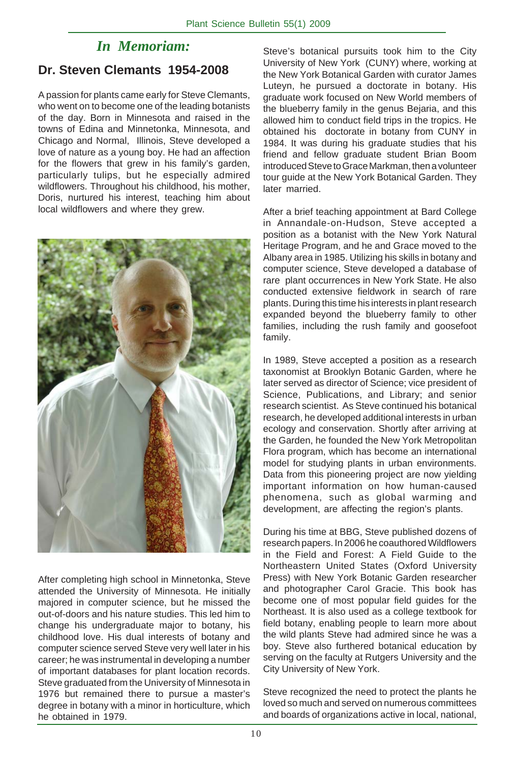# *In Memoriam:*

## **Dr. Steven Clemants 1954-2008**

A passion for plants came early for Steve Clemants, who went on to become one of the leading botanists of the day. Born in Minnesota and raised in the towns of Edina and Minnetonka, Minnesota, and Chicago and Normal, Illinois, Steve developed a love of nature as a young boy. He had an affection for the flowers that grew in his family's garden, particularly tulips, but he especially admired wildflowers. Throughout his childhood, his mother, Doris, nurtured his interest, teaching him about local wildflowers and where they grew.



After completing high school in Minnetonka, Steve attended the University of Minnesota. He initially majored in computer science, but he missed the out-of-doors and his nature studies. This led him to change his undergraduate major to botany, his childhood love. His dual interests of botany and computer science served Steve very well later in his career; he was instrumental in developing a number of important databases for plant location records. Steve graduated from the University of Minnesota in 1976 but remained there to pursue a master's degree in botany with a minor in horticulture, which he obtained in 1979.

Steve's botanical pursuits took him to the City University of New York (CUNY) where, working at the New York Botanical Garden with curator James Luteyn, he pursued a doctorate in botany. His graduate work focused on New World members of the blueberry family in the genus Bejaria, and this allowed him to conduct field trips in the tropics. He obtained his doctorate in botany from CUNY in 1984. It was during his graduate studies that his friend and fellow graduate student Brian Boom introduced Steve to Grace Markman, then a volunteer tour guide at the New York Botanical Garden. They later married.

After a brief teaching appointment at Bard College in Annandale-on-Hudson, Steve accepted a position as a botanist with the New York Natural Heritage Program, and he and Grace moved to the Albany area in 1985. Utilizing his skills in botany and computer science, Steve developed a database of rare plant occurrences in New York State. He also conducted extensive fieldwork in search of rare plants. During this time his interests in plant research expanded beyond the blueberry family to other families, including the rush family and goosefoot family.

In 1989, Steve accepted a position as a research taxonomist at Brooklyn Botanic Garden, where he later served as director of Science; vice president of Science, Publications, and Library; and senior research scientist. As Steve continued his botanical research, he developed additional interests in urban ecology and conservation. Shortly after arriving at the Garden, he founded the New York Metropolitan Flora program, which has become an international model for studying plants in urban environments. Data from this pioneering project are now yielding important information on how human-caused phenomena, such as global warming and development, are affecting the region's plants.

During his time at BBG, Steve published dozens of research papers. In 2006 he coauthored Wildflowers in the Field and Forest: A Field Guide to the Northeastern United States (Oxford University Press) with New York Botanic Garden researcher and photographer Carol Gracie. This book has become one of most popular field guides for the Northeast. It is also used as a college textbook for field botany, enabling people to learn more about the wild plants Steve had admired since he was a boy. Steve also furthered botanical education by serving on the faculty at Rutgers University and the City University of New York.

Steve recognized the need to protect the plants he loved so much and served on numerous committees and boards of organizations active in local, national,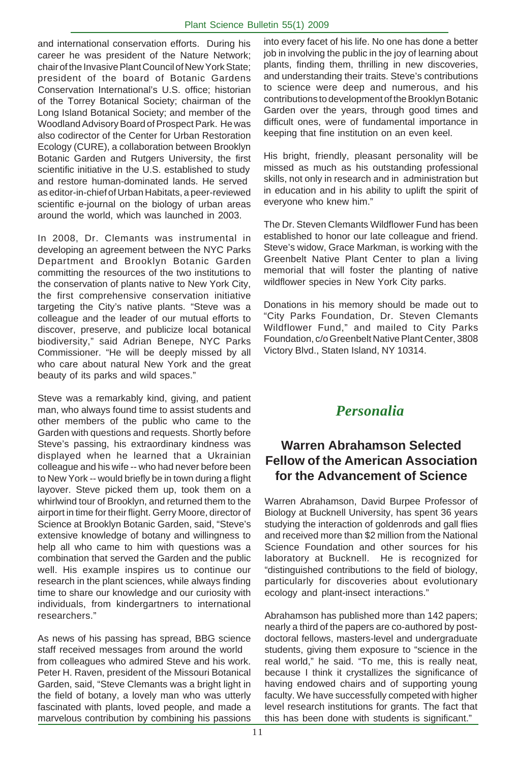and international conservation efforts. During his career he was president of the Nature Network; chair of the Invasive Plant Council of New York State; president of the board of Botanic Gardens Conservation International's U.S. office; historian of the Torrey Botanical Society; chairman of the Long Island Botanical Society; and member of the Woodland Advisory Board of Prospect Park. He was also codirector of the Center for Urban Restoration Ecology (CURE), a collaboration between Brooklyn Botanic Garden and Rutgers University, the first scientific initiative in the U.S. established to study and restore human-dominated lands. He served as editor-in-chief of Urban Habitats, a peer-reviewed scientific e-journal on the biology of urban areas around the world, which was launched in 2003.

In 2008, Dr. Clemants was instrumental in developing an agreement between the NYC Parks Department and Brooklyn Botanic Garden committing the resources of the two institutions to the conservation of plants native to New York City, the first comprehensive conservation initiative targeting the City's native plants. "Steve was a colleague and the leader of our mutual efforts to discover, preserve, and publicize local botanical biodiversity," said Adrian Benepe, NYC Parks Commissioner. "He will be deeply missed by all who care about natural New York and the great beauty of its parks and wild spaces."

Steve was a remarkably kind, giving, and patient man, who always found time to assist students and other members of the public who came to the Garden with questions and requests. Shortly before Steve's passing, his extraordinary kindness was displayed when he learned that a Ukrainian colleague and his wife -- who had never before been to New York -- would briefly be in town during a flight layover. Steve picked them up, took them on a whirlwind tour of Brooklyn, and returned them to the airport in time for their flight. Gerry Moore, director of Science at Brooklyn Botanic Garden, said, "Steve's extensive knowledge of botany and willingness to help all who came to him with questions was a combination that served the Garden and the public well. His example inspires us to continue our research in the plant sciences, while always finding time to share our knowledge and our curiosity with individuals, from kindergartners to international researchers."

As news of his passing has spread, BBG science staff received messages from around the world from colleagues who admired Steve and his work. Peter H. Raven, president of the Missouri Botanical Garden, said, "Steve Clemants was a bright light in the field of botany, a lovely man who was utterly fascinated with plants, loved people, and made a marvelous contribution by combining his passions into every facet of his life. No one has done a better job in involving the public in the joy of learning about plants, finding them, thrilling in new discoveries, and understanding their traits. Steve's contributions to science were deep and numerous, and his contributions to development of the Brooklyn Botanic Garden over the years, through good times and difficult ones, were of fundamental importance in keeping that fine institution on an even keel.

His bright, friendly, pleasant personality will be missed as much as his outstanding professional skills, not only in research and in administration but in education and in his ability to uplift the spirit of everyone who knew him."

The Dr. Steven Clemants Wildflower Fund has been established to honor our late colleague and friend. Steve's widow, Grace Markman, is working with the Greenbelt Native Plant Center to plan a living memorial that will foster the planting of native wildflower species in New York City parks.

Donations in his memory should be made out to "City Parks Foundation, Dr. Steven Clemants Wildflower Fund," and mailed to City Parks Foundation, c/o Greenbelt Native Plant Center, 3808 Victory Blvd., Staten Island, NY 10314.

## *Personalia*

## **Warren Abrahamson Selected Fellow of the American Association for the Advancement of Science**

Warren Abrahamson, David Burpee Professor of Biology at Bucknell University, has spent 36 years studying the interaction of goldenrods and gall flies and received more than \$2 million from the National Science Foundation and other sources for his laboratory at Bucknell. He is recognized for "distinguished contributions to the field of biology, particularly for discoveries about evolutionary ecology and plant-insect interactions."

Abrahamson has published more than 142 papers; nearly a third of the papers are co-authored by postdoctoral fellows, masters-level and undergraduate students, giving them exposure to "science in the real world," he said. "To me, this is really neat, because I think it crystallizes the significance of having endowed chairs and of supporting young faculty. We have successfully competed with higher level research institutions for grants. The fact that this has been done with students is significant."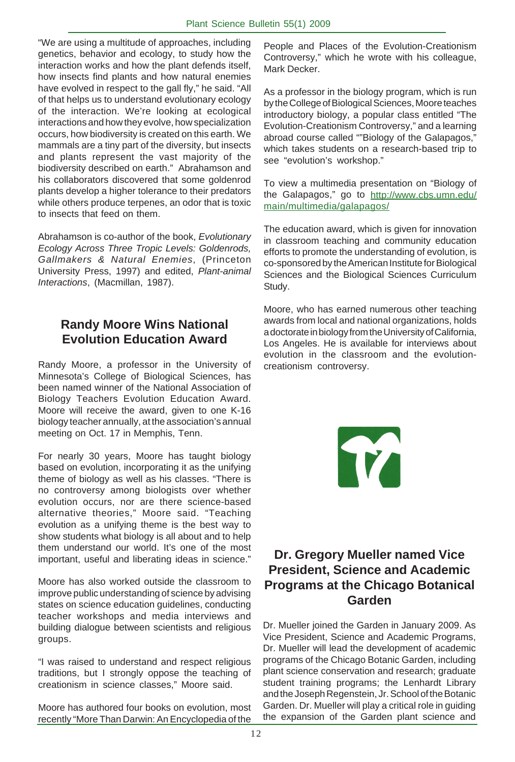"We are using a multitude of approaches, including genetics, behavior and ecology, to study how the interaction works and how the plant defends itself, how insects find plants and how natural enemies have evolved in respect to the gall fly," he said. "All of that helps us to understand evolutionary ecology of the interaction. We're looking at ecological interactions and how they evolve, how specialization occurs, how biodiversity is created on this earth. We mammals are a tiny part of the diversity, but insects and plants represent the vast majority of the biodiversity described on earth." Abrahamson and his collaborators discovered that some goldenrod plants develop a higher tolerance to their predators while others produce terpenes, an odor that is toxic to insects that feed on them.

Abrahamson is co-author of the book, *Evolutionary Ecology Across Three Tropic Levels: Goldenrods, Gallmakers & Natural Enemies*, (Princeton University Press, 1997) and edited, *Plant-animal Interactions*, (Macmillan, 1987).

## **Randy Moore Wins National Evolution Education Award**

Randy Moore, a professor in the University of Minnesota's College of Biological Sciences, has been named winner of the National Association of Biology Teachers Evolution Education Award. Moore will receive the award, given to one K-16 biology teacher annually, at the association's annual meeting on Oct. 17 in Memphis, Tenn.

For nearly 30 years, Moore has taught biology based on evolution, incorporating it as the unifying theme of biology as well as his classes. "There is no controversy among biologists over whether evolution occurs, nor are there science-based alternative theories," Moore said. "Teaching evolution as a unifying theme is the best way to show students what biology is all about and to help them understand our world. It's one of the most important, useful and liberating ideas in science."

Moore has also worked outside the classroom to improve public understanding of science by advising states on science education guidelines, conducting teacher workshops and media interviews and building dialogue between scientists and religious groups.

"I was raised to understand and respect religious traditions, but I strongly oppose the teaching of creationism in science classes," Moore said.

Moore has authored four books on evolution, most recently "More Than Darwin: An Encyclopedia of the

People and Places of the Evolution-Creationism Controversy," which he wrote with his colleague, Mark Decker.

As a professor in the biology program, which is run by the College of Biological Sciences, Moore teaches introductory biology, a popular class entitled "The Evolution-Creationism Controversy," and a learning abroad course called ""Biology of the Galapagos," which takes students on a research-based trip to see "evolution's workshop."

To view a multimedia presentation on "Biology of the Galapagos," go to http://www.cbs.umn.edu/ main/multimedia/galapagos/

The education award, which is given for innovation in classroom teaching and community education efforts to promote the understanding of evolution, is co-sponsored by the American Institute for Biological Sciences and the Biological Sciences Curriculum Study.

Moore, who has earned numerous other teaching awards from local and national organizations, holds a doctorate in biology from the University of California, Los Angeles. He is available for interviews about evolution in the classroom and the evolutioncreationism controversy.

T

## **Dr. Gregory Mueller named Vice President, Science and Academic Programs at the Chicago Botanical Garden**

Dr. Mueller joined the Garden in January 2009. As Vice President, Science and Academic Programs, Dr. Mueller will lead the development of academic programs of the Chicago Botanic Garden, including plant science conservation and research; graduate student training programs; the Lenhardt Library and the Joseph Regenstein, Jr. School of the Botanic Garden. Dr. Mueller will play a critical role in guiding the expansion of the Garden plant science and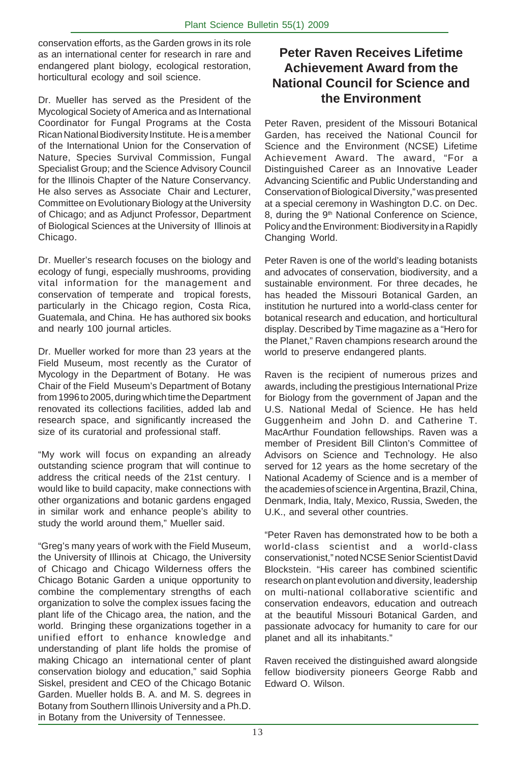conservation efforts, as the Garden grows in its role as an international center for research in rare and endangered plant biology, ecological restoration, horticultural ecology and soil science.

Dr. Mueller has served as the President of the Mycological Society of America and as International Coordinator for Fungal Programs at the Costa Rican National Biodiversity Institute. He is a member of the International Union for the Conservation of Nature, Species Survival Commission, Fungal Specialist Group; and the Science Advisory Council for the Illinois Chapter of the Nature Conservancy. He also serves as Associate Chair and Lecturer, Committee on Evolutionary Biology at the University of Chicago; and as Adjunct Professor, Department of Biological Sciences at the University of Illinois at Chicago.

Dr. Mueller's research focuses on the biology and ecology of fungi, especially mushrooms, providing vital information for the management and conservation of temperate and tropical forests, particularly in the Chicago region, Costa Rica, Guatemala, and China. He has authored six books and nearly 100 journal articles.

Dr. Mueller worked for more than 23 years at the Field Museum, most recently as the Curator of Mycology in the Department of Botany. He was Chair of the Field Museum's Department of Botany from 1996 to 2005, during which time the Department renovated its collections facilities, added lab and research space, and significantly increased the size of its curatorial and professional staff.

"My work will focus on expanding an already outstanding science program that will continue to address the critical needs of the 21st century. I would like to build capacity, make connections with other organizations and botanic gardens engaged in similar work and enhance people's ability to study the world around them," Mueller said.

"Greg's many years of work with the Field Museum, the University of Illinois at Chicago, the University of Chicago and Chicago Wilderness offers the Chicago Botanic Garden a unique opportunity to combine the complementary strengths of each organization to solve the complex issues facing the plant life of the Chicago area, the nation, and the world. Bringing these organizations together in a unified effort to enhance knowledge and understanding of plant life holds the promise of making Chicago an international center of plant conservation biology and education," said Sophia Siskel, president and CEO of the Chicago Botanic Garden. Mueller holds B. A. and M. S. degrees in Botany from Southern Illinois University and a Ph.D. in Botany from the University of Tennessee.

## **Peter Raven Receives Lifetime Achievement Award from the National Council for Science and the Environment**

Peter Raven, president of the Missouri Botanical Garden, has received the National Council for Science and the Environment (NCSE) Lifetime Achievement Award. The award, "For a Distinguished Career as an Innovative Leader Advancing Scientific and Public Understanding and Conservation of Biological Diversity," was presented at a special ceremony in Washington D.C. on Dec. 8, during the 9<sup>th</sup> National Conference on Science, Policy and the Environment: Biodiversity in a Rapidly Changing World.

Peter Raven is one of the world's leading botanists and advocates of conservation, biodiversity, and a sustainable environment. For three decades, he has headed the Missouri Botanical Garden, an institution he nurtured into a world-class center for botanical research and education, and horticultural display. Described by Time magazine as a "Hero for the Planet," Raven champions research around the world to preserve endangered plants.

Raven is the recipient of numerous prizes and awards, including the prestigious International Prize for Biology from the government of Japan and the U.S. National Medal of Science. He has held Guggenheim and John D. and Catherine T. MacArthur Foundation fellowships. Raven was a member of President Bill Clinton's Committee of Advisors on Science and Technology. He also served for 12 years as the home secretary of the National Academy of Science and is a member of the academies of science in Argentina, Brazil, China, Denmark, India, Italy, Mexico, Russia, Sweden, the U.K., and several other countries.

"Peter Raven has demonstrated how to be both a world-class scientist and a world-class conservationist," noted NCSE Senior Scientist David Blockstein. "His career has combined scientific research on plant evolution and diversity, leadership on multi-national collaborative scientific and conservation endeavors, education and outreach at the beautiful Missouri Botanical Garden, and passionate advocacy for humanity to care for our planet and all its inhabitants."

Raven received the distinguished award alongside fellow biodiversity pioneers George Rabb and Edward O. Wilson.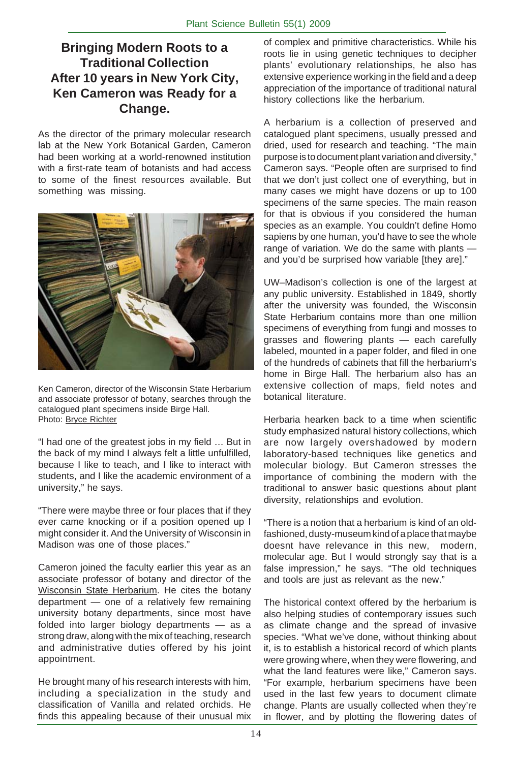## **Bringing Modern Roots to a Traditional Collection After 10 years in New York City, Ken Cameron was Ready for a Change.**

As the director of the primary molecular research lab at the New York Botanical Garden, Cameron had been working at a world-renowned institution with a first-rate team of botanists and had access to some of the finest resources available. But something was missing.



Ken Cameron, director of the Wisconsin State Herbarium and associate professor of botany, searches through the catalogued plant specimens inside Birge Hall. Photo: Bryce Richter

"I had one of the greatest jobs in my field … But in the back of my mind I always felt a little unfulfilled, because I like to teach, and I like to interact with students, and I like the academic environment of a university," he says.

"There were maybe three or four places that if they ever came knocking or if a position opened up I might consider it. And the University of Wisconsin in Madison was one of those places."

Cameron joined the faculty earlier this year as an associate professor of botany and director of the Wisconsin State Herbarium. He cites the botany department — one of a relatively few remaining university botany departments, since most have folded into larger biology departments — as a strong draw, along with the mix of teaching, research and administrative duties offered by his joint appointment.

He brought many of his research interests with him, including a specialization in the study and classification of Vanilla and related orchids. He finds this appealing because of their unusual mix of complex and primitive characteristics. While his roots lie in using genetic techniques to decipher plants' evolutionary relationships, he also has extensive experience working in the field and a deep appreciation of the importance of traditional natural history collections like the herbarium.

A herbarium is a collection of preserved and catalogued plant specimens, usually pressed and dried, used for research and teaching. "The main purpose is to document plant variation and diversity," Cameron says. "People often are surprised to find that we don't just collect one of everything, but in many cases we might have dozens or up to 100 specimens of the same species. The main reason for that is obvious if you considered the human species as an example. You couldn't define Homo sapiens by one human, you'd have to see the whole range of variation. We do the same with plants and you'd be surprised how variable [they are]."

UW–Madison's collection is one of the largest at any public university. Established in 1849, shortly after the university was founded, the Wisconsin State Herbarium contains more than one million specimens of everything from fungi and mosses to grasses and flowering plants — each carefully labeled, mounted in a paper folder, and filed in one of the hundreds of cabinets that fill the herbarium's home in Birge Hall. The herbarium also has an extensive collection of maps, field notes and botanical literature.

Herbaria hearken back to a time when scientific study emphasized natural history collections, which are now largely overshadowed by modern laboratory-based techniques like genetics and molecular biology. But Cameron stresses the importance of combining the modern with the traditional to answer basic questions about plant diversity, relationships and evolution.

"There is a notion that a herbarium is kind of an oldfashioned, dusty-museum kind of a place that maybe doesnt have relevance in this new, modern, molecular age. But I would strongly say that is a false impression," he says. "The old techniques and tools are just as relevant as the new."

The historical context offered by the herbarium is also helping studies of contemporary issues such as climate change and the spread of invasive species. "What we've done, without thinking about it, is to establish a historical record of which plants were growing where, when they were flowering, and what the land features were like," Cameron says. "For example, herbarium specimens have been used in the last few years to document climate change. Plants are usually collected when they're in flower, and by plotting the flowering dates of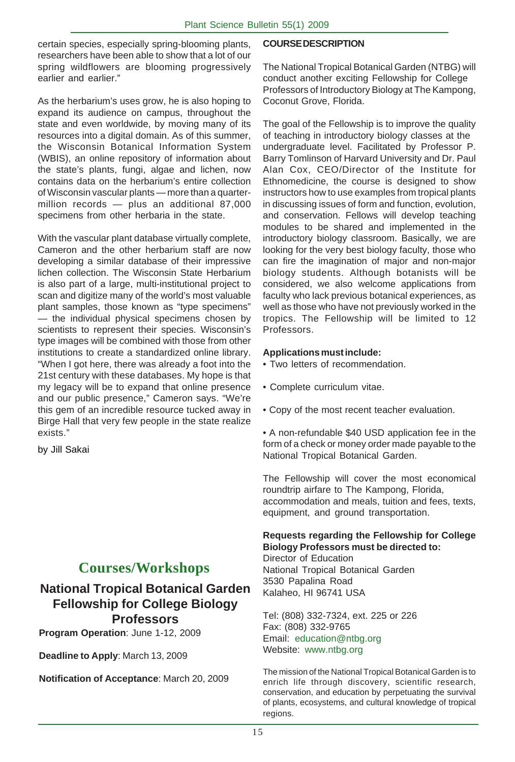certain species, especially spring-blooming plants, researchers have been able to show that a lot of our spring wildflowers are blooming progressively earlier and earlier."

As the herbarium's uses grow, he is also hoping to expand its audience on campus, throughout the state and even worldwide, by moving many of its resources into a digital domain. As of this summer, the Wisconsin Botanical Information System (WBIS), an online repository of information about the state's plants, fungi, algae and lichen, now contains data on the herbarium's entire collection of Wisconsin vascular plants — more than a quartermillion records — plus an additional 87,000 specimens from other herbaria in the state.

With the vascular plant database virtually complete, Cameron and the other herbarium staff are now developing a similar database of their impressive lichen collection. The Wisconsin State Herbarium is also part of a large, multi-institutional project to scan and digitize many of the world's most valuable plant samples, those known as "type specimens" — the individual physical specimens chosen by scientists to represent their species. Wisconsin's type images will be combined with those from other institutions to create a standardized online library. "When I got here, there was already a foot into the 21st century with these databases. My hope is that my legacy will be to expand that online presence and our public presence," Cameron says. "We're this gem of an incredible resource tucked away in Birge Hall that very few people in the state realize exists."

by Jill Sakai

# **Courses/Workshops**

## **National Tropical Botanical Garden Fellowship for College Biology Professors**

**Program Operation**: June 1-12, 2009

**Deadline to Apply**: March 13, 2009

**Notification of Acceptance**: March 20, 2009

#### **COURSE DESCRIPTION**

The National Tropical Botanical Garden (NTBG) will conduct another exciting Fellowship for College Professors of Introductory Biology at The Kampong, Coconut Grove, Florida.

The goal of the Fellowship is to improve the quality of teaching in introductory biology classes at the undergraduate level. Facilitated by Professor P. Barry Tomlinson of Harvard University and Dr. Paul Alan Cox, CEO/Director of the Institute for Ethnomedicine, the course is designed to show instructors how to use examples from tropical plants in discussing issues of form and function, evolution, and conservation. Fellows will develop teaching modules to be shared and implemented in the introductory biology classroom. Basically, we are looking for the very best biology faculty, those who can fire the imagination of major and non-major biology students. Although botanists will be considered, we also welcome applications from faculty who lack previous botanical experiences, as well as those who have not previously worked in the tropics. The Fellowship will be limited to 12 Professors.

#### **Applications must include:**

• Two letters of recommendation.

- Complete curriculum vitae.
- Copy of the most recent teacher evaluation.

• A non-refundable \$40 USD application fee in the form of a check or money order made payable to the National Tropical Botanical Garden.

The Fellowship will cover the most economical roundtrip airfare to The Kampong, Florida, accommodation and meals, tuition and fees, texts, equipment, and ground transportation.

#### **Requests regarding the Fellowship for College Biology Professors must be directed to:**

Director of Education National Tropical Botanical Garden 3530 Papalina Road Kalaheo, HI 96741 USA

Tel: (808) 332-7324, ext. 225 or 226 Fax: (808) 332-9765 Email: education@ntbg.org Website: www.ntbg.org

The mission of the National Tropical Botanical Garden is to enrich life through discovery, scientific research, conservation, and education by perpetuating the survival of plants, ecosystems, and cultural knowledge of tropical regions.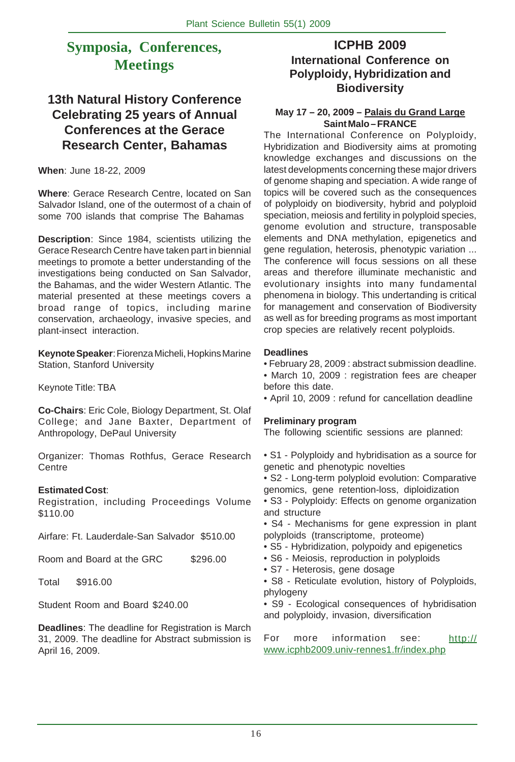# **Symposia, Conferences, Meetings**

## **13th Natural History Conference Celebrating 25 years of Annual Conferences at the Gerace Research Center, Bahamas**

**When**: June 18-22, 2009

**Where**: Gerace Research Centre, located on San Salvador Island, one of the outermost of a chain of some 700 islands that comprise The Bahamas

**Description**: Since 1984, scientists utilizing the Gerace Research Centre have taken part in biennial meetings to promote a better understanding of the investigations being conducted on San Salvador, the Bahamas, and the wider Western Atlantic. The material presented at these meetings covers a broad range of topics, including marine conservation, archaeology, invasive species, and plant-insect interaction.

**Keynote Speaker**: Fiorenza Micheli, Hopkins Marine Station, Stanford University

Keynote Title: TBA

**Co-Chairs**: Eric Cole, Biology Department, St. Olaf College; and Jane Baxter, Department of Anthropology, DePaul University

Organizer: Thomas Rothfus, Gerace Research Centre

#### **Estimated Cost**:

Registration, including Proceedings Volume \$110.00

Airfare: Ft. Lauderdale-San Salvador \$510.00

Room and Board at the GRC \$296.00

Total \$916.00

Student Room and Board \$240.00

**Deadlines**: The deadline for Registration is March 31, 2009. The deadline for Abstract submission is April 16, 2009.

### **ICPHB 2009 International Conference on Polyploidy, Hybridization and Biodiversity**

#### **May 17 – 20, 2009 – Palais du Grand Large Saint Malo – FRANCE**

The International Conference on Polyploidy, Hybridization and Biodiversity aims at promoting knowledge exchanges and discussions on the latest developments concerning these major drivers of genome shaping and speciation. A wide range of topics will be covered such as the consequences of polyploidy on biodiversity, hybrid and polyploid speciation, meiosis and fertility in polyploid species, genome evolution and structure, transposable elements and DNA methylation, epigenetics and gene regulation, heterosis, phenotypic variation ... The conference will focus sessions on all these areas and therefore illuminate mechanistic and evolutionary insights into many fundamental phenomena in biology. This undertanding is critical for management and conservation of Biodiversity as well as for breeding programs as most important crop species are relatively recent polyploids.

#### **Deadlines**

• February 28, 2009 : abstract submission deadline.

• March 10, 2009 : registration fees are cheaper before this date.

• April 10, 2009 : refund for cancellation deadline

#### **Preliminary program**

The following scientific sessions are planned:

- S1 Polyploidy and hybridisation as a source for genetic and phenotypic novelties
- S2 Long-term polyploid evolution: Comparative genomics, gene retention-loss, diploidization
- S3 Polyploidy: Effects on genome organization and structure
- S4 Mechanisms for gene expression in plant polyploids (transcriptome, proteome)
- S5 Hybridization, polypoidy and epigenetics
- S6 Meiosis, reproduction in polyploids
- S7 Heterosis, gene dosage
- S8 Reticulate evolution, history of Polyploids, phylogeny

• S9 - Ecological consequences of hybridisation and polyploidy, invasion, diversification

For more information see: http:// www.icphb2009.univ-rennes1.fr/index.php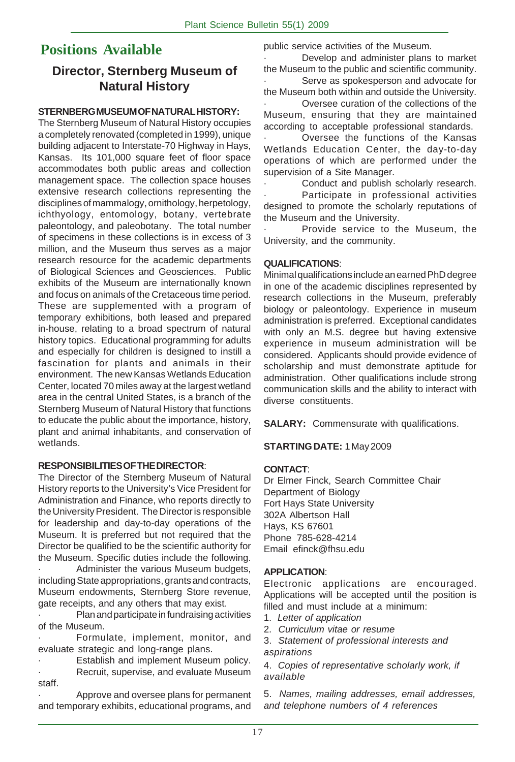# **Positions Available**

## **Director, Sternberg Museum of Natural History**

#### **STERNBERG MUSEUM OF NATURAL HISTORY:**

The Sternberg Museum of Natural History occupies a completely renovated (completed in 1999), unique building adjacent to Interstate-70 Highway in Hays, Kansas. Its 101,000 square feet of floor space accommodates both public areas and collection management space. The collection space houses extensive research collections representing the disciplines of mammalogy, ornithology, herpetology, ichthyology, entomology, botany, vertebrate paleontology, and paleobotany. The total number of specimens in these collections is in excess of 3 million, and the Museum thus serves as a major research resource for the academic departments of Biological Sciences and Geosciences. Public exhibits of the Museum are internationally known and focus on animals of the Cretaceous time period. These are supplemented with a program of temporary exhibitions, both leased and prepared in-house, relating to a broad spectrum of natural history topics. Educational programming for adults and especially for children is designed to instill a fascination for plants and animals in their environment. The new Kansas Wetlands Education Center, located 70 miles away at the largest wetland area in the central United States, is a branch of the Sternberg Museum of Natural History that functions to educate the public about the importance, history, plant and animal inhabitants, and conservation of wetlands.

#### **RESPONSIBILITIES OF THE DIRECTOR**:

The Director of the Sternberg Museum of Natural History reports to the University's Vice President for Administration and Finance, who reports directly to the University President. The Director is responsible for leadership and day-to-day operations of the Museum. It is preferred but not required that the Director be qualified to be the scientific authority for the Museum. Specific duties include the following.

Administer the various Museum budgets, including State appropriations, grants and contracts, Museum endowments, Sternberg Store revenue, gate receipts, and any others that may exist.

· Plan and participate in fundraising activities of the Museum.

Formulate, implement, monitor, and evaluate strategic and long-range plans.

Establish and implement Museum policy. Recruit, supervise, and evaluate Museum staff.

· Approve and oversee plans for permanent and temporary exhibits, educational programs, and

public service activities of the Museum.

Develop and administer plans to market the Museum to the public and scientific community.

Serve as spokesperson and advocate for the Museum both within and outside the University. · Oversee curation of the collections of the

Museum, ensuring that they are maintained according to acceptable professional standards.

Oversee the functions of the Kansas Wetlands Education Center, the day-to-day operations of which are performed under the supervision of a Site Manager.

Conduct and publish scholarly research.

Participate in professional activities designed to promote the scholarly reputations of the Museum and the University.

Provide service to the Museum, the University, and the community.

#### **QUALIFICATIONS**:

Minimal qualifications include an earned PhD degree in one of the academic disciplines represented by research collections in the Museum, preferably biology or paleontology. Experience in museum administration is preferred. Exceptional candidates with only an M.S. degree but having extensive experience in museum administration will be considered. Applicants should provide evidence of scholarship and must demonstrate aptitude for administration. Other qualifications include strong communication skills and the ability to interact with diverse constituents.

**SALARY:** Commensurate with qualifications.

#### **STARTING DATE:** 1 May 2009

#### **CONTACT**:

Dr Elmer Finck, Search Committee Chair Department of Biology Fort Hays State University 302A Albertson Hall Hays, KS 67601 Phone 785-628-4214 Email efinck@fhsu.edu

#### **APPLICATION**:

Electronic applications are encouraged. Applications will be accepted until the position is filled and must include at a minimum:

- 1. *Letter of application*
- 2. *Curriculum vitae or resume*

3. *Statement of professional interests and aspirations*

4. *Copies of representative scholarly work, if available*

5. *Names, mailing addresses, email addresses, and telephone numbers of 4 references*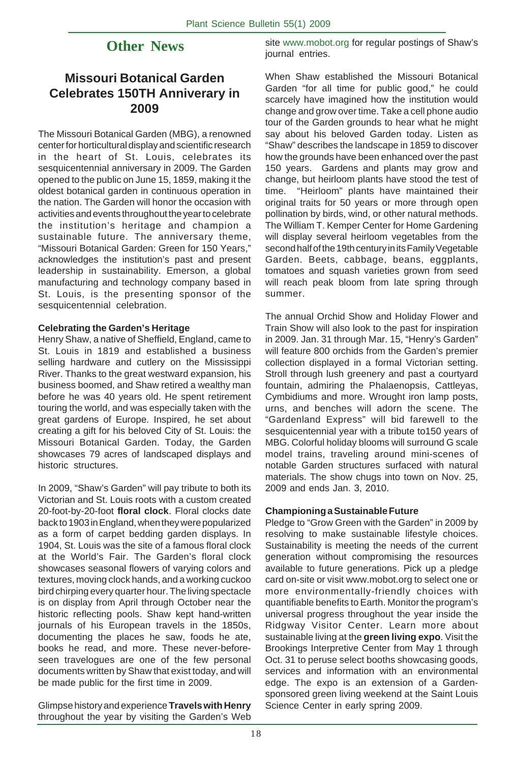## **Other News**

## **Missouri Botanical Garden Celebrates 150TH Anniverary in 2009**

The Missouri Botanical Garden (MBG), a renowned center for horticultural display and scientific research in the heart of St. Louis, celebrates its sesquicentennial anniversary in 2009. The Garden opened to the public on June 15, 1859, making it the oldest botanical garden in continuous operation in the nation. The Garden will honor the occasion with activities and events throughout the year to celebrate the institution's heritage and champion a sustainable future. The anniversary theme, "Missouri Botanical Garden: Green for 150 Years," acknowledges the institution's past and present leadership in sustainability. Emerson, a global manufacturing and technology company based in St. Louis, is the presenting sponsor of the sesquicentennial celebration.

#### **Celebrating the Garden's Heritage**

Henry Shaw, a native of Sheffield, England, came to St. Louis in 1819 and established a business selling hardware and cutlery on the Mississippi River. Thanks to the great westward expansion, his business boomed, and Shaw retired a wealthy man before he was 40 years old. He spent retirement touring the world, and was especially taken with the great gardens of Europe. Inspired, he set about creating a gift for his beloved City of St. Louis: the Missouri Botanical Garden. Today, the Garden showcases 79 acres of landscaped displays and historic structures.

In 2009, "Shaw's Garden" will pay tribute to both its Victorian and St. Louis roots with a custom created 20-foot-by-20-foot **floral clock**. Floral clocks date back to 1903 in England, when they were popularized as a form of carpet bedding garden displays. In 1904, St. Louis was the site of a famous floral clock at the World's Fair. The Garden's floral clock showcases seasonal flowers of varying colors and textures, moving clock hands, and a working cuckoo bird chirping every quarter hour. The living spectacle is on display from April through October near the historic reflecting pools. Shaw kept hand-written journals of his European travels in the 1850s, documenting the places he saw, foods he ate, books he read, and more. These never-beforeseen travelogues are one of the few personal documents written by Shaw that exist today, and will be made public for the first time in 2009.

Glimpse history and experience **Travels with Henry** throughout the year by visiting the Garden's Web

site www.mobot.org for regular postings of Shaw's journal entries.

When Shaw established the Missouri Botanical Garden "for all time for public good," he could scarcely have imagined how the institution would change and grow over time. Take a cell phone audio tour of the Garden grounds to hear what he might say about his beloved Garden today. Listen as "Shaw" describes the landscape in 1859 to discover how the grounds have been enhanced over the past 150 years. Gardens and plants may grow and change, but heirloom plants have stood the test of time. "Heirloom" plants have maintained their original traits for 50 years or more through open pollination by birds, wind, or other natural methods. The William T. Kemper Center for Home Gardening will display several heirloom vegetables from the second half of the 19th century in its Family Vegetable Garden. Beets, cabbage, beans, eggplants, tomatoes and squash varieties grown from seed will reach peak bloom from late spring through summer.

The annual Orchid Show and Holiday Flower and Train Show will also look to the past for inspiration in 2009. Jan. 31 through Mar. 15, "Henry's Garden" will feature 800 orchids from the Garden's premier collection displayed in a formal Victorian setting. Stroll through lush greenery and past a courtyard fountain, admiring the Phalaenopsis, Cattleyas, Cymbidiums and more. Wrought iron lamp posts, urns, and benches will adorn the scene. The "Gardenland Express" will bid farewell to the sesquicentennial year with a tribute to150 years of MBG. Colorful holiday blooms will surround G scale model trains, traveling around mini-scenes of notable Garden structures surfaced with natural materials. The show chugs into town on Nov. 25, 2009 and ends Jan. 3, 2010.

#### **Championing a Sustainable Future**

Pledge to "Grow Green with the Garden" in 2009 by resolving to make sustainable lifestyle choices. Sustainability is meeting the needs of the current generation without compromising the resources available to future generations. Pick up a pledge card on-site or visit www.mobot.org to select one or more environmentally-friendly choices with quantifiable benefits to Earth. Monitor the program's universal progress throughout the year inside the Ridgway Visitor Center. Learn more about sustainable living at the **green living expo**. Visit the Brookings Interpretive Center from May 1 through Oct. 31 to peruse select booths showcasing goods, services and information with an environmental edge. The expo is an extension of a Gardensponsored green living weekend at the Saint Louis Science Center in early spring 2009.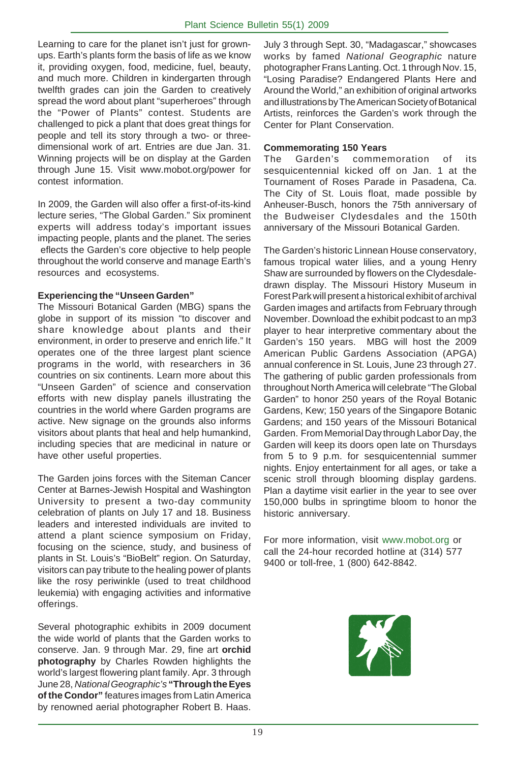Learning to care for the planet isn't just for grownups. Earth's plants form the basis of life as we know it, providing oxygen, food, medicine, fuel, beauty, and much more. Children in kindergarten through twelfth grades can join the Garden to creatively spread the word about plant "superheroes" through the "Power of Plants" contest. Students are challenged to pick a plant that does great things for people and tell its story through a two- or threedimensional work of art. Entries are due Jan. 31. Winning projects will be on display at the Garden through June 15. Visit www.mobot.org/power for contest information.

In 2009, the Garden will also offer a first-of-its-kind lecture series, "The Global Garden." Six prominent experts will address today's important issues impacting people, plants and the planet. The series eflects the Garden's core objective to help people throughout the world conserve and manage Earth's resources and ecosystems.

#### **Experiencing the "Unseen Garden"**

The Missouri Botanical Garden (MBG) spans the globe in support of its mission "to discover and share knowledge about plants and their environment, in order to preserve and enrich life." It operates one of the three largest plant science programs in the world, with researchers in 36 countries on six continents. Learn more about this "Unseen Garden" of science and conservation efforts with new display panels illustrating the countries in the world where Garden programs are active. New signage on the grounds also informs visitors about plants that heal and help humankind, including species that are medicinal in nature or have other useful properties.

The Garden joins forces with the Siteman Cancer Center at Barnes-Jewish Hospital and Washington University to present a two-day community celebration of plants on July 17 and 18. Business leaders and interested individuals are invited to attend a plant science symposium on Friday, focusing on the science, study, and business of plants in St. Louis's "BioBelt" region. On Saturday, visitors can pay tribute to the healing power of plants like the rosy periwinkle (used to treat childhood leukemia) with engaging activities and informative offerings.

Several photographic exhibits in 2009 document the wide world of plants that the Garden works to conserve. Jan. 9 through Mar. 29, fine art **orchid photography** by Charles Rowden highlights the world's largest flowering plant family. Apr. 3 through June 28, *National Geographic's* **"Through the Eyes of the Condor"** features images from Latin America by renowned aerial photographer Robert B. Haas.

July 3 through Sept. 30, "Madagascar," showcases works by famed *National Geographic* nature photographer Frans Lanting. Oct. 1 through Nov. 15, "Losing Paradise? Endangered Plants Here and Around the World," an exhibition of original artworks and illustrations by The American Society of Botanical Artists, reinforces the Garden's work through the Center for Plant Conservation.

#### **Commemorating 150 Years**

The Garden's commemoration of its sesquicentennial kicked off on Jan. 1 at the Tournament of Roses Parade in Pasadena, Ca. The City of St. Louis float, made possible by Anheuser-Busch, honors the 75th anniversary of the Budweiser Clydesdales and the 150th anniversary of the Missouri Botanical Garden.

The Garden's historic Linnean House conservatory, famous tropical water lilies, and a young Henry Shaw are surrounded by flowers on the Clydesdaledrawn display. The Missouri History Museum in Forest Park will present a historical exhibit of archival Garden images and artifacts from February through November. Download the exhibit podcast to an mp3 player to hear interpretive commentary about the Garden's 150 years. MBG will host the 2009 American Public Gardens Association (APGA) annual conference in St. Louis, June 23 through 27. The gathering of public garden professionals from throughout North America will celebrate "The Global Garden" to honor 250 years of the Royal Botanic Gardens, Kew; 150 years of the Singapore Botanic Gardens; and 150 years of the Missouri Botanical Garden. From Memorial Day through Labor Day, the Garden will keep its doors open late on Thursdays from 5 to 9 p.m. for sesquicentennial summer nights. Enjoy entertainment for all ages, or take a scenic stroll through blooming display gardens. Plan a daytime visit earlier in the year to see over 150,000 bulbs in springtime bloom to honor the historic anniversary.

For more information, visit www.mobot.org or call the 24-hour recorded hotline at (314) 577 9400 or toll-free, 1 (800) 642-8842.

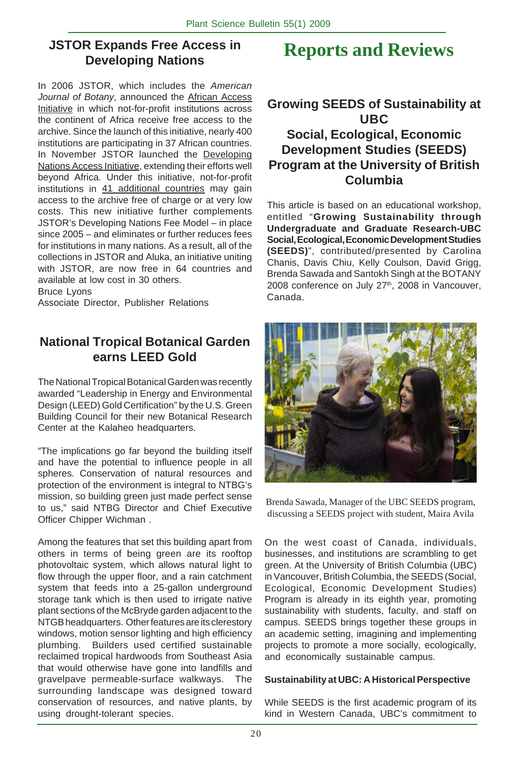## **JSTOR Expands Free Access in Developing Nations**

In 2006 JSTOR, which includes the *American Journal of Botany*, announced the African Access Initiative in which not-for-profit institutions across the continent of Africa receive free access to the archive. Since the launch of this initiative, nearly 400 institutions are participating in 37 African countries. In November JSTOR launched the Developing Nations Access Initiative, extending their efforts well beyond Africa. Under this initiative, not-for-profit institutions in 41 additional countries may gain access to the archive free of charge or at very low costs. This new initiative further complements JSTOR's Developing Nations Fee Model – in place since 2005 – and eliminates or further reduces fees for institutions in many nations. As a result, all of the collections in JSTOR and Aluka, an initiative uniting with JSTOR, are now free in 64 countries and available at low cost in 30 others.

Bruce Lyons

Associate Director, Publisher Relations

## **National Tropical Botanical Garden earns LEED Gold**

The National Tropical Botanical Garden was recently awarded "Leadership in Energy and Environmental Design (LEED) Gold Certification" by the U.S. Green Building Council for their new Botanical Research Center at the Kalaheo headquarters.

"The implications go far beyond the building itself and have the potential to influence people in all spheres. Conservation of natural resources and protection of the environment is integral to NTBG's mission, so building green just made perfect sense to us," said NTBG Director and Chief Executive Officer Chipper Wichman .

Among the features that set this building apart from others in terms of being green are its rooftop photovoltaic system, which allows natural light to flow through the upper floor, and a rain catchment system that feeds into a 25-gallon underground storage tank which is then used to irrigate native plant sections of the McBryde garden adjacent to the NTGB headquarters. Other features are its clerestory windows, motion sensor lighting and high efficiency plumbing. Builders used certified sustainable reclaimed tropical hardwoods from Southeast Asia that would otherwise have gone into landfills and gravelpave permeable-surface walkways. The surrounding landscape was designed toward conservation of resources, and native plants, by using drought-tolerant species.

# **Reports and Reviews**

## **Growing SEEDS of Sustainability at UBC Social, Ecological, Economic Development Studies (SEEDS) Program at the University of British Columbia**

This article is based on an educational workshop, entitled "**Growing Sustainability through Undergraduate and Graduate Research-UBC Social, Ecological, Economic Development Studies (SEEDS)**", contributed/presented by Carolina Chanis, Davis Chiu, Kelly Coulson, David Grigg, Brenda Sawada and Santokh Singh at the BOTANY 2008 conference on July  $27<sup>th</sup>$ , 2008 in Vancouver, Canada.



Brenda Sawada, Manager of the UBC SEEDS program, discussing a SEEDS project with student, Maira Avila

On the west coast of Canada, individuals, businesses, and institutions are scrambling to get green. At the University of British Columbia (UBC) in Vancouver, British Columbia, the SEEDS (Social, Ecological, Economic Development Studies) Program is already in its eighth year, promoting sustainability with students, faculty, and staff on campus. SEEDS brings together these groups in an academic setting, imagining and implementing projects to promote a more socially, ecologically, and economically sustainable campus.

#### **Sustainability at UBC: A Historical Perspective**

While SEEDS is the first academic program of its kind in Western Canada, UBC's commitment to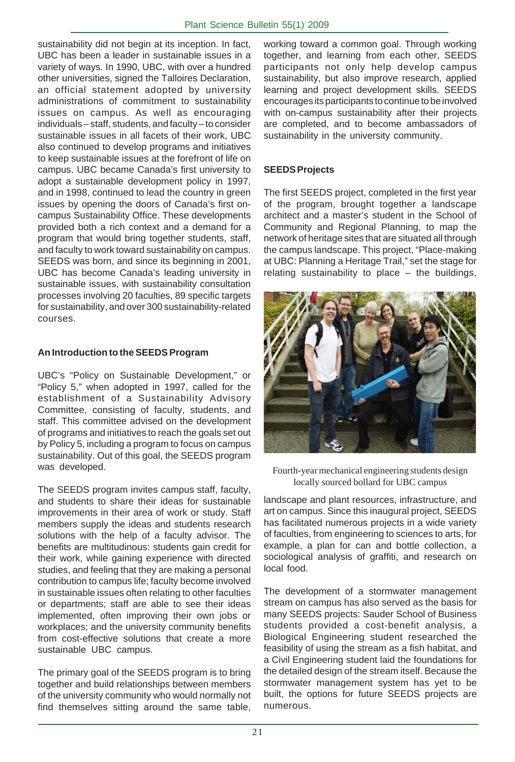sustainability did not begin at its inception. In fact, UBC has been a leader in sustainable issues in a variety of ways. In 1990, UBC, with over a hundred other universities, signed the Talloires Declaration, an official statement adopted by university administrations of commitment to sustainability issues on campus. As well as encouraging individuals – staff, students, and faculty – to consider sustainable issues in all facets of their work, UBC also continued to develop programs and initiatives to keep sustainable issues at the forefront of life on campus. UBC became Canada's first university to adopt a sustainable development policy in 1997, and in 1998, continued to lead the country in green issues by opening the doors of Canada's first oncampus Sustainability Office. These developments provided both a rich context and a demand for a program that would bring together students, staff, and faculty to work toward sustainability on campus. SEEDS was born, and since its beginning in 2001, UBC has become Canada's leading university in sustainable issues, with sustainability consultation processes involving 20 faculties, 89 specific targets for sustainability, and over 300 sustainability-related courses.

#### **An Introduction to the SEEDS Program**

UBC's "Policy on Sustainable Development," or "Policy 5," when adopted in 1997, called for the establishment of a Sustainability Advisory Committee, consisting of faculty, students, and staff. This committee advised on the development of programs and initiatives to reach the goals set out by Policy 5, including a program to focus on campus sustainability. Out of this goal, the SEEDS program was developed.

The SEEDS program invites campus staff, faculty, and students to share their ideas for sustainable improvements in their area of work or study. Staff members supply the ideas and students research solutions with the help of a faculty advisor. The benefits are multitudinous: students gain credit for their work, while gaining experience with directed studies, and feeling that they are making a personal contribution to campus life; faculty become involved in sustainable issues often relating to other faculties or departments; staff are able to see their ideas implemented, often improving their own jobs or workplaces; and the university community benefits from cost-effective solutions that create a more sustainable UBC campus.

The primary goal of the SEEDS program is to bring together and build relationships between members of the university community who would normally not find themselves sitting around the same table,

working toward a common goal. Through working together, and learning from each other, SEEDS participants not only help develop campus sustainability, but also improve research, applied learning and project development skills. SEEDS encourages its participants to continue to be involved with on-campus sustainability after their projects are completed, and to become ambassadors of sustainability in the university community.

#### **SEEDS Projects**

The first SEEDS project, completed in the first year of the program, brought together a landscape architect and a master's student in the School of Community and Regional Planning, to map the network of heritage sites that are situated all through the campus landscape. This project, "Place-making at UBC: Planning a Heritage Trail," set the stage for relating sustainability to place – the buildings,



Fourth-year mechanical engineering students design locally sourced bollard for UBC campus

landscape and plant resources, infrastructure, and art on campus. Since this inaugural project, SEEDS has facilitated numerous projects in a wide variety of faculties, from engineering to sciences to arts, for example, a plan for can and bottle collection, a sociological analysis of graffiti, and research on local food.

The development of a stormwater management stream on campus has also served as the basis for many SEEDS projects: Sauder School of Business students provided a cost-benefit analysis, a Biological Engineering student researched the feasibility of using the stream as a fish habitat, and a Civil Engineering student laid the foundations for the detailed design of the stream itself. Because the stormwater management system has yet to be built, the options for future SEEDS projects are numerous.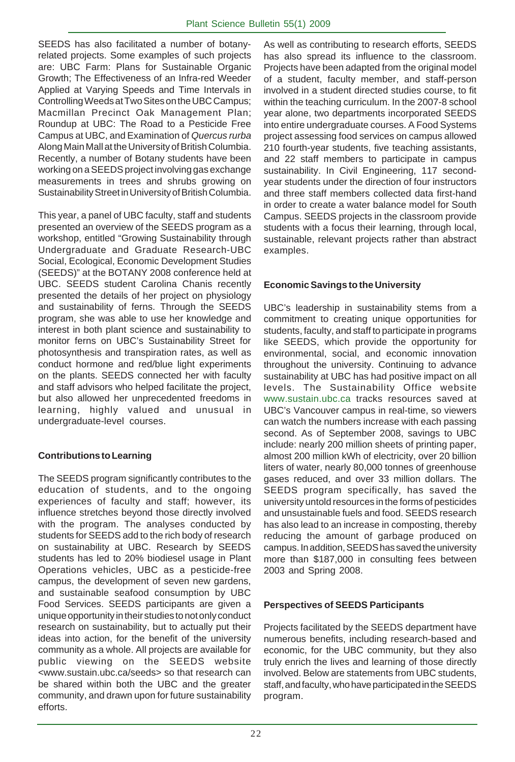SEEDS has also facilitated a number of botanyrelated projects. Some examples of such projects are: UBC Farm: Plans for Sustainable Organic Growth; The Effectiveness of an Infra-red Weeder Applied at Varying Speeds and Time Intervals in Controlling Weeds at Two Sites on the UBC Campus; Macmillan Precinct Oak Management Plan; Roundup at UBC: The Road to a Pesticide Free Campus at UBC, and Examination of *Quercus rurba* Along Main Mall at the University of British Columbia. Recently, a number of Botany students have been working on a SEEDS project involving gas exchange measurements in trees and shrubs growing on Sustainability Street in University of British Columbia.

This year, a panel of UBC faculty, staff and students presented an overview of the SEEDS program as a workshop, entitled "Growing Sustainability through Undergraduate and Graduate Research-UBC Social, Ecological, Economic Development Studies (SEEDS)" at the BOTANY 2008 conference held at UBC. SEEDS student Carolina Chanis recently presented the details of her project on physiology and sustainability of ferns. Through the SEEDS program, she was able to use her knowledge and interest in both plant science and sustainability to monitor ferns on UBC's Sustainability Street for photosynthesis and transpiration rates, as well as conduct hormone and red/blue light experiments on the plants. SEEDS connected her with faculty and staff advisors who helped facilitate the project, but also allowed her unprecedented freedoms in learning, highly valued and unusual in undergraduate-level courses.

#### **Contributions to Learning**

The SEEDS program significantly contributes to the education of students, and to the ongoing experiences of faculty and staff; however, its influence stretches beyond those directly involved with the program. The analyses conducted by students for SEEDS add to the rich body of research on sustainability at UBC. Research by SEEDS students has led to 20% biodiesel usage in Plant Operations vehicles, UBC as a pesticide-free campus, the development of seven new gardens, and sustainable seafood consumption by UBC Food Services. SEEDS participants are given a unique opportunity in their studies to not only conduct research on sustainability, but to actually put their ideas into action, for the benefit of the university community as a whole. All projects are available for public viewing on the SEEDS website <www.sustain.ubc.ca/seeds> so that research can be shared within both the UBC and the greater community, and drawn upon for future sustainability efforts.

As well as contributing to research efforts, SEEDS has also spread its influence to the classroom. Projects have been adapted from the original model of a student, faculty member, and staff-person involved in a student directed studies course, to fit within the teaching curriculum. In the 2007-8 school year alone, two departments incorporated SEEDS into entire undergraduate courses. A Food Systems project assessing food services on campus allowed 210 fourth-year students, five teaching assistants, and 22 staff members to participate in campus sustainability. In Civil Engineering, 117 secondyear students under the direction of four instructors and three staff members collected data first-hand in order to create a water balance model for South Campus. SEEDS projects in the classroom provide students with a focus their learning, through local, sustainable, relevant projects rather than abstract examples.

#### **Economic Savings to the University**

UBC's leadership in sustainability stems from a commitment to creating unique opportunities for students, faculty, and staff to participate in programs like SEEDS, which provide the opportunity for environmental, social, and economic innovation throughout the university. Continuing to advance sustainability at UBC has had positive impact on all levels. The Sustainability Office website www.sustain.ubc.ca tracks resources saved at UBC's Vancouver campus in real-time, so viewers can watch the numbers increase with each passing second. As of September 2008, savings to UBC include: nearly 200 million sheets of printing paper, almost 200 million kWh of electricity, over 20 billion liters of water, nearly 80,000 tonnes of greenhouse gases reduced, and over 33 million dollars. The SEEDS program specifically, has saved the university untold resources in the forms of pesticides and unsustainable fuels and food. SEEDS research has also lead to an increase in composting, thereby reducing the amount of garbage produced on campus. In addition, SEEDS has saved the university more than \$187,000 in consulting fees between 2003 and Spring 2008.

#### **Perspectives of SEEDS Participants**

Projects facilitated by the SEEDS department have numerous benefits, including research-based and economic, for the UBC community, but they also truly enrich the lives and learning of those directly involved. Below are statements from UBC students, staff, and faculty, who have participated in the SEEDS program.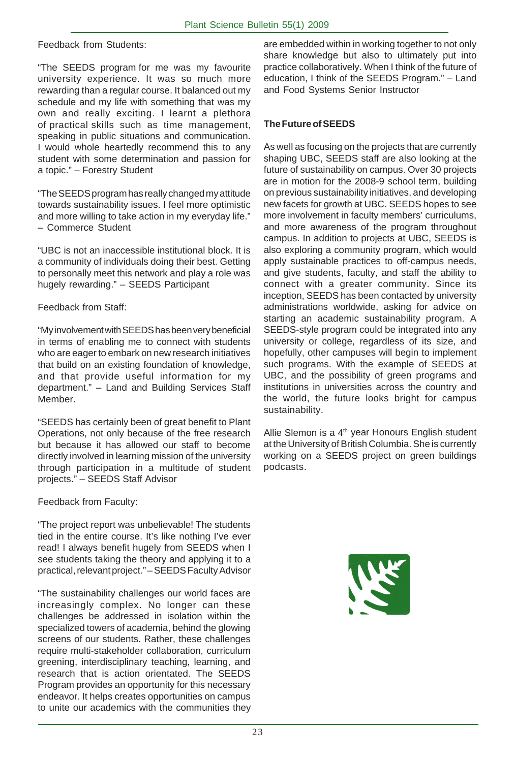Feedback from Students:

"The SEEDS program for me was my favourite university experience. It was so much more rewarding than a regular course. It balanced out my schedule and my life with something that was my own and really exciting. I learnt a plethora of practical skills such as time management, speaking in public situations and communication. I would whole heartedly recommend this to any student with some determination and passion for a topic." – Forestry Student

"The SEEDS program has really changed my attitude towards sustainability issues. I feel more optimistic and more willing to take action in my everyday life." – Commerce Student

"UBC is not an inaccessible institutional block. It is a community of individuals doing their best. Getting to personally meet this network and play a role was hugely rewarding." – SEEDS Participant

Feedback from Staff:

"My involvement with SEEDS has been very beneficial in terms of enabling me to connect with students who are eager to embark on new research initiatives that build on an existing foundation of knowledge, and that provide useful information for my department." – Land and Building Services Staff Member.

"SEEDS has certainly been of great benefit to Plant Operations, not only because of the free research but because it has allowed our staff to become directly involved in learning mission of the university through participation in a multitude of student projects." – SEEDS Staff Advisor

Feedback from Faculty:

"The project report was unbelievable! The students tied in the entire course. It's like nothing I've ever read! I always benefit hugely from SEEDS when I see students taking the theory and applying it to a practical, relevant project." – SEEDS Faculty Advisor

"The sustainability challenges our world faces are increasingly complex. No longer can these challenges be addressed in isolation within the specialized towers of academia, behind the glowing screens of our students. Rather, these challenges require multi-stakeholder collaboration, curriculum greening, interdisciplinary teaching, learning, and research that is action orientated. The SEEDS Program provides an opportunity for this necessary endeavor. It helps creates opportunities on campus to unite our academics with the communities they

are embedded within in working together to not only share knowledge but also to ultimately put into practice collaboratively. When I think of the future of education, I think of the SEEDS Program." – Land and Food Systems Senior Instructor

#### **The Future of SEEDS**

As well as focusing on the projects that are currently shaping UBC, SEEDS staff are also looking at the future of sustainability on campus. Over 30 projects are in motion for the 2008-9 school term, building on previous sustainability initiatives, and developing new facets for growth at UBC. SEEDS hopes to see more involvement in faculty members' curriculums, and more awareness of the program throughout campus. In addition to projects at UBC, SEEDS is also exploring a community program, which would apply sustainable practices to off-campus needs, and give students, faculty, and staff the ability to connect with a greater community. Since its inception, SEEDS has been contacted by university administrations worldwide, asking for advice on starting an academic sustainability program. A SEEDS-style program could be integrated into any university or college, regardless of its size, and hopefully, other campuses will begin to implement such programs. With the example of SEEDS at UBC, and the possibility of green programs and institutions in universities across the country and the world, the future looks bright for campus sustainability.

Allie Slemon is a  $4<sup>th</sup>$  year Honours English student at the University of British Columbia. She is currently working on a SEEDS project on green buildings podcasts.

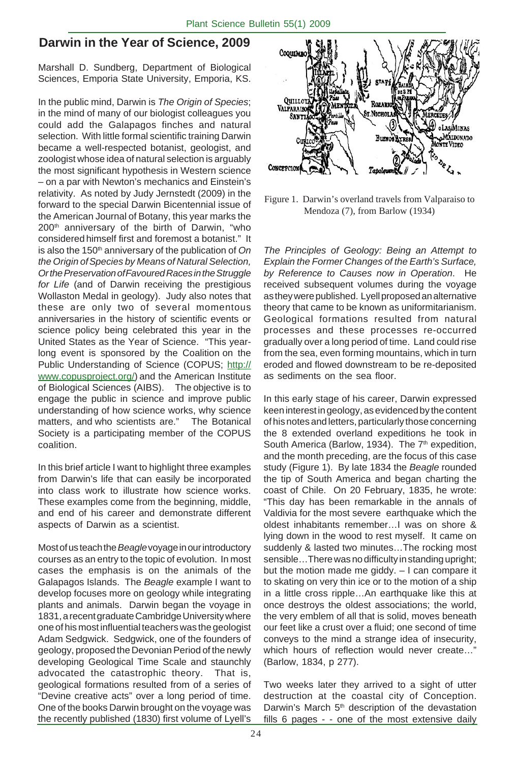## **Darwin in the Year of Science, 2009**

Marshall D. Sundberg, Department of Biological Sciences, Emporia State University, Emporia, KS.

In the public mind, Darwin is *The Origin of Species*; in the mind of many of our biologist colleagues you could add the Galapagos finches and natural selection. With little formal scientific training Darwin became a well-respected botanist, geologist, and zoologist whose idea of natural selection is arguably the most significant hypothesis in Western science – on a par with Newton's mechanics and Einstein's relativity. As noted by Judy Jernstedt (2009) in the forward to the special Darwin Bicentennial issue of the American Journal of Botany, this year marks the 200<sup>th</sup> anniversary of the birth of Darwin, "who considered himself first and foremost a botanist." It is also the 150<sup>th</sup> anniversary of the publication of On *the Origin ofSpecies by Means of Natural Selection, Or the Preservation ofFavoured Races in the Struggle for Life* (and of Darwin receiving the prestigious Wollaston Medal in geology). Judy also notes that these are only two of several momentous anniversaries in the history of scientific events or science policy being celebrated this year in the United States as the Year of Science. "This yearlong event is sponsored by the Coalition on the Public Understanding of Science (COPUS; http:// www.copusproject.org/) and the American Institute of Biological Sciences (AIBS). The objective is to engage the public in science and improve public understanding of how science works, why science matters, and who scientists are." The Botanical Society is a participating member of the COPUS coalition.

In this brief article I want to highlight three examples from Darwin's life that can easily be incorporated into class work to illustrate how science works. These examples come from the beginning, middle, and end of his career and demonstrate different aspects of Darwin as a scientist.

Most of us teach the *Beagle* voyage in our introductory courses as an entry to the topic of evolution. In most cases the emphasis is on the animals of the Galapagos Islands. The *Beagle* example I want to develop focuses more on geology while integrating plants and animals. Darwin began the voyage in 1831, a recent graduate Cambridge University where one of his most influential teachers was the geologist Adam Sedgwick. Sedgwick, one of the founders of geology, proposed the Devonian Period of the newly developing Geological Time Scale and staunchly advocated the catastrophic theory. That is, geological formations resulted from of a series of "Devine creative acts" over a long period of time. One of the books Darwin brought on the voyage was the recently published (1830) first volume of Lyell's



Figure 1. Darwin's overland travels from Valparaiso to Mendoza (7), from Barlow (1934)

*The Principles of Geology: Being an Attempt to Explain the Former Changes of the Earth's Surface, by Reference to Causes now in Operation*. He received subsequent volumes during the voyage as they were published. Lyell proposed an alternative theory that came to be known as uniformitarianism. Geological formations resulted from natural processes and these processes re-occurred gradually over a long period of time. Land could rise from the sea, even forming mountains, which in turn eroded and flowed downstream to be re-deposited as sediments on the sea floor.

In this early stage of his career, Darwin expressed keen interest in geology, as evidenced by the content of his notes and letters, particularly those concerning the 8 extended overland expeditions he took in South America (Barlow, 1934). The 7<sup>th</sup> expedition, and the month preceding, are the focus of this case study (Figure 1). By late 1834 the *Beagle* rounded the tip of South America and began charting the coast of Chile. On 20 February, 1835, he wrote: "This day has been remarkable in the annals of Valdivia for the most severe earthquake which the oldest inhabitants remember…I was on shore & lying down in the wood to rest myself. It came on suddenly & lasted two minutes…The rocking most sensible…There was no difficulty in standing upright; but the motion made me giddy. – I can compare it to skating on very thin ice or to the motion of a ship in a little cross ripple…An earthquake like this at once destroys the oldest associations; the world, the very emblem of all that is solid, moves beneath our feet like a crust over a fluid; one second of time conveys to the mind a strange idea of insecurity, which hours of reflection would never create...' (Barlow, 1834, p 277).

Two weeks later they arrived to a sight of utter destruction at the coastal city of Conception. Darwin's March 5<sup>th</sup> description of the devastation fills 6 pages - - one of the most extensive daily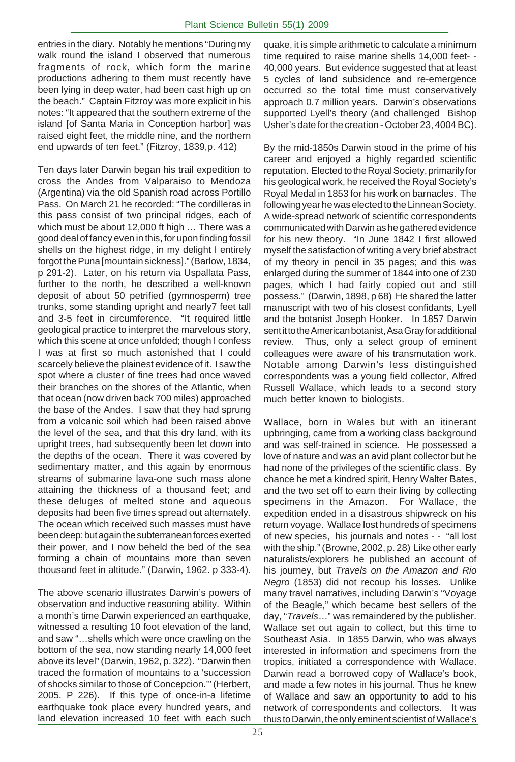entries in the diary. Notably he mentions "During my walk round the island I observed that numerous fragments of rock, which form the marine productions adhering to them must recently have been lying in deep water, had been cast high up on the beach." Captain Fitzroy was more explicit in his notes: "It appeared that the southern extreme of the island [of Santa Maria in Conception harbor] was raised eight feet, the middle nine, and the northern end upwards of ten feet." (Fitzroy, 1839,p. 412)

Ten days later Darwin began his trail expedition to cross the Andes from Valparaiso to Mendoza (Argentina) via the old Spanish road across Portillo Pass. On March 21 he recorded: "The cordilleras in this pass consist of two principal ridges, each of which must be about 12,000 ft high … There was a good deal of fancy even in this, for upon finding fossil shells on the highest ridge, in my delight I entirely forgot the Puna [mountain sickness]." (Barlow, 1834, p 291-2). Later, on his return via Uspallata Pass, further to the north, he described a well-known deposit of about 50 petrified (gymnosperm) tree trunks, some standing upright and nearly7 feet tall and 3-5 feet in circumference. "It required little geological practice to interpret the marvelous story, which this scene at once unfolded; though I confess I was at first so much astonished that I could scarcely believe the plainest evidence of it. I saw the spot where a cluster of fine trees had once waved their branches on the shores of the Atlantic, when that ocean (now driven back 700 miles) approached the base of the Andes. I saw that they had sprung from a volcanic soil which had been raised above the level of the sea, and that this dry land, with its upright trees, had subsequently been let down into the depths of the ocean. There it was covered by sedimentary matter, and this again by enormous streams of submarine lava-one such mass alone attaining the thickness of a thousand feet; and these deluges of melted stone and aqueous deposits had been five times spread out alternately. The ocean which received such masses must have been deep: but again the subterranean forces exerted their power, and I now beheld the bed of the sea forming a chain of mountains more than seven thousand feet in altitude." (Darwin, 1962. p 333-4).

The above scenario illustrates Darwin's powers of observation and inductive reasoning ability. Within a month's time Darwin experienced an earthquake, witnessed a resulting 10 foot elevation of the land, and saw "…shells which were once crawling on the bottom of the sea, now standing nearly 14,000 feet above its level" (Darwin, 1962, p. 322). "Darwin then traced the formation of mountains to a 'succession of shocks similar to those of Concepcion.'" (Herbert, 2005. P 226). If this type of once-in-a lifetime earthquake took place every hundred years, and land elevation increased 10 feet with each such

quake, it is simple arithmetic to calculate a minimum time required to raise marine shells 14,000 feet- - 40,000 years. But evidence suggested that at least 5 cycles of land subsidence and re-emergence occurred so the total time must conservatively approach 0.7 million years. Darwin's observations supported Lyell's theory (and challenged Bishop Usher's date for the creation - October 23, 4004 BC).

By the mid-1850s Darwin stood in the prime of his career and enjoyed a highly regarded scientific reputation. Elected to the Royal Society, primarily for his geological work, he received the Royal Society's Royal Medal in 1853 for his work on barnacles. The following year he was elected to the Linnean Society. A wide-spread network of scientific correspondents communicated with Darwin as he gathered evidence for his new theory. "In June 1842 I first allowed myself the satisfaction of writing a very brief abstract of my theory in pencil in 35 pages; and this was enlarged during the summer of 1844 into one of 230 pages, which I had fairly copied out and still possess." (Darwin, 1898, p 68) He shared the latter manuscript with two of his closest confidants, Lyell and the botanist Joseph Hooker. In 1857 Darwin sent it to the American botanist, Asa Gray for additional review. Thus, only a select group of eminent colleagues were aware of his transmutation work. Notable among Darwin's less distinguished correspondents was a young field collector, Alfred Russell Wallace, which leads to a second story much better known to biologists.

Wallace, born in Wales but with an itinerant upbringing, came from a working class background and was self-trained in science. He possessed a love of nature and was an avid plant collector but he had none of the privileges of the scientific class. By chance he met a kindred spirit, Henry Walter Bates, and the two set off to earn their living by collecting specimens in the Amazon. For Wallace, the expedition ended in a disastrous shipwreck on his return voyage. Wallace lost hundreds of specimens of new species, his journals and notes - - "all lost with the ship." (Browne, 2002, p. 28) Like other early naturalists/explorers he published an account of his journey, but *Travels on the Amazon and Rio Negro* (1853) did not recoup his losses. Unlike many travel narratives, including Darwin's "Voyage of the Beagle," which became best sellers of the day, "*Travels*…" was remaindered by the publisher. Wallace set out again to collect, but this time to Southeast Asia. In 1855 Darwin, who was always interested in information and specimens from the tropics, initiated a correspondence with Wallace. Darwin read a borrowed copy of Wallace's book, and made a few notes in his journal. Thus he knew of Wallace and saw an opportunity to add to his network of correspondents and collectors. It was thus to Darwin, the only eminent scientist of Wallace's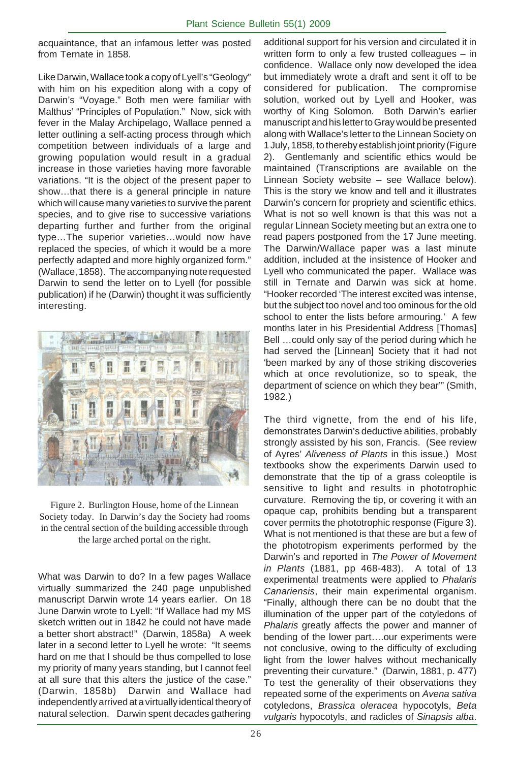acquaintance, that an infamous letter was posted from Ternate in 1858.

Like Darwin, Wallace took a copy of Lyell's "Geology" with him on his expedition along with a copy of Darwin's "Voyage." Both men were familiar with Malthus' "Principles of Population." Now, sick with fever in the Malay Archipelago, Wallace penned a letter outlining a self-acting process through which competition between individuals of a large and growing population would result in a gradual increase in those varieties having more favorable variations. "It is the object of the present paper to show…that there is a general principle in nature which will cause many varieties to survive the parent species, and to give rise to successive variations departing further and further from the original type…The superior varieties…would now have replaced the species, of which it would be a more perfectly adapted and more highly organized form." (Wallace, 1858). The accompanying note requested Darwin to send the letter on to Lyell (for possible publication) if he (Darwin) thought it was sufficiently interesting.



Figure 2. Burlington House, home of the Linnean Society today. In Darwin's day the Society had rooms in the central section of the building accessible through the large arched portal on the right.

What was Darwin to do? In a few pages Wallace virtually summarized the 240 page unpublished manuscript Darwin wrote 14 years earlier. On 18 June Darwin wrote to Lyell: "If Wallace had my MS sketch written out in 1842 he could not have made a better short abstract!" (Darwin, 1858a) A week later in a second letter to Lyell he wrote: "It seems hard on me that I should be thus compelled to lose my priority of many years standing, but I cannot feel at all sure that this alters the justice of the case." (Darwin, 1858b) Darwin and Wallace had independently arrived at a virtually identical theory of natural selection. Darwin spent decades gathering

additional support for his version and circulated it in written form to only a few trusted colleagues – in confidence. Wallace only now developed the idea but immediately wrote a draft and sent it off to be considered for publication. The compromise solution, worked out by Lyell and Hooker, was worthy of King Solomon. Both Darwin's earlier manuscript and his letter to Gray would be presented along with Wallace's letter to the Linnean Society on 1 July, 1858, to thereby establish joint priority (Figure 2). Gentlemanly and scientific ethics would be maintained (Transcriptions are available on the Linnean Society website – see Wallace below). This is the story we know and tell and it illustrates Darwin's concern for propriety and scientific ethics. What is not so well known is that this was not a regular Linnean Society meeting but an extra one to read papers postponed from the 17 June meeting. The Darwin/Wallace paper was a last minute addition, included at the insistence of Hooker and Lyell who communicated the paper. Wallace was still in Ternate and Darwin was sick at home. "Hooker recorded 'The interest excited was intense, but the subject too novel and too ominous for the old school to enter the lists before armouring.' A few months later in his Presidential Address [Thomas] Bell …could only say of the period during which he had served the [Linnean] Society that it had not 'been marked by any of those striking discoveries which at once revolutionize, so to speak, the department of science on which they bear'" (Smith, 1982.)

The third vignette, from the end of his life, demonstrates Darwin's deductive abilities, probably strongly assisted by his son, Francis. (See review of Ayres' *Aliveness of Plants* in this issue.) Most textbooks show the experiments Darwin used to demonstrate that the tip of a grass coleoptile is sensitive to light and results in phototrophic curvature. Removing the tip, or covering it with an opaque cap, prohibits bending but a transparent cover permits the phototrophic response (Figure 3). What is not mentioned is that these are but a few of the phototropism experiments performed by the Darwin's and reported in *The Power of Movement in Plants* (1881, pp 468-483). A total of 13 experimental treatments were applied to *Phalaris Canariensis*, their main experimental organism. "Finally, although there can be no doubt that the illumination of the upper part of the cotyledons of *Phalaris* greatly affects the power and manner of bending of the lower part….our experiments were not conclusive, owing to the difficulty of excluding light from the lower halves without mechanically preventing their curvature." (Darwin, 1881, p. 477) To test the generality of their observations they repeated some of the experiments on *Avena sativa* cotyledons, *Brassica oleracea* hypocotyls, *Beta vulgaris* hypocotyls, and radicles of *Sinapsis alba*.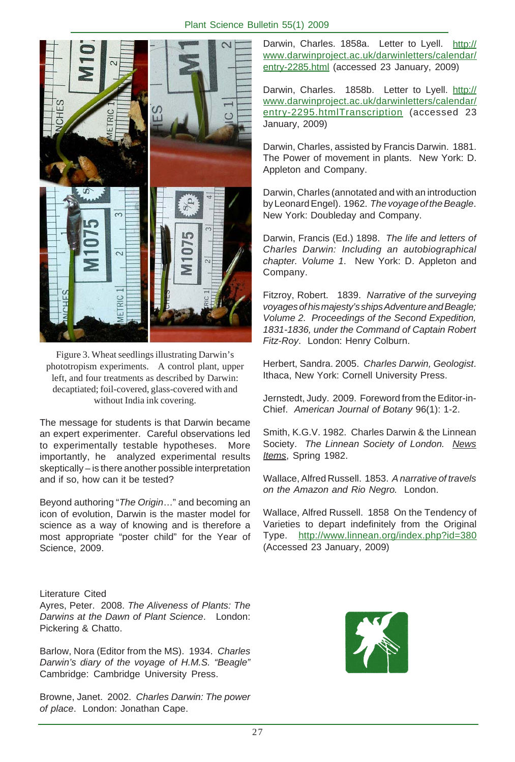

Figure 3. Wheat seedlings illustrating Darwin's phototropism experiments. A control plant, upper left, and four treatments as described by Darwin: decaptiated; foil-covered, glass-covered with and without India ink covering.

The message for students is that Darwin became an expert experimenter. Careful observations led to experimentally testable hypotheses. More importantly, he analyzed experimental results skeptically – is there another possible interpretation and if so, how can it be tested?

Beyond authoring "*The Origin*…" and becoming an icon of evolution, Darwin is the master model for science as a way of knowing and is therefore a most appropriate "poster child" for the Year of Science, 2009.

Literature Cited Ayres, Peter. 2008. *The Aliveness of Plants: The Darwins at the Dawn of Plant Science*. London: Pickering & Chatto.

Barlow, Nora (Editor from the MS). 1934. *Charles Darwin's diary of the voyage of H.M.S. "Beagle"* Cambridge: Cambridge University Press.

Browne, Janet. 2002. *Charles Darwin: The power of place*. London: Jonathan Cape.

Darwin, Charles. 1858a. Letter to Lyell. http:// www.darwinproject.ac.uk/darwinletters/calendar/ entry-2285.html (accessed 23 January, 2009)

Darwin, Charles. 1858b. Letter to Lyell. http:// www.darwinproject.ac.uk/darwinletters/calendar/ entry-2295.htmlTranscription (accessed 23 January, 2009)

Darwin, Charles, assisted by Francis Darwin. 1881. The Power of movement in plants. New York: D. Appleton and Company.

Darwin, Charles (annotated and with an introduction by Leonard Engel). 1962. *The voyage of the Beagle*. New York: Doubleday and Company.

Darwin, Francis (Ed.) 1898. *The life and letters of Charles Darwin: Including an autobiographical chapter. Volume 1*. New York: D. Appleton and Company.

Fitzroy, Robert. 1839. *Narrative of the surveying voyages of his majesty's ships Adventure and Beagle; Volume 2. Proceedings of the Second Expedition, 1831-1836, under the Command of Captain Robert Fitz-Roy*. London: Henry Colburn.

Herbert, Sandra. 2005. *Charles Darwin, Geologist*. Ithaca, New York: Cornell University Press.

Jernstedt, Judy. 2009. Foreword from the Editor-in-Chief. *American Journal of Botany* 96(1): 1-2.

Smith, K.G.V. 1982. Charles Darwin & the Linnean Society. *The Linnean Society of London. News Items*, Spring 1982.

Wallace, Alfred Russell. 1853. *A narrative of travels on the Amazon and Rio Negro.* London.

Wallace, Alfred Russell. 1858 On the Tendency of Varieties to depart indefinitely from the Original Type. http://www.linnean.org/index.php?id=380 (Accessed 23 January, 2009)

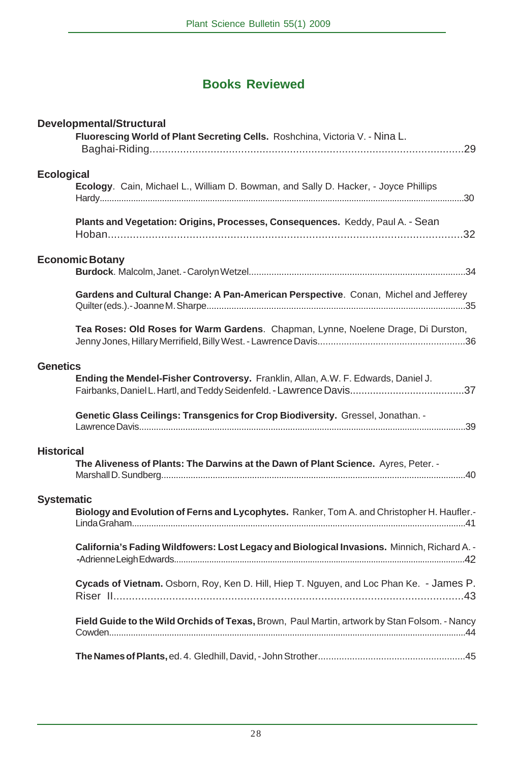# **Books Reviewed**

| <b>Developmental/Structural</b><br>Fluorescing World of Plant Secreting Cells. Roshchina, Victoria V. - Nina L. |  |
|-----------------------------------------------------------------------------------------------------------------|--|
|                                                                                                                 |  |
| <b>Ecological</b><br>Ecology. Cain, Michael L., William D. Bowman, and Sally D. Hacker, - Joyce Phillips        |  |
| Plants and Vegetation: Origins, Processes, Consequences. Keddy, Paul A. - Sean                                  |  |
| <b>Economic Botany</b>                                                                                          |  |
|                                                                                                                 |  |
| Gardens and Cultural Change: A Pan-American Perspective. Conan, Michel and Jefferey                             |  |
| Tea Roses: Old Roses for Warm Gardens. Chapman, Lynne, Noelene Drage, Di Durston,                               |  |
| <b>Genetics</b>                                                                                                 |  |
| Ending the Mendel-Fisher Controversy. Franklin, Allan, A.W. F. Edwards, Daniel J.                               |  |
| Genetic Glass Ceilings: Transgenics for Crop Biodiversity. Gressel, Jonathan. -                                 |  |
| <b>Historical</b><br>The Aliveness of Plants: The Darwins at the Dawn of Plant Science. Ayres, Peter. -         |  |
| <b>Systematic</b>                                                                                               |  |
| Biology and Evolution of Ferns and Lycophytes. Ranker, Tom A. and Christopher H. Haufler.-                      |  |
| California's Fading Wildfowers: Lost Legacy and Biological Invasions. Minnich, Richard A. -                     |  |
| Cycads of Vietnam. Osborn, Roy, Ken D. Hill, Hiep T. Nguyen, and Loc Phan Ke. - James P.                        |  |
| Field Guide to the Wild Orchids of Texas, Brown, Paul Martin, artwork by Stan Folsom. - Nancy                   |  |
|                                                                                                                 |  |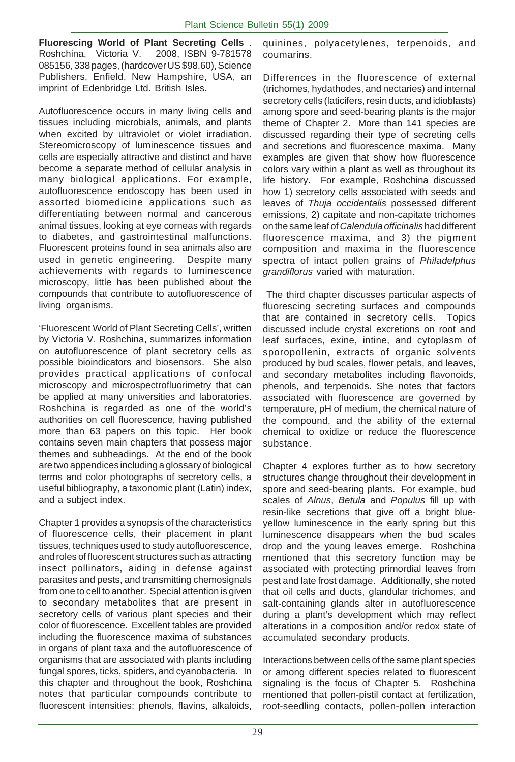**Fluorescing World of Plant Secreting Cells** . Roshchina, Victoria V. 2008, ISBN 9-781578 085156, 338 pages, (hardcover US \$98.60), Science Publishers, Enfield, New Hampshire, USA, an imprint of Edenbridge Ltd. British Isles.

Autofluorescence occurs in many living cells and tissues including microbials, animals, and plants when excited by ultraviolet or violet irradiation. Stereomicroscopy of luminescence tissues and cells are especially attractive and distinct and have become a separate method of cellular analysis in many biological applications. For example, autofluorescence endoscopy has been used in assorted biomedicine applications such as differentiating between normal and cancerous animal tissues, looking at eye corneas with regards to diabetes, and gastrointestinal malfunctions. Fluorescent proteins found in sea animals also are used in genetic engineering. Despite many achievements with regards to luminescence microscopy, little has been published about the compounds that contribute to autofluorescence of living organisms.

'Fluorescent World of Plant Secreting Cells', written by Victoria V. Roshchina, summarizes information on autofluorescence of plant secretory cells as possible bioindicators and biosensors. She also provides practical applications of confocal microscopy and microspectrofluorimetry that can be applied at many universities and laboratories. Roshchina is regarded as one of the world's authorities on cell fluorescence, having published more than 63 papers on this topic. Her book contains seven main chapters that possess major themes and subheadings. At the end of the book are two appendices including a glossary of biological terms and color photographs of secretory cells, a useful bibliography, a taxonomic plant (Latin) index, and a subject index.

Chapter 1 provides a synopsis of the characteristics of fluorescence cells, their placement in plant tissues, techniques used to study autofluorescence, and roles of fluorescent structures such as attracting insect pollinators, aiding in defense against parasites and pests, and transmitting chemosignals from one to cell to another. Special attention is given to secondary metabolites that are present in secretory cells of various plant species and their color of fluorescence. Excellent tables are provided including the fluorescence maxima of substances in organs of plant taxa and the autofluorescence of organisms that are associated with plants including fungal spores, ticks, spiders, and cyanobacteria. In this chapter and throughout the book, Roshchina notes that particular compounds contribute to fluorescent intensities: phenols, flavins, alkaloids,

quinines, polyacetylenes, terpenoids, and coumarins.

Differences in the fluorescence of external (trichomes, hydathodes, and nectaries) and internal secretory cells (laticifers, resin ducts, and idioblasts) among spore and seed-bearing plants is the major theme of Chapter 2. More than 141 species are discussed regarding their type of secreting cells and secretions and fluorescence maxima. Many examples are given that show how fluorescence colors vary within a plant as well as throughout its life history. For example, Roshchina discussed how 1) secretory cells associated with seeds and leaves of *Thuja occidentalis* possessed different emissions, 2) capitate and non-capitate trichomes on the same leaf of *Calendula officinalis* had different fluorescence maxima, and 3) the pigment composition and maxima in the fluorescence spectra of intact pollen grains of *Philadelphus grandiflorus* varied with maturation.

 The third chapter discusses particular aspects of fluorescing secreting surfaces and compounds that are contained in secretory cells. Topics discussed include crystal excretions on root and leaf surfaces, exine, intine, and cytoplasm of sporopollenin, extracts of organic solvents produced by bud scales, flower petals, and leaves, and secondary metabolites including flavonoids, phenols, and terpenoids. She notes that factors associated with fluorescence are governed by temperature, pH of medium, the chemical nature of the compound, and the ability of the external chemical to oxidize or reduce the fluorescence substance.

Chapter 4 explores further as to how secretory structures change throughout their development in spore and seed-bearing plants. For example, bud scales of *Alnus*, *Betula* and *Populus* fill up with resin-like secretions that give off a bright blueyellow luminescence in the early spring but this luminescence disappears when the bud scales drop and the young leaves emerge. Roshchina mentioned that this secretory function may be associated with protecting primordial leaves from pest and late frost damage. Additionally, she noted that oil cells and ducts, glandular trichomes, and salt-containing glands alter in autofluorescence during a plant's development which may reflect alterations in a composition and/or redox state of accumulated secondary products.

Interactions between cells of the same plant species or among different species related to fluorescent signaling is the focus of Chapter 5. Roshchina mentioned that pollen-pistil contact at fertilization, root-seedling contacts, pollen-pollen interaction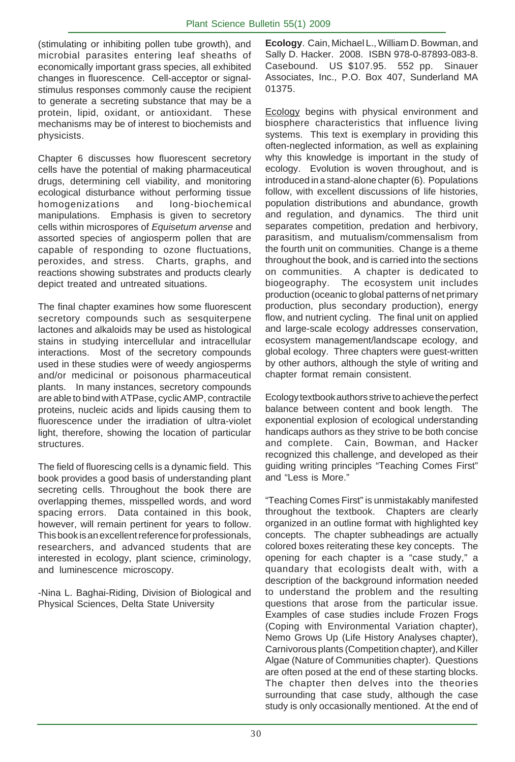(stimulating or inhibiting pollen tube growth), and microbial parasites entering leaf sheaths of economically important grass species, all exhibited changes in fluorescence. Cell-acceptor or signalstimulus responses commonly cause the recipient to generate a secreting substance that may be a protein, lipid, oxidant, or antioxidant. These mechanisms may be of interest to biochemists and physicists.

Chapter 6 discusses how fluorescent secretory cells have the potential of making pharmaceutical drugs, determining cell viability, and monitoring ecological disturbance without performing tissue homogenizations and long-biochemical manipulations. Emphasis is given to secretory cells within microspores of *Equisetum arvense* and assorted species of angiosperm pollen that are capable of responding to ozone fluctuations, peroxides, and stress. Charts, graphs, and reactions showing substrates and products clearly depict treated and untreated situations.

The final chapter examines how some fluorescent secretory compounds such as sesquiterpene lactones and alkaloids may be used as histological stains in studying intercellular and intracellular interactions. Most of the secretory compounds used in these studies were of weedy angiosperms and/or medicinal or poisonous pharmaceutical plants. In many instances, secretory compounds are able to bind with ATPase, cyclic AMP, contractile proteins, nucleic acids and lipids causing them to fluorescence under the irradiation of ultra-violet light, therefore, showing the location of particular structures.

The field of fluorescing cells is a dynamic field. This book provides a good basis of understanding plant secreting cells. Throughout the book there are overlapping themes, misspelled words, and word spacing errors. Data contained in this book, however, will remain pertinent for years to follow. This book is an excellent reference for professionals, researchers, and advanced students that are interested in ecology, plant science, criminology, and luminescence microscopy.

-Nina L. Baghai-Riding, Division of Biological and Physical Sciences, Delta State University

**Ecology**. Cain, Michael L., William D. Bowman, and Sally D. Hacker. 2008. ISBN 978-0-87893-083-8. Casebound. US \$107.95. 552 pp. Sinauer Associates, Inc., P.O. Box 407, Sunderland MA 01375.

Ecology begins with physical environment and biosphere characteristics that influence living systems. This text is exemplary in providing this often-neglected information, as well as explaining why this knowledge is important in the study of ecology. Evolution is woven throughout, and is introduced in a stand-alone chapter (6). Populations follow, with excellent discussions of life histories, population distributions and abundance, growth and regulation, and dynamics. The third unit separates competition, predation and herbivory, parasitism, and mutualism/commensalism from the fourth unit on communities. Change is a theme throughout the book, and is carried into the sections on communities. A chapter is dedicated to biogeography. The ecosystem unit includes production (oceanic to global patterns of net primary production, plus secondary production), energy flow, and nutrient cycling. The final unit on applied and large-scale ecology addresses conservation, ecosystem management/landscape ecology, and global ecology. Three chapters were guest-written by other authors, although the style of writing and chapter format remain consistent.

Ecology textbook authors strive to achieve the perfect balance between content and book length. The exponential explosion of ecological understanding handicaps authors as they strive to be both concise and complete. Cain, Bowman, and Hacker recognized this challenge, and developed as their guiding writing principles "Teaching Comes First" and "Less is More."

"Teaching Comes First" is unmistakably manifested throughout the textbook. Chapters are clearly organized in an outline format with highlighted key concepts. The chapter subheadings are actually colored boxes reiterating these key concepts. The opening for each chapter is a "case study," a quandary that ecologists dealt with, with a description of the background information needed to understand the problem and the resulting questions that arose from the particular issue. Examples of case studies include Frozen Frogs (Coping with Environmental Variation chapter), Nemo Grows Up (Life History Analyses chapter), Carnivorous plants (Competition chapter), and Killer Algae (Nature of Communities chapter). Questions are often posed at the end of these starting blocks. The chapter then delves into the theories surrounding that case study, although the case study is only occasionally mentioned. At the end of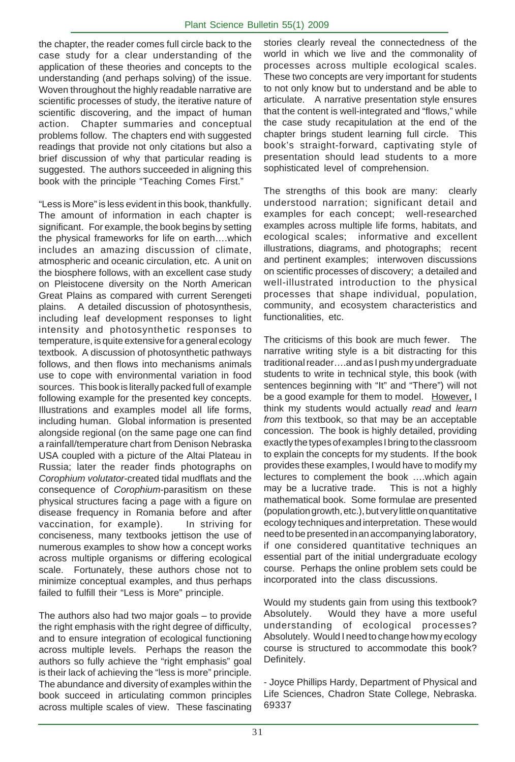the chapter, the reader comes full circle back to the case study for a clear understanding of the application of these theories and concepts to the understanding (and perhaps solving) of the issue. Woven throughout the highly readable narrative are scientific processes of study, the iterative nature of scientific discovering, and the impact of human action. Chapter summaries and conceptual problems follow. The chapters end with suggested readings that provide not only citations but also a brief discussion of why that particular reading is suggested. The authors succeeded in aligning this book with the principle "Teaching Comes First."

"Less is More" is less evident in this book, thankfully. The amount of information in each chapter is significant. For example, the book begins by setting the physical frameworks for life on earth….which includes an amazing discussion of climate, atmospheric and oceanic circulation, etc. A unit on the biosphere follows, with an excellent case study on Pleistocene diversity on the North American Great Plains as compared with current Serengeti plains. A detailed discussion of photosynthesis, including leaf development responses to light intensity and photosynthetic responses to temperature, is quite extensive for a general ecology textbook. A discussion of photosynthetic pathways follows, and then flows into mechanisms animals use to cope with environmental variation in food sources. This book is literally packed full of example following example for the presented key concepts. Illustrations and examples model all life forms, including human. Global information is presented alongside regional (on the same page one can find a rainfall/temperature chart from Denison Nebraska USA coupled with a picture of the Altai Plateau in Russia; later the reader finds photographs on *Corophium volutator*-created tidal mudflats and the consequence of *Corophium*-parasitism on these physical structures facing a page with a figure on disease frequency in Romania before and after vaccination, for example). In striving for conciseness, many textbooks jettison the use of numerous examples to show how a concept works across multiple organisms or differing ecological scale. Fortunately, these authors chose not to minimize conceptual examples, and thus perhaps failed to fulfill their "Less is More" principle.

The authors also had two major goals – to provide the right emphasis with the right degree of difficulty, and to ensure integration of ecological functioning across multiple levels. Perhaps the reason the authors so fully achieve the "right emphasis" goal is their lack of achieving the "less is more" principle. The abundance and diversity of examples within the book succeed in articulating common principles across multiple scales of view. These fascinating

stories clearly reveal the connectedness of the world in which we live and the commonality of processes across multiple ecological scales. These two concepts are very important for students to not only know but to understand and be able to articulate. A narrative presentation style ensures that the content is well-integrated and "flows," while the case study recapitulation at the end of the chapter brings student learning full circle. This book's straight-forward, captivating style of presentation should lead students to a more sophisticated level of comprehension.

The strengths of this book are many: clearly understood narration; significant detail and examples for each concept; well-researched examples across multiple life forms, habitats, and ecological scales; informative and excellent illustrations, diagrams, and photographs; recent and pertinent examples; interwoven discussions on scientific processes of discovery; a detailed and well-illustrated introduction to the physical processes that shape individual, population, community, and ecosystem characteristics and functionalities, etc.

The criticisms of this book are much fewer. The narrative writing style is a bit distracting for this traditional reader….and as I push my undergraduate students to write in technical style, this book (with sentences beginning with "It" and "There") will not be a good example for them to model. However, I think my students would actually *read* and *learn from* this textbook, so that may be an acceptable concession. The book is highly detailed, providing exactly the types of examples I bring to the classroom to explain the concepts for my students. If the book provides these examples, I would have to modify my lectures to complement the book ….which again may be a lucrative trade. This is not a highly mathematical book. Some formulae are presented (population growth, etc.), but very little on quantitative ecology techniques and interpretation. These would need to be presented in an accompanying laboratory, if one considered quantitative techniques an essential part of the initial undergraduate ecology course. Perhaps the online problem sets could be incorporated into the class discussions.

Would my students gain from using this textbook? Absolutely. Would they have a more useful understanding of ecological processes? Absolutely. Would I need to change how my ecology course is structured to accommodate this book? Definitely.

- Joyce Phillips Hardy, Department of Physical and Life Sciences, Chadron State College, Nebraska. 69337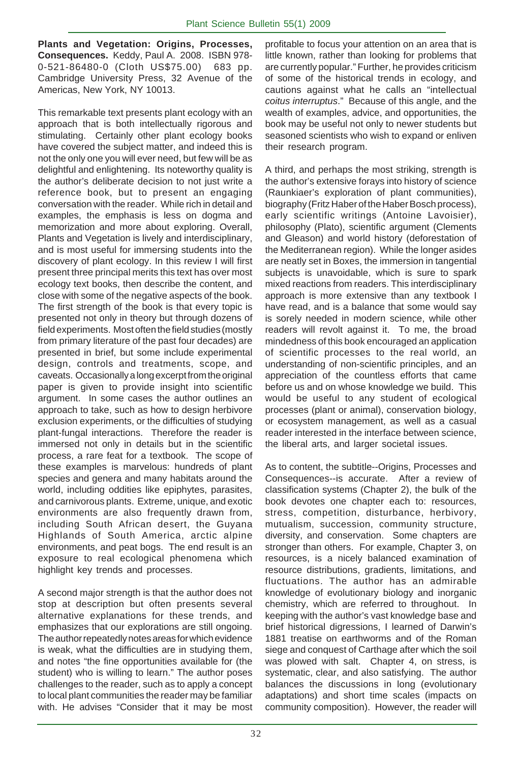**Plants and Vegetation: Origins, Processes, Consequences.** Keddy, Paul A. 2008. ISBN 978- 0-521-86480-0 (Cloth US\$75.00) 683 pp. Cambridge University Press, 32 Avenue of the Americas, New York, NY 10013.

This remarkable text presents plant ecology with an approach that is both intellectually rigorous and stimulating. Certainly other plant ecology books have covered the subject matter, and indeed this is not the only one you will ever need, but few will be as delightful and enlightening. Its noteworthy quality is the author's deliberate decision to not just write a reference book, but to present an engaging conversation with the reader. While rich in detail and examples, the emphasis is less on dogma and memorization and more about exploring. Overall, Plants and Vegetation is lively and interdisciplinary, and is most useful for immersing students into the discovery of plant ecology. In this review I will first present three principal merits this text has over most ecology text books, then describe the content, and close with some of the negative aspects of the book. The first strength of the book is that every topic is presented not only in theory but through dozens of field experiments. Most often the field studies (mostly from primary literature of the past four decades) are presented in brief, but some include experimental design, controls and treatments, scope, and caveats. Occasionally a long excerpt from the original paper is given to provide insight into scientific argument. In some cases the author outlines an approach to take, such as how to design herbivore exclusion experiments, or the difficulties of studying plant-fungal interactions. Therefore the reader is immersed not only in details but in the scientific process, a rare feat for a textbook. The scope of these examples is marvelous: hundreds of plant species and genera and many habitats around the world, including oddities like epiphytes, parasites, and carnivorous plants. Extreme, unique, and exotic environments are also frequently drawn from, including South African desert, the Guyana Highlands of South America, arctic alpine environments, and peat bogs. The end result is an exposure to real ecological phenomena which highlight key trends and processes.

A second major strength is that the author does not stop at description but often presents several alternative explanations for these trends, and emphasizes that our explorations are still ongoing. The author repeatedly notes areas for which evidence is weak, what the difficulties are in studying them, and notes "the fine opportunities available for (the student) who is willing to learn." The author poses challenges to the reader, such as to apply a concept to local plant communities the reader may be familiar with. He advises "Consider that it may be most

profitable to focus your attention on an area that is little known, rather than looking for problems that are currently popular." Further, he provides criticism of some of the historical trends in ecology, and cautions against what he calls an "intellectual *coitus interruptus*." Because of this angle, and the wealth of examples, advice, and opportunities, the book may be useful not only to newer students but seasoned scientists who wish to expand or enliven their research program.

A third, and perhaps the most striking, strength is the author's extensive forays into history of science (Raunkiaer's exploration of plant communities), biography (Fritz Haber of the Haber Bosch process), early scientific writings (Antoine Lavoisier), philosophy (Plato), scientific argument (Clements and Gleason) and world history (deforestation of the Mediterranean region). While the longer asides are neatly set in Boxes, the immersion in tangential subjects is unavoidable, which is sure to spark mixed reactions from readers. This interdisciplinary approach is more extensive than any textbook I have read, and is a balance that some would say is sorely needed in modern science, while other readers will revolt against it. To me, the broad mindedness of this book encouraged an application of scientific processes to the real world, an understanding of non-scientific principles, and an appreciation of the countless efforts that came before us and on whose knowledge we build. This would be useful to any student of ecological processes (plant or animal), conservation biology, or ecosystem management, as well as a casual reader interested in the interface between science, the liberal arts, and larger societal issues.

As to content, the subtitle--Origins, Processes and Consequences--is accurate. After a review of classification systems (Chapter 2), the bulk of the book devotes one chapter each to: resources, stress, competition, disturbance, herbivory, mutualism, succession, community structure, diversity, and conservation. Some chapters are stronger than others. For example, Chapter 3, on resources, is a nicely balanced examination of resource distributions, gradients, limitations, and fluctuations. The author has an admirable knowledge of evolutionary biology and inorganic chemistry, which are referred to throughout. In keeping with the author's vast knowledge base and brief historical digressions, I learned of Darwin's 1881 treatise on earthworms and of the Roman siege and conquest of Carthage after which the soil was plowed with salt. Chapter 4, on stress, is systematic, clear, and also satisfying. The author balances the discussions in long (evolutionary adaptations) and short time scales (impacts on community composition). However, the reader will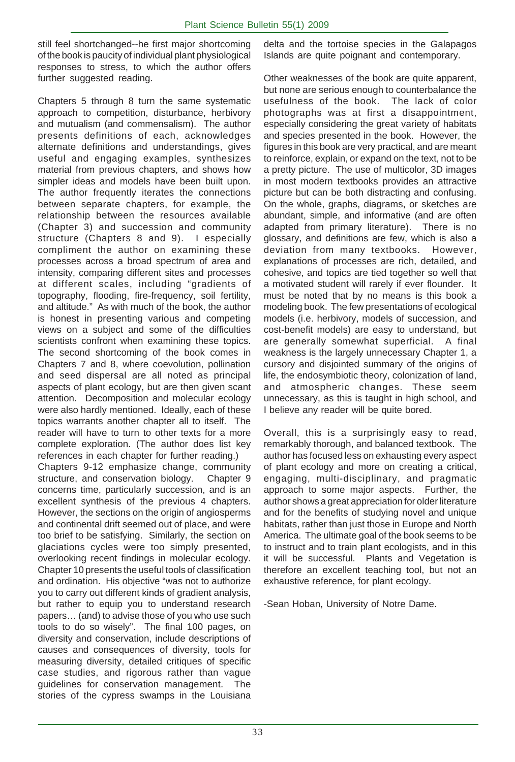still feel shortchanged--he first major shortcoming of the book is paucity of individual plant physiological responses to stress, to which the author offers further suggested reading.

Chapters 5 through 8 turn the same systematic approach to competition, disturbance, herbivory and mutualism (and commensalism). The author presents definitions of each, acknowledges alternate definitions and understandings, gives useful and engaging examples, synthesizes material from previous chapters, and shows how simpler ideas and models have been built upon. The author frequently iterates the connections between separate chapters, for example, the relationship between the resources available (Chapter 3) and succession and community structure (Chapters 8 and 9). I especially compliment the author on examining these processes across a broad spectrum of area and intensity, comparing different sites and processes at different scales, including "gradients of topography, flooding, fire-frequency, soil fertility, and altitude." As with much of the book, the author is honest in presenting various and competing views on a subject and some of the difficulties scientists confront when examining these topics. The second shortcoming of the book comes in Chapters 7 and 8, where coevolution, pollination and seed dispersal are all noted as principal aspects of plant ecology, but are then given scant attention. Decomposition and molecular ecology were also hardly mentioned. Ideally, each of these topics warrants another chapter all to itself. The reader will have to turn to other texts for a more complete exploration. (The author does list key references in each chapter for further reading.) Chapters 9-12 emphasize change, community structure, and conservation biology. Chapter 9

concerns time, particularly succession, and is an excellent synthesis of the previous 4 chapters. However, the sections on the origin of angiosperms and continental drift seemed out of place, and were too brief to be satisfying. Similarly, the section on glaciations cycles were too simply presented, overlooking recent findings in molecular ecology. Chapter 10 presents the useful tools of classification and ordination. His objective "was not to authorize you to carry out different kinds of gradient analysis, but rather to equip you to understand research papers… (and) to advise those of you who use such tools to do so wisely". The final 100 pages, on diversity and conservation, include descriptions of causes and consequences of diversity, tools for measuring diversity, detailed critiques of specific case studies, and rigorous rather than vague guidelines for conservation management. The stories of the cypress swamps in the Louisiana

delta and the tortoise species in the Galapagos Islands are quite poignant and contemporary.

Other weaknesses of the book are quite apparent, but none are serious enough to counterbalance the usefulness of the book. The lack of color photographs was at first a disappointment, especially considering the great variety of habitats and species presented in the book. However, the figures in this book are very practical, and are meant to reinforce, explain, or expand on the text, not to be a pretty picture. The use of multicolor, 3D images in most modern textbooks provides an attractive picture but can be both distracting and confusing. On the whole, graphs, diagrams, or sketches are abundant, simple, and informative (and are often adapted from primary literature). There is no glossary, and definitions are few, which is also a deviation from many textbooks. However, explanations of processes are rich, detailed, and cohesive, and topics are tied together so well that a motivated student will rarely if ever flounder. It must be noted that by no means is this book a modeling book. The few presentations of ecological models (i.e. herbivory, models of succession, and cost-benefit models) are easy to understand, but are generally somewhat superficial. A final weakness is the largely unnecessary Chapter 1, a cursory and disjointed summary of the origins of life, the endosymbiotic theory, colonization of land, and atmospheric changes. These seem unnecessary, as this is taught in high school, and I believe any reader will be quite bored.

Overall, this is a surprisingly easy to read, remarkably thorough, and balanced textbook. The author has focused less on exhausting every aspect of plant ecology and more on creating a critical, engaging, multi-disciplinary, and pragmatic approach to some major aspects. Further, the author shows a great appreciation for older literature and for the benefits of studying novel and unique habitats, rather than just those in Europe and North America. The ultimate goal of the book seems to be to instruct and to train plant ecologists, and in this it will be successful. Plants and Vegetation is therefore an excellent teaching tool, but not an exhaustive reference, for plant ecology.

-Sean Hoban, University of Notre Dame.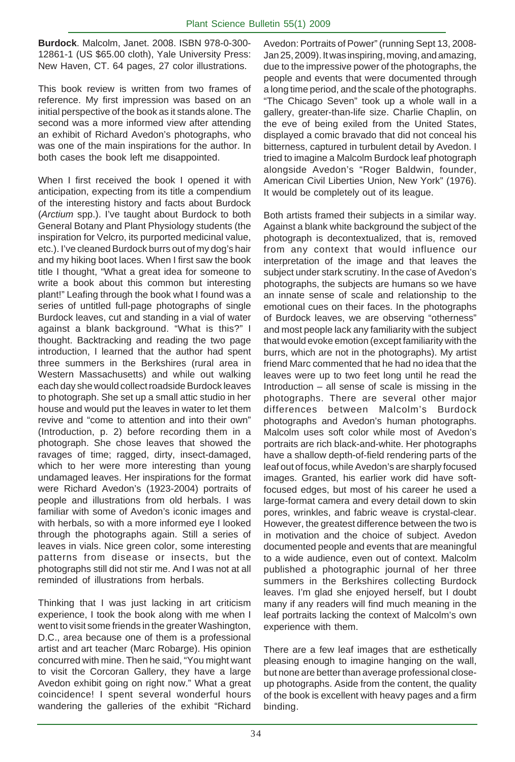**Burdock**. Malcolm, Janet. 2008. ISBN 978-0-300- 12861-1 (US \$65.00 cloth), Yale University Press: New Haven, CT. 64 pages, 27 color illustrations.

This book review is written from two frames of reference. My first impression was based on an initial perspective of the book as it stands alone. The second was a more informed view after attending an exhibit of Richard Avedon's photographs, who was one of the main inspirations for the author. In both cases the book left me disappointed.

When I first received the book I opened it with anticipation, expecting from its title a compendium of the interesting history and facts about Burdock (*Arctium* spp.). I've taught about Burdock to both General Botany and Plant Physiology students (the inspiration for Velcro, its purported medicinal value, etc.). I've cleaned Burdock burrs out of my dog's hair and my hiking boot laces. When I first saw the book title I thought, "What a great idea for someone to write a book about this common but interesting plant!" Leafing through the book what I found was a series of untitled full-page photographs of single Burdock leaves, cut and standing in a vial of water against a blank background. "What is this?" I thought. Backtracking and reading the two page introduction, I learned that the author had spent three summers in the Berkshires (rural area in Western Massachusetts) and while out walking each day she would collect roadside Burdock leaves to photograph. She set up a small attic studio in her house and would put the leaves in water to let them revive and "come to attention and into their own" (Introduction, p. 2) before recording them in a photograph. She chose leaves that showed the ravages of time; ragged, dirty, insect-damaged, which to her were more interesting than young undamaged leaves. Her inspirations for the format were Richard Avedon's (1923-2004) portraits of people and illustrations from old herbals. I was familiar with some of Avedon's iconic images and with herbals, so with a more informed eye I looked through the photographs again. Still a series of leaves in vials. Nice green color, some interesting patterns from disease or insects, but the photographs still did not stir me. And I was not at all reminded of illustrations from herbals.

Thinking that I was just lacking in art criticism experience, I took the book along with me when I went to visit some friends in the greater Washington, D.C., area because one of them is a professional artist and art teacher (Marc Robarge). His opinion concurred with mine. Then he said, "You might want to visit the Corcoran Gallery, they have a large Avedon exhibit going on right now." What a great coincidence! I spent several wonderful hours wandering the galleries of the exhibit "Richard Avedon: Portraits of Power" (running Sept 13, 2008- Jan 25, 2009). It was inspiring, moving, and amazing, due to the impressive power of the photographs, the people and events that were documented through a long time period, and the scale of the photographs. "The Chicago Seven" took up a whole wall in a gallery, greater-than-life size. Charlie Chaplin, on the eve of being exiled from the United States, displayed a comic bravado that did not conceal his bitterness, captured in turbulent detail by Avedon. I tried to imagine a Malcolm Burdock leaf photograph alongside Avedon's "Roger Baldwin, founder, American Civil Liberties Union, New York" (1976). It would be completely out of its league.

Both artists framed their subjects in a similar way. Against a blank white background the subject of the photograph is decontextualized, that is, removed from any context that would influence our interpretation of the image and that leaves the subject under stark scrutiny. In the case of Avedon's photographs, the subjects are humans so we have an innate sense of scale and relationship to the emotional cues on their faces. In the photographs of Burdock leaves, we are observing "otherness" and most people lack any familiarity with the subject that would evoke emotion (except familiarity with the burrs, which are not in the photographs). My artist friend Marc commented that he had no idea that the leaves were up to two feet long until he read the Introduction  $-$  all sense of scale is missing in the photographs. There are several other major differences between Malcolm's Burdock photographs and Avedon's human photographs. Malcolm uses soft color while most of Avedon's portraits are rich black-and-white. Her photographs have a shallow depth-of-field rendering parts of the leaf out of focus, while Avedon's are sharply focused images. Granted, his earlier work did have softfocused edges, but most of his career he used a large-format camera and every detail down to skin pores, wrinkles, and fabric weave is crystal-clear. However, the greatest difference between the two is in motivation and the choice of subject. Avedon documented people and events that are meaningful to a wide audience, even out of context. Malcolm published a photographic journal of her three summers in the Berkshires collecting Burdock leaves. I'm glad she enjoyed herself, but I doubt many if any readers will find much meaning in the leaf portraits lacking the context of Malcolm's own experience with them.

There are a few leaf images that are esthetically pleasing enough to imagine hanging on the wall, but none are better than average professional closeup photographs. Aside from the content, the quality of the book is excellent with heavy pages and a firm binding.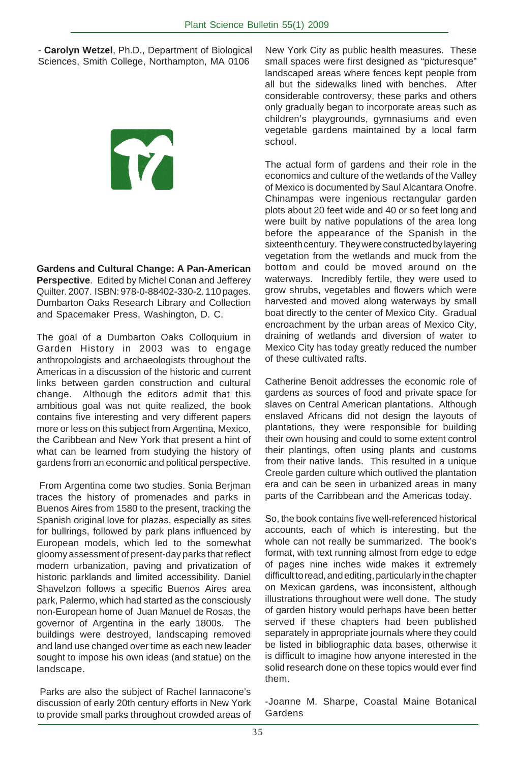- **Carolyn Wetzel**, Ph.D., Department of Biological Sciences, Smith College, Northampton, MA 0106

# T

**Gardens and Cultural Change: A Pan-American Perspective**. Edited by Michel Conan and Jefferey Quilter. 2007. ISBN: 978-0-88402-330-2. 110 pages. Dumbarton Oaks Research Library and Collection and Spacemaker Press, Washington, D. C.

The goal of a Dumbarton Oaks Colloquium in Garden History in 2003 was to engage anthropologists and archaeologists throughout the Americas in a discussion of the historic and current links between garden construction and cultural change. Although the editors admit that this ambitious goal was not quite realized, the book contains five interesting and very different papers more or less on this subject from Argentina, Mexico, the Caribbean and New York that present a hint of what can be learned from studying the history of gardens from an economic and political perspective.

 From Argentina come two studies. Sonia Berjman traces the history of promenades and parks in Buenos Aires from 1580 to the present, tracking the Spanish original love for plazas, especially as sites for bullrings, followed by park plans influenced by European models, which led to the somewhat gloomy assessment of present-day parks that reflect modern urbanization, paving and privatization of historic parklands and limited accessibility. Daniel Shavelzon follows a specific Buenos Aires area park, Palermo, which had started as the consciously non-European home of Juan Manuel de Rosas, the governor of Argentina in the early 1800s. The buildings were destroyed, landscaping removed and land use changed over time as each new leader sought to impose his own ideas (and statue) on the landscape.

 Parks are also the subject of Rachel Iannacone's discussion of early 20th century efforts in New York to provide small parks throughout crowded areas of

New York City as public health measures. These small spaces were first designed as "picturesque" landscaped areas where fences kept people from all but the sidewalks lined with benches. After considerable controversy, these parks and others only gradually began to incorporate areas such as children's playgrounds, gymnasiums and even vegetable gardens maintained by a local farm school.

The actual form of gardens and their role in the economics and culture of the wetlands of the Valley of Mexico is documented by Saul Alcantara Onofre. Chinampas were ingenious rectangular garden plots about 20 feet wide and 40 or so feet long and were built by native populations of the area long before the appearance of the Spanish in the sixteenth century. They were constructed by layering vegetation from the wetlands and muck from the bottom and could be moved around on the waterways. Incredibly fertile, they were used to grow shrubs, vegetables and flowers which were harvested and moved along waterways by small boat directly to the center of Mexico City. Gradual encroachment by the urban areas of Mexico City, draining of wetlands and diversion of water to Mexico City has today greatly reduced the number of these cultivated rafts.

Catherine Benoit addresses the economic role of gardens as sources of food and private space for slaves on Central American plantations. Although enslaved Africans did not design the layouts of plantations, they were responsible for building their own housing and could to some extent control their plantings, often using plants and customs from their native lands. This resulted in a unique Creole garden culture which outlived the plantation era and can be seen in urbanized areas in many parts of the Carribbean and the Americas today.

So, the book contains five well-referenced historical accounts, each of which is interesting, but the whole can not really be summarized. The book's format, with text running almost from edge to edge of pages nine inches wide makes it extremely difficult to read, and editing, particularly in the chapter on Mexican gardens, was inconsistent, although illustrations throughout were well done. The study of garden history would perhaps have been better served if these chapters had been published separately in appropriate journals where they could be listed in bibliographic data bases, otherwise it is difficult to imagine how anyone interested in the solid research done on these topics would ever find them.

-Joanne M. Sharpe, Coastal Maine Botanical Gardens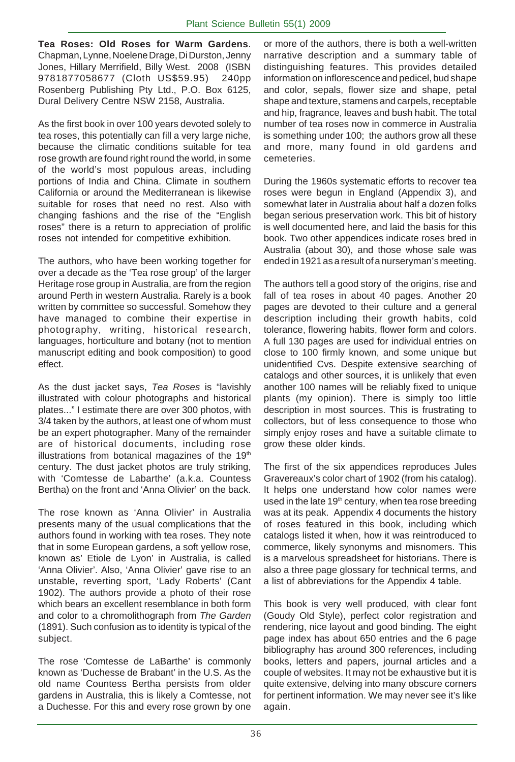**Tea Roses: Old Roses for Warm Gardens**. Chapman, Lynne, Noelene Drage, Di Durston, Jenny Jones, Hillary Merrifield, Billy West. 2008 (ISBN 9781877058677 (Cloth US\$59.95) 240pp Rosenberg Publishing Pty Ltd., P.O. Box 6125, Dural Delivery Centre NSW 2158, Australia.

As the first book in over 100 years devoted solely to tea roses, this potentially can fill a very large niche, because the climatic conditions suitable for tea rose growth are found right round the world, in some of the world's most populous areas, including portions of India and China. Climate in southern California or around the Mediterranean is likewise suitable for roses that need no rest. Also with changing fashions and the rise of the "English roses" there is a return to appreciation of prolific roses not intended for competitive exhibition.

The authors, who have been working together for over a decade as the 'Tea rose group' of the larger Heritage rose group in Australia, are from the region around Perth in western Australia. Rarely is a book written by committee so successful. Somehow they have managed to combine their expertise in photography, writing, historical research, languages, horticulture and botany (not to mention manuscript editing and book composition) to good effect.

As the dust jacket says, *Tea Roses* is "lavishly illustrated with colour photographs and historical plates..." I estimate there are over 300 photos, with 3/4 taken by the authors, at least one of whom must be an expert photographer. Many of the remainder are of historical documents, including rose illustrations from botanical magazines of the  $19<sup>th</sup>$ century. The dust jacket photos are truly striking, with 'Comtesse de Labarthe' (a.k.a. Countess Bertha) on the front and 'Anna Olivier' on the back.

The rose known as 'Anna Olivier' in Australia presents many of the usual complications that the authors found in working with tea roses. They note that in some European gardens, a soft yellow rose, known as' Etiole de Lyon' in Australia, is called 'Anna Olivier'. Also, 'Anna Olivier' gave rise to an unstable, reverting sport, 'Lady Roberts' (Cant 1902). The authors provide a photo of their rose which bears an excellent resemblance in both form and color to a chromolithograph from *The Garden* (1891). Such confusion as to identity is typical of the subject.

The rose 'Comtesse de LaBarthe' is commonly known as 'Duchesse de Brabant' in the U.S. As the old name Countess Bertha persists from older gardens in Australia, this is likely a Comtesse, not a Duchesse. For this and every rose grown by one

or more of the authors, there is both a well-written narrative description and a summary table of distinguishing features. This provides detailed information on inflorescence and pedicel, bud shape and color, sepals, flower size and shape, petal shape and texture, stamens and carpels, receptable and hip, fragrance, leaves and bush habit. The total number of tea roses now in commerce in Australia is something under 100; the authors grow all these and more, many found in old gardens and cemeteries.

During the 1960s systematic efforts to recover tea roses were begun in England (Appendix 3), and somewhat later in Australia about half a dozen folks began serious preservation work. This bit of history is well documented here, and laid the basis for this book. Two other appendices indicate roses bred in Australia (about 30), and those whose sale was ended in 1921 as a result of a nurseryman's meeting.

The authors tell a good story of the origins, rise and fall of tea roses in about 40 pages. Another 20 pages are devoted to their culture and a general description including their growth habits, cold tolerance, flowering habits, flower form and colors. A full 130 pages are used for individual entries on close to 100 firmly known, and some unique but unidentified Cvs. Despite extensive searching of catalogs and other sources, it is unlikely that even another 100 names will be reliably fixed to unique plants (my opinion). There is simply too little description in most sources. This is frustrating to collectors, but of less consequence to those who simply enjoy roses and have a suitable climate to grow these older kinds.

The first of the six appendices reproduces Jules Gravereaux's color chart of 1902 (from his catalog). It helps one understand how color names were used in the late 19<sup>th</sup> century, when tea rose breeding was at its peak. Appendix 4 documents the history of roses featured in this book, including which catalogs listed it when, how it was reintroduced to commerce, likely synonyms and misnomers. This is a marvelous spreadsheet for historians. There is also a three page glossary for technical terms, and a list of abbreviations for the Appendix 4 table.

This book is very well produced, with clear font (Goudy Old Style), perfect color registration and rendering, nice layout and good binding. The eight page index has about 650 entries and the 6 page bibliography has around 300 references, including books, letters and papers, journal articles and a couple of websites. It may not be exhaustive but it is quite extensive, delving into many obscure corners for pertinent information. We may never see it's like again.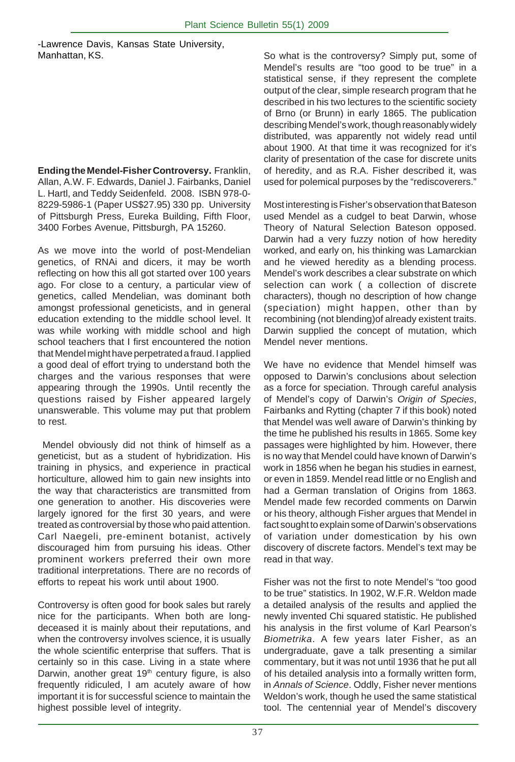-Lawrence Davis, Kansas State University, Manhattan, KS.

**Ending the Mendel-Fisher Controversy.** Franklin, Allan, A.W. F. Edwards, Daniel J. Fairbanks, Daniel L. Hartl, and Teddy Seidenfeld. 2008. ISBN 978-0- 8229-5986-1 (Paper US\$27.95) 330 pp. University of Pittsburgh Press, Eureka Building, Fifth Floor, 3400 Forbes Avenue, Pittsburgh, PA 15260.

As we move into the world of post-Mendelian genetics, of RNAi and dicers, it may be worth reflecting on how this all got started over 100 years ago. For close to a century, a particular view of genetics, called Mendelian, was dominant both amongst professional geneticists, and in general education extending to the middle school level. It was while working with middle school and high school teachers that I first encountered the notion that Mendel might have perpetrated a fraud. I applied a good deal of effort trying to understand both the charges and the various responses that were appearing through the 1990s. Until recently the questions raised by Fisher appeared largely unanswerable. This volume may put that problem to rest.

 Mendel obviously did not think of himself as a geneticist, but as a student of hybridization. His training in physics, and experience in practical horticulture, allowed him to gain new insights into the way that characteristics are transmitted from one generation to another. His discoveries were largely ignored for the first 30 years, and were treated as controversial by those who paid attention. Carl Naegeli, pre-eminent botanist, actively discouraged him from pursuing his ideas. Other prominent workers preferred their own more traditional interpretations. There are no records of efforts to repeat his work until about 1900.

Controversy is often good for book sales but rarely nice for the participants. When both are longdeceased it is mainly about their reputations, and when the controversy involves science, it is usually the whole scientific enterprise that suffers. That is certainly so in this case. Living in a state where Darwin, another great 19<sup>th</sup> century figure, is also frequently ridiculed, I am acutely aware of how important it is for successful science to maintain the highest possible level of integrity.

So what is the controversy? Simply put, some of Mendel's results are "too good to be true" in a statistical sense, if they represent the complete output of the clear, simple research program that he described in his two lectures to the scientific society of Brno (or Brunn) in early 1865. The publication describing Mendel's work, though reasonably widely distributed, was apparently not widely read until about 1900. At that time it was recognized for it's clarity of presentation of the case for discrete units of heredity, and as R.A. Fisher described it, was used for polemical purposes by the "rediscoverers."

Most interesting is Fisher's observation that Bateson used Mendel as a cudgel to beat Darwin, whose Theory of Natural Selection Bateson opposed. Darwin had a very fuzzy notion of how heredity worked, and early on, his thinking was Lamarckian and he viewed heredity as a blending process. Mendel's work describes a clear substrate on which selection can work ( a collection of discrete characters), though no description of how change (speciation) might happen, other than by recombining (not blending)of already existent traits. Darwin supplied the concept of mutation, which Mendel never mentions.

We have no evidence that Mendel himself was opposed to Darwin's conclusions about selection as a force for speciation. Through careful analysis of Mendel's copy of Darwin's *Origin of Species*, Fairbanks and Rytting (chapter 7 if this book) noted that Mendel was well aware of Darwin's thinking by the time he published his results in 1865. Some key passages were highlighted by him. However, there is no way that Mendel could have known of Darwin's work in 1856 when he began his studies in earnest, or even in 1859. Mendel read little or no English and had a German translation of Origins from 1863. Mendel made few recorded comments on Darwin or his theory, although Fisher argues that Mendel in fact sought to explain some of Darwin's observations of variation under domestication by his own discovery of discrete factors. Mendel's text may be read in that way.

Fisher was not the first to note Mendel's "too good to be true" statistics. In 1902, W.F.R. Weldon made a detailed analysis of the results and applied the newly invented Chi squared statistic. He published his analysis in the first volume of Karl Pearson's *Biometrika*. A few years later Fisher, as an undergraduate, gave a talk presenting a similar commentary, but it was not until 1936 that he put all of his detailed analysis into a formally written form, in *Annals of Science*. Oddly, Fisher never mentions Weldon's work, though he used the same statistical tool. The centennial year of Mendel's discovery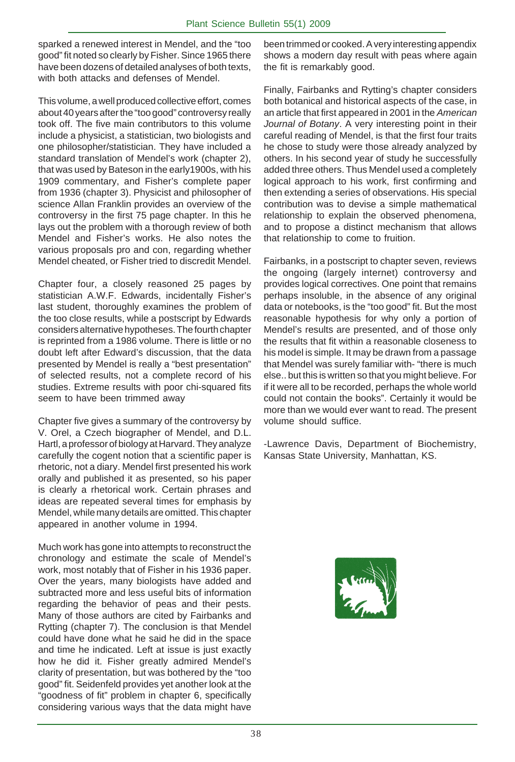sparked a renewed interest in Mendel, and the "too good" fit noted so clearly by Fisher. Since 1965 there have been dozens of detailed analyses of both texts, with both attacks and defenses of Mendel.

This volume, a well produced collective effort, comes about 40 years after the "too good" controversy really took off. The five main contributors to this volume include a physicist, a statistician, two biologists and one philosopher/statistician. They have included a standard translation of Mendel's work (chapter 2), that was used by Bateson in the early1900s, with his 1909 commentary, and Fisher's complete paper from 1936 (chapter 3). Physicist and philosopher of science Allan Franklin provides an overview of the controversy in the first 75 page chapter. In this he lays out the problem with a thorough review of both Mendel and Fisher's works. He also notes the various proposals pro and con, regarding whether Mendel cheated, or Fisher tried to discredit Mendel.

Chapter four, a closely reasoned 25 pages by statistician A.W.F. Edwards, incidentally Fisher's last student, thoroughly examines the problem of the too close results, while a postscript by Edwards considers alternative hypotheses. The fourth chapter is reprinted from a 1986 volume. There is little or no doubt left after Edward's discussion, that the data presented by Mendel is really a "best presentation" of selected results, not a complete record of his studies. Extreme results with poor chi-squared fits seem to have been trimmed away

Chapter five gives a summary of the controversy by V. Orel, a Czech biographer of Mendel, and D.L. Hartl, a professor of biology at Harvard. They analyze carefully the cogent notion that a scientific paper is rhetoric, not a diary. Mendel first presented his work orally and published it as presented, so his paper is clearly a rhetorical work. Certain phrases and ideas are repeated several times for emphasis by Mendel, while many details are omitted. This chapter appeared in another volume in 1994.

Much work has gone into attempts to reconstruct the chronology and estimate the scale of Mendel's work, most notably that of Fisher in his 1936 paper. Over the years, many biologists have added and subtracted more and less useful bits of information regarding the behavior of peas and their pests. Many of those authors are cited by Fairbanks and Rytting (chapter 7). The conclusion is that Mendel could have done what he said he did in the space and time he indicated. Left at issue is just exactly how he did it. Fisher greatly admired Mendel's clarity of presentation, but was bothered by the "too good" fit. Seidenfeld provides yet another look at the "goodness of fit" problem in chapter 6, specifically considering various ways that the data might have

been trimmed or cooked. A very interesting appendix shows a modern day result with peas where again the fit is remarkably good.

Finally, Fairbanks and Rytting's chapter considers both botanical and historical aspects of the case, in an article that first appeared in 2001 in the *American Journal of Botany*. A very interesting point in their careful reading of Mendel, is that the first four traits he chose to study were those already analyzed by others. In his second year of study he successfully added three others. Thus Mendel used a completely logical approach to his work, first confirming and then extending a series of observations. His special contribution was to devise a simple mathematical relationship to explain the observed phenomena, and to propose a distinct mechanism that allows that relationship to come to fruition.

Fairbanks, in a postscript to chapter seven, reviews the ongoing (largely internet) controversy and provides logical correctives. One point that remains perhaps insoluble, in the absence of any original data or notebooks, is the "too good" fit. But the most reasonable hypothesis for why only a portion of Mendel's results are presented, and of those only the results that fit within a reasonable closeness to his model is simple. It may be drawn from a passage that Mendel was surely familiar with- "there is much else.. but this is written so that you might believe. For if it were all to be recorded, perhaps the whole world could not contain the books". Certainly it would be more than we would ever want to read. The present volume should suffice.

-Lawrence Davis, Department of Biochemistry, Kansas State University, Manhattan, KS.

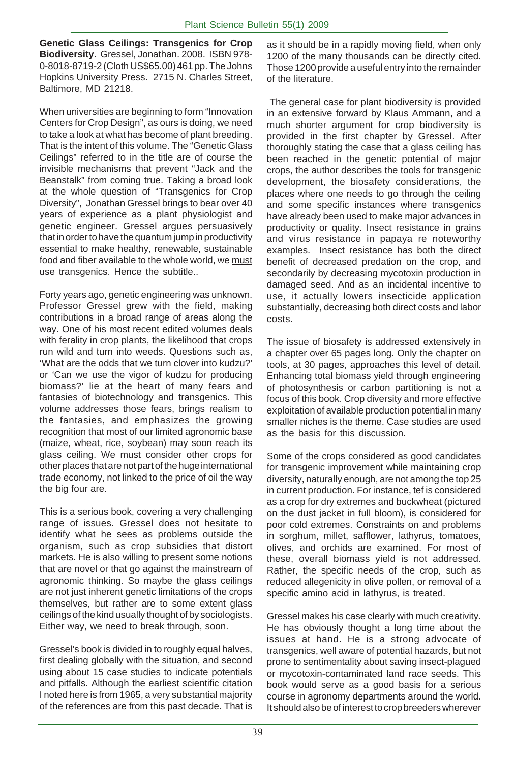**Genetic Glass Ceilings: Transgenics for Crop Biodiversity.** Gressel, Jonathan. 2008. ISBN 978- 0-8018-8719-2 (Cloth US\$65.00) 461 pp. The Johns Hopkins University Press. 2715 N. Charles Street, Baltimore, MD 21218.

When universities are beginning to form "Innovation Centers for Crop Design", as ours is doing, we need to take a look at what has become of plant breeding. That is the intent of this volume. The "Genetic Glass Ceilings" referred to in the title are of course the invisible mechanisms that prevent "Jack and the Beanstalk" from coming true. Taking a broad look at the whole question of "Transgenics for Crop Diversity", Jonathan Gressel brings to bear over 40 years of experience as a plant physiologist and genetic engineer. Gressel argues persuasively that in order to have the quantum jump in productivity essential to make healthy, renewable, sustainable food and fiber available to the whole world, we must use transgenics. Hence the subtitle..

Forty years ago, genetic engineering was unknown. Professor Gressel grew with the field, making contributions in a broad range of areas along the way. One of his most recent edited volumes deals with ferality in crop plants, the likelihood that crops run wild and turn into weeds. Questions such as, 'What are the odds that we turn clover into kudzu?' or 'Can we use the vigor of kudzu for producing biomass?' lie at the heart of many fears and fantasies of biotechnology and transgenics. This volume addresses those fears, brings realism to the fantasies, and emphasizes the growing recognition that most of our limited agronomic base (maize, wheat, rice, soybean) may soon reach its glass ceiling. We must consider other crops for other places that are not part of the huge international trade economy, not linked to the price of oil the way the big four are.

This is a serious book, covering a very challenging range of issues. Gressel does not hesitate to identify what he sees as problems outside the organism, such as crop subsidies that distort markets. He is also willing to present some notions that are novel or that go against the mainstream of agronomic thinking. So maybe the glass ceilings are not just inherent genetic limitations of the crops themselves, but rather are to some extent glass ceilings of the kind usually thought of by sociologists. Either way, we need to break through, soon.

Gressel's book is divided in to roughly equal halves, first dealing globally with the situation, and second using about 15 case studies to indicate potentials and pitfalls. Although the earliest scientific citation I noted here is from 1965, a very substantial majority of the references are from this past decade. That is

as it should be in a rapidly moving field, when only 1200 of the many thousands can be directly cited. Those 1200 provide a useful entry into the remainder of the literature.

 The general case for plant biodiversity is provided in an extensive forward by Klaus Ammann, and a much shorter argument for crop biodiversity is provided in the first chapter by Gressel. After thoroughly stating the case that a glass ceiling has been reached in the genetic potential of major crops, the author describes the tools for transgenic development, the biosafety considerations, the places where one needs to go through the ceiling and some specific instances where transgenics have already been used to make major advances in productivity or quality. Insect resistance in grains and virus resistance in papaya re noteworthy examples. Insect resistance has both the direct benefit of decreased predation on the crop, and secondarily by decreasing mycotoxin production in damaged seed. And as an incidental incentive to use, it actually lowers insecticide application substantially, decreasing both direct costs and labor costs.

The issue of biosafety is addressed extensively in a chapter over 65 pages long. Only the chapter on tools, at 30 pages, approaches this level of detail. Enhancing total biomass yield through engineering of photosynthesis or carbon partitioning is not a focus of this book. Crop diversity and more effective exploitation of available production potential in many smaller niches is the theme. Case studies are used as the basis for this discussion.

Some of the crops considered as good candidates for transgenic improvement while maintaining crop diversity, naturally enough, are not among the top 25 in current production. For instance, tef is considered as a crop for dry extremes and buckwheat (pictured on the dust jacket in full bloom), is considered for poor cold extremes. Constraints on and problems in sorghum, millet, safflower, lathyrus, tomatoes, olives, and orchids are examined. For most of these, overall biomass yield is not addressed. Rather, the specific needs of the crop, such as reduced allegenicity in olive pollen, or removal of a specific amino acid in lathyrus, is treated.

Gressel makes his case clearly with much creativity. He has obviously thought a long time about the issues at hand. He is a strong advocate of transgenics, well aware of potential hazards, but not prone to sentimentality about saving insect-plagued or mycotoxin-contaminated land race seeds. This book would serve as a good basis for a serious course in agronomy departments around the world. It should also be of interest to crop breeders wherever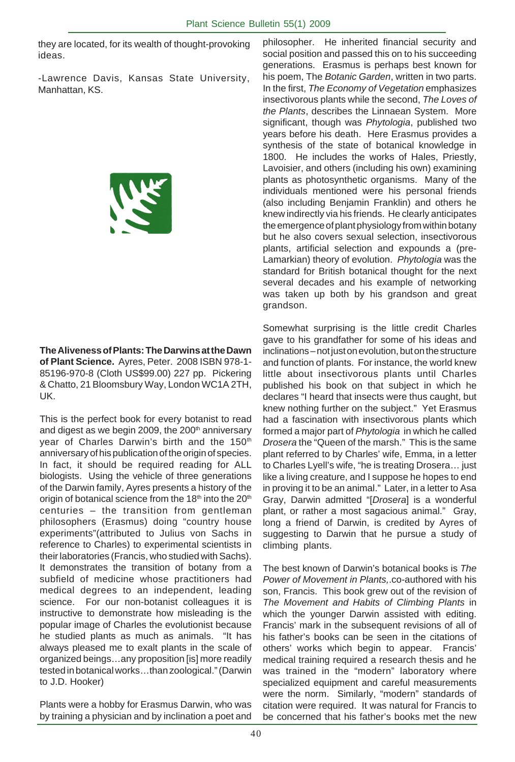they are located, for its wealth of thought-provoking ideas.

-Lawrence Davis, Kansas State University, Manhattan, KS.



**The Aliveness of Plants: The Darwins at the Dawn of Plant Science.** Ayres, Peter. 2008 ISBN 978-1- 85196-970-8 (Cloth US\$99.00) 227 pp. Pickering & Chatto, 21 Bloomsbury Way, London WC1A 2TH, UK.

This is the perfect book for every botanist to read and digest as we begin 2009, the 200<sup>th</sup> anniversary year of Charles Darwin's birth and the 150<sup>th</sup> anniversary of his publication of the origin of species. In fact, it should be required reading for ALL biologists. Using the vehicle of three generations of the Darwin family, Ayres presents a history of the origin of botanical science from the  $18<sup>th</sup>$  into the  $20<sup>th</sup>$ centuries – the transition from gentleman philosophers (Erasmus) doing "country house experiments"(attributed to Julius von Sachs in reference to Charles) to experimental scientists in their laboratories (Francis, who studied with Sachs). It demonstrates the transition of botany from a subfield of medicine whose practitioners had medical degrees to an independent, leading science. For our non-botanist colleagues it is instructive to demonstrate how misleading is the popular image of Charles the evolutionist because he studied plants as much as animals. "It has always pleased me to exalt plants in the scale of organized beings…any proposition [is] more readily tested in botanical works…than zoological." (Darwin to J.D. Hooker)

Plants were a hobby for Erasmus Darwin, who was by training a physician and by inclination a poet and philosopher. He inherited financial security and social position and passed this on to his succeeding generations. Erasmus is perhaps best known for his poem, The *Botanic Garden*, written in two parts. In the first, *The Economy of Vegetation* emphasizes insectivorous plants while the second, *The Loves of the Plants*, describes the Linnaean System. More significant, though was *Phytologia*, published two years before his death. Here Erasmus provides a synthesis of the state of botanical knowledge in 1800. He includes the works of Hales, Priestly, Lavoisier, and others (including his own) examining plants as photosynthetic organisms. Many of the individuals mentioned were his personal friends (also including Benjamin Franklin) and others he knew indirectly via his friends. He clearly anticipates the emergence of plant physiology from within botany but he also covers sexual selection, insectivorous plants, artificial selection and expounds a (pre-Lamarkian) theory of evolution. *Phytologia* was the standard for British botanical thought for the next several decades and his example of networking was taken up both by his grandson and great grandson.

Somewhat surprising is the little credit Charles gave to his grandfather for some of his ideas and inclinations – not just on evolution, but on the structure and function of plants. For instance, the world knew little about insectivorous plants until Charles published his book on that subject in which he declares "I heard that insects were thus caught, but knew nothing further on the subject." Yet Erasmus had a fascination with insectivorous plants which formed a major part of *Phytologia* in which he called *Drosera* the "Queen of the marsh." This is the same plant referred to by Charles' wife, Emma, in a letter to Charles Lyell's wife, "he is treating Drosera… just like a living creature, and I suppose he hopes to end in proving it to be an animal." Later, in a letter to Asa Gray, Darwin admitted "[*Drosera*] is a wonderful plant, or rather a most sagacious animal." Gray, long a friend of Darwin, is credited by Ayres of suggesting to Darwin that he pursue a study of climbing plants.

The best known of Darwin's botanical books is *The Power of Movement in Plants,*.co-authored with his son, Francis. This book grew out of the revision of *The Movement and Habits of Climbing Plants* in which the younger Darwin assisted with editing. Francis' mark in the subsequent revisions of all of his father's books can be seen in the citations of others' works which begin to appear. Francis' medical training required a research thesis and he was trained in the "modern" laboratory where specialized equipment and careful measurements were the norm. Similarly, "modern" standards of citation were required. It was natural for Francis to be concerned that his father's books met the new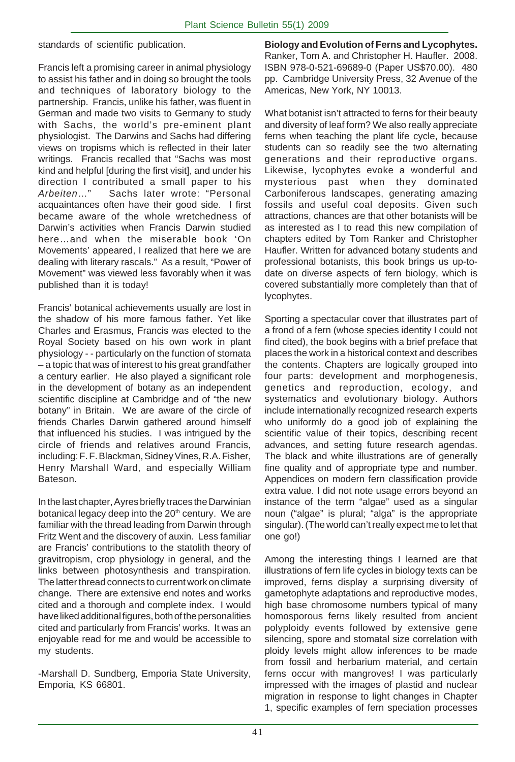standards of scientific publication.

Francis left a promising career in animal physiology to assist his father and in doing so brought the tools and techniques of laboratory biology to the partnership. Francis, unlike his father, was fluent in German and made two visits to Germany to study with Sachs, the world's pre-eminent plant physiologist. The Darwins and Sachs had differing views on tropisms which is reflected in their later writings. Francis recalled that "Sachs was most kind and helpful [during the first visit], and under his direction I contributed a small paper to his *Arbeiten*…" Sachs later wrote: "Personal acquaintances often have their good side. I first became aware of the whole wretchedness of Darwin's activities when Francis Darwin studied here…and when the miserable book 'On Movements' appeared, I realized that here we are dealing with literary rascals." As a result, "Power of Movement" was viewed less favorably when it was published than it is today!

Francis' botanical achievements usually are lost in the shadow of his more famous father. Yet like Charles and Erasmus, Francis was elected to the Royal Society based on his own work in plant physiology - - particularly on the function of stomata – a topic that was of interest to his great grandfather a century earlier. He also played a significant role in the development of botany as an independent scientific discipline at Cambridge and of "the new botany" in Britain. We are aware of the circle of friends Charles Darwin gathered around himself that influenced his studies. I was intrigued by the circle of friends and relatives around Francis, including: F. F. Blackman, Sidney Vines, R.A. Fisher, Henry Marshall Ward, and especially William Bateson.

In the last chapter, Ayres briefly traces the Darwinian botanical legacy deep into the 20<sup>th</sup> century. We are familiar with the thread leading from Darwin through Fritz Went and the discovery of auxin. Less familiar are Francis' contributions to the statolith theory of gravitropism, crop physiology in general, and the links between photosynthesis and transpiration. The latter thread connects to current work on climate change. There are extensive end notes and works cited and a thorough and complete index. I would have liked additional figures, both of the personalities cited and particularly from Francis' works. It was an enjoyable read for me and would be accessible to my students.

-Marshall D. Sundberg, Emporia State University, Emporia, KS 66801.

**Biology and Evolution of Ferns and Lycophytes.** Ranker, Tom A. and Christopher H. Haufler. 2008. ISBN 978-0-521-69689-0 (Paper US\$70.00). 480 pp. Cambridge University Press, 32 Avenue of the Americas, New York, NY 10013.

What botanist isn't attracted to ferns for their beauty and diversity of leaf form? We also really appreciate ferns when teaching the plant life cycle, because students can so readily see the two alternating generations and their reproductive organs. Likewise, lycophytes evoke a wonderful and mysterious past when they dominated Carboniferous landscapes, generating amazing fossils and useful coal deposits. Given such attractions, chances are that other botanists will be as interested as I to read this new compilation of chapters edited by Tom Ranker and Christopher Haufler. Written for advanced botany students and professional botanists, this book brings us up-todate on diverse aspects of fern biology, which is covered substantially more completely than that of lycophytes.

Sporting a spectacular cover that illustrates part of a frond of a fern (whose species identity I could not find cited), the book begins with a brief preface that places the work in a historical context and describes the contents. Chapters are logically grouped into four parts: development and morphogenesis, genetics and reproduction, ecology, and systematics and evolutionary biology. Authors include internationally recognized research experts who uniformly do a good job of explaining the scientific value of their topics, describing recent advances, and setting future research agendas. The black and white illustrations are of generally fine quality and of appropriate type and number. Appendices on modern fern classification provide extra value. I did not note usage errors beyond an instance of the term "algae" used as a singular noun ("algae" is plural; "alga" is the appropriate singular). (The world can't really expect me to let that one go!)

Among the interesting things I learned are that illustrations of fern life cycles in biology texts can be improved, ferns display a surprising diversity of gametophyte adaptations and reproductive modes, high base chromosome numbers typical of many homosporous ferns likely resulted from ancient polyploidy events followed by extensive gene silencing, spore and stomatal size correlation with ploidy levels might allow inferences to be made from fossil and herbarium material, and certain ferns occur with mangroves! I was particularly impressed with the images of plastid and nuclear migration in response to light changes in Chapter 1, specific examples of fern speciation processes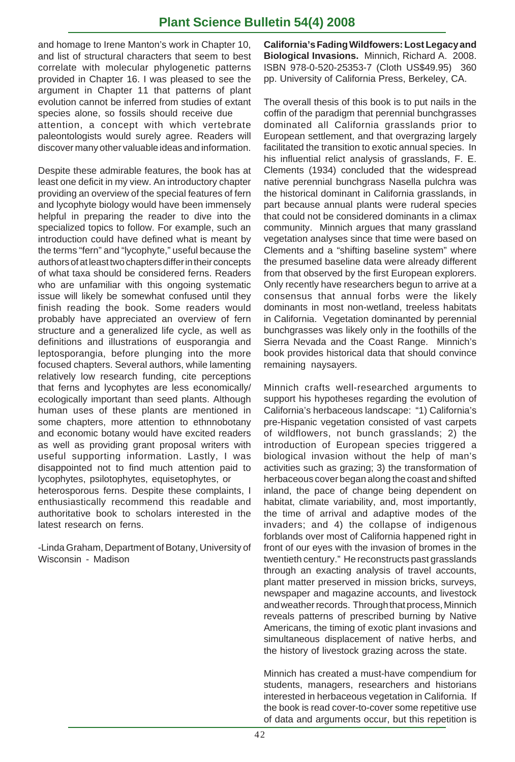## **Plant Science Bulletin 54(4) 2008**

and homage to Irene Manton's work in Chapter 10, and list of structural characters that seem to best correlate with molecular phylogenetic patterns provided in Chapter 16. I was pleased to see the argument in Chapter 11 that patterns of plant evolution cannot be inferred from studies of extant species alone, so fossils should receive due attention, a concept with which vertebrate paleontologists would surely agree. Readers will discover many other valuable ideas and information.

Despite these admirable features, the book has at least one deficit in my view. An introductory chapter providing an overview of the special features of fern and lycophyte biology would have been immensely helpful in preparing the reader to dive into the specialized topics to follow. For example, such an introduction could have defined what is meant by the terms "fern" and "lycophyte," useful because the authors of at least two chapters differ in their concepts of what taxa should be considered ferns. Readers who are unfamiliar with this ongoing systematic issue will likely be somewhat confused until they finish reading the book. Some readers would probably have appreciated an overview of fern structure and a generalized life cycle, as well as definitions and illustrations of eusporangia and leptosporangia, before plunging into the more focused chapters. Several authors, while lamenting relatively low research funding, cite perceptions that ferns and lycophytes are less economically/ ecologically important than seed plants. Although human uses of these plants are mentioned in some chapters, more attention to ethnnobotany and economic botany would have excited readers as well as providing grant proposal writers with useful supporting information. Lastly, I was disappointed not to find much attention paid to lycophytes, psilotophytes, equisetophytes, or heterosporous ferns. Despite these complaints, I enthusiastically recommend this readable and authoritative book to scholars interested in the latest research on ferns.

-Linda Graham, Department of Botany, University of Wisconsin - Madison

**California's Fading Wildfowers: Lost Legacy and Biological Invasions.** Minnich, Richard A. 2008. ISBN 978-0-520-25353-7 (Cloth US\$49.95) 360 pp. University of California Press, Berkeley, CA.

The overall thesis of this book is to put nails in the coffin of the paradigm that perennial bunchgrasses dominated all California grasslands prior to European settlement, and that overgrazing largely facilitated the transition to exotic annual species. In his influential relict analysis of grasslands, F. E. Clements (1934) concluded that the widespread native perennial bunchgrass Nasella pulchra was the historical dominant in California grasslands, in part because annual plants were ruderal species that could not be considered dominants in a climax community. Minnich argues that many grassland vegetation analyses since that time were based on Clements and a "shifting baseline system" where the presumed baseline data were already different from that observed by the first European explorers. Only recently have researchers begun to arrive at a consensus that annual forbs were the likely dominants in most non-wetland, treeless habitats in California. Vegetation dominanted by perennial bunchgrasses was likely only in the foothills of the Sierra Nevada and the Coast Range. Minnich's book provides historical data that should convince remaining naysayers.

Minnich crafts well-researched arguments to support his hypotheses regarding the evolution of California's herbaceous landscape: "1) California's pre-Hispanic vegetation consisted of vast carpets of wildflowers, not bunch grasslands; 2) the introduction of European species triggered a biological invasion without the help of man's activities such as grazing; 3) the transformation of herbaceous cover began along the coast and shifted inland, the pace of change being dependent on habitat, climate variability, and, most importantly, the time of arrival and adaptive modes of the invaders; and 4) the collapse of indigenous forblands over most of California happened right in front of our eyes with the invasion of bromes in the twentieth century." He reconstructs past grasslands through an exacting analysis of travel accounts, plant matter preserved in mission bricks, surveys, newspaper and magazine accounts, and livestock and weather records. Through that process, Minnich reveals patterns of prescribed burning by Native Americans, the timing of exotic plant invasions and simultaneous displacement of native herbs, and the history of livestock grazing across the state.

Minnich has created a must-have compendium for students, managers, researchers and historians interested in herbaceous vegetation in California. If the book is read cover-to-cover some repetitive use of data and arguments occur, but this repetition is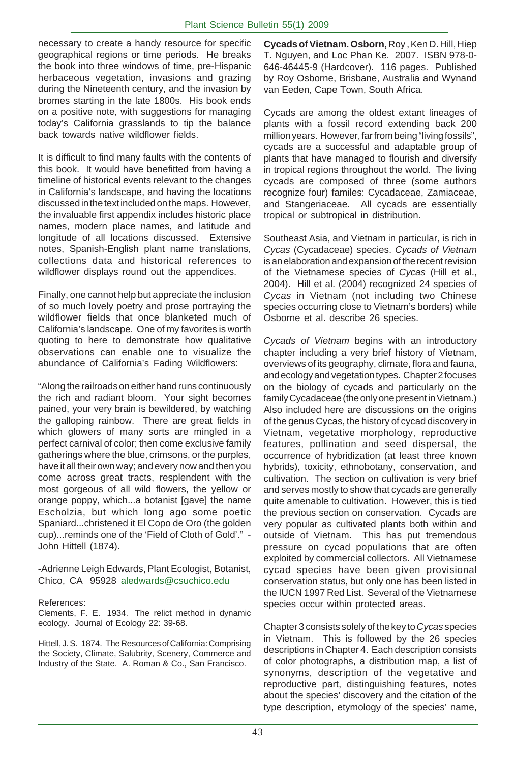necessary to create a handy resource for specific geographical regions or time periods. He breaks the book into three windows of time, pre-Hispanic herbaceous vegetation, invasions and grazing during the Nineteenth century, and the invasion by bromes starting in the late 1800s. His book ends on a positive note, with suggestions for managing today's California grasslands to tip the balance back towards native wildflower fields.

It is difficult to find many faults with the contents of this book. It would have benefitted from having a timeline of historical events relevant to the changes in California's landscape, and having the locations discussed in the text included on the maps. However, the invaluable first appendix includes historic place names, modern place names, and latitude and longitude of all locations discussed. Extensive notes, Spanish-English plant name translations, collections data and historical references to wildflower displays round out the appendices.

Finally, one cannot help but appreciate the inclusion of so much lovely poetry and prose portraying the wildflower fields that once blanketed much of California's landscape. One of my favorites is worth quoting to here to demonstrate how qualitative observations can enable one to visualize the abundance of California's Fading Wildflowers:

"Along the railroads on either hand runs continuously the rich and radiant bloom. Your sight becomes pained, your very brain is bewildered, by watching the galloping rainbow. There are great fields in which glowers of many sorts are mingled in a perfect carnival of color; then come exclusive family gatherings where the blue, crimsons, or the purples, have it all their own way; and every now and then you come across great tracts, resplendent with the most gorgeous of all wild flowers, the yellow or orange poppy, which...a botanist [gave] the name Escholzia, but which long ago some poetic Spaniard...christened it El Copo de Oro (the golden cup)...reminds one of the 'Field of Cloth of Gold'." - John Hittell (1874).

**-**Adrienne Leigh Edwards, Plant Ecologist, Botanist, Chico, CA 95928 aledwards@csuchico.edu

#### References:

Clements, F. E. 1934. The relict method in dynamic ecology. Journal of Ecology 22: 39-68.

Hittell, J. S. 1874. The Resources of California: Comprising the Society, Climate, Salubrity, Scenery, Commerce and Industry of the State. A. Roman & Co., San Francisco.

**Cycads of Vietnam. Osborn,** Roy , Ken D. Hill, Hiep T. Nguyen, and Loc Phan Ke. 2007. ISBN 978-0- 646-46445-9 (Hardcover). 116 pages. Published by Roy Osborne, Brisbane, Australia and Wynand van Eeden, Cape Town, South Africa.

Cycads are among the oldest extant lineages of plants with a fossil record extending back 200 million years. However, far from being "living fossils", cycads are a successful and adaptable group of plants that have managed to flourish and diversify in tropical regions throughout the world. The living cycads are composed of three (some authors recognize four) familes: Cycadaceae, Zamiaceae, and Stangeriaceae. All cycads are essentially tropical or subtropical in distribution.

Southeast Asia, and Vietnam in particular, is rich in *Cycas* (Cycadaceae) species. *Cycads of Vietnam* is an elaboration and expansion of the recent revision of the Vietnamese species of *Cycas* (Hill et al., 2004). Hill et al. (2004) recognized 24 species of *Cycas* in Vietnam (not including two Chinese species occurring close to Vietnam's borders) while Osborne et al. describe 26 species.

*Cycads of Vietnam* begins with an introductory chapter including a very brief history of Vietnam, overviews of its geography, climate, flora and fauna, and ecology and vegetation types. Chapter 2 focuses on the biology of cycads and particularly on the family Cycadaceae (the only one present in Vietnam.) Also included here are discussions on the origins of the genus Cycas, the history of cycad discovery in Vietnam, vegetative morphology, reproductive features, pollination and seed dispersal, the occurrence of hybridization (at least three known hybrids), toxicity, ethnobotany, conservation, and cultivation. The section on cultivation is very brief and serves mostly to show that cycads are generally quite amenable to cultivation. However, this is tied the previous section on conservation. Cycads are very popular as cultivated plants both within and outside of Vietnam. This has put tremendous pressure on cycad populations that are often exploited by commercial collectors. All Vietnamese cycad species have been given provisional conservation status, but only one has been listed in the IUCN 1997 Red List. Several of the Vietnamese species occur within protected areas.

Chapter 3 consists solely of the key to *Cycas* species in Vietnam. This is followed by the 26 species descriptions in Chapter 4. Each description consists of color photographs, a distribution map, a list of synonyms, description of the vegetative and reproductive part, distinguishing features, notes about the species' discovery and the citation of the type description, etymology of the species' name,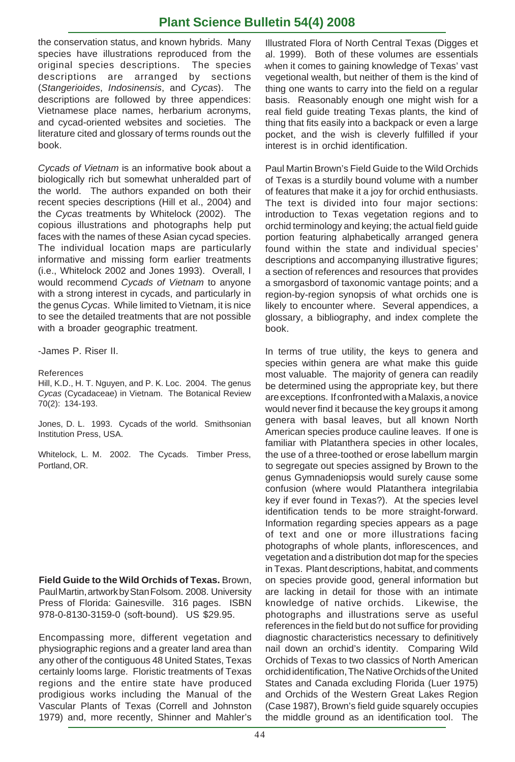## **Plant Science Bulletin 54(4) 2008**

the conservation status, and known hybrids. Many species have illustrations reproduced from the original species descriptions. The species descriptions are arranged by sections (*Stangerioides*, *Indosinensis*, and *Cycas*). The descriptions are followed by three appendices: Vietnamese place names, herbarium acronyms, and cycad-oriented websites and societies. The literature cited and glossary of terms rounds out the book.

*Cycads of Vietnam* is an informative book about a biologically rich but somewhat unheralded part of the world. The authors expanded on both their recent species descriptions (Hill et al., 2004) and the *Cycas* treatments by Whitelock (2002). The copious illustrations and photographs help put faces with the names of these Asian cycad species. The individual location maps are particularly informative and missing form earlier treatments (i.e., Whitelock 2002 and Jones 1993). Overall, I would recommend *Cycads of Vietnam* to anyone with a strong interest in cycads, and particularly in the genus *Cycas*. While limited to Vietnam, it is nice to see the detailed treatments that are not possible with a broader geographic treatment.

-James P. Riser II.

#### References

Hill, K.D., H. T. Nguyen, and P. K. Loc. 2004. The genus *Cycas* (Cycadaceae) in Vietnam. The Botanical Review 70(2): 134-193.

Jones, D. L. 1993. Cycads of the world. Smithsonian Institution Press, USA.

Whitelock, L. M. 2002. The Cycads. Timber Press, Portland, OR.

**Field Guide to the Wild Orchids of Texas.** Brown, Paul Martin, artwork by Stan Folsom. 2008. University Press of Florida: Gainesville. 316 pages. ISBN 978-0-8130-3159-0 (soft-bound). US \$29.95.

Encompassing more, different vegetation and physiographic regions and a greater land area than any other of the contiguous 48 United States, Texas certainly looms large. Floristic treatments of Texas regions and the entire state have produced prodigious works including the Manual of the Vascular Plants of Texas (Correll and Johnston 1979) and, more recently, Shinner and Mahler's

. when it comes to gaining knowledge of Texas' vast Illustrated Flora of North Central Texas (Digges et al. 1999). Both of these volumes are essentials vegetional wealth, but neither of them is the kind of thing one wants to carry into the field on a regular basis. Reasonably enough one might wish for a real field guide treating Texas plants, the kind of thing that fits easily into a backpack or even a large pocket, and the wish is cleverly fulfilled if your interest is in orchid identification.

Paul Martin Brown's Field Guide to the Wild Orchids of Texas is a sturdily bound volume with a number of features that make it a joy for orchid enthusiasts. The text is divided into four major sections: introduction to Texas vegetation regions and to orchid terminology and keying; the actual field guide portion featuring alphabetically arranged genera found within the state and individual species' descriptions and accompanying illustrative figures; a section of references and resources that provides a smorgasbord of taxonomic vantage points; and a region-by-region synopsis of what orchids one is likely to encounter where. Several appendices, a glossary, a bibliography, and index complete the book.

In terms of true utility, the keys to genera and species within genera are what make this guide most valuable. The majority of genera can readily be determined using the appropriate key, but there are exceptions. If confronted with a Malaxis, a novice would never find it because the key groups it among genera with basal leaves, but all known North American species produce cauline leaves. If one is familiar with Platanthera species in other locales, the use of a three-toothed or erose labellum margin to segregate out species assigned by Brown to the genus Gymnadeniopsis would surely cause some confusion (where would Platanthera integrilabia key if ever found in Texas?). At the species level identification tends to be more straight-forward. Information regarding species appears as a page of text and one or more illustrations facing photographs of whole plants, inflorescences, and vegetation and a distribution dot map for the species in Texas. Plant descriptions, habitat, and comments on species provide good, general information but are lacking in detail for those with an intimate knowledge of native orchids. Likewise, the photographs and illustrations serve as useful references in the field but do not suffice for providing diagnostic characteristics necessary to definitively nail down an orchid's identity. Comparing Wild Orchids of Texas to two classics of North American orchid identification, The Native Orchids of the United States and Canada excluding Florida (Luer 1975) and Orchids of the Western Great Lakes Region (Case 1987), Brown's field guide squarely occupies the middle ground as an identification tool. The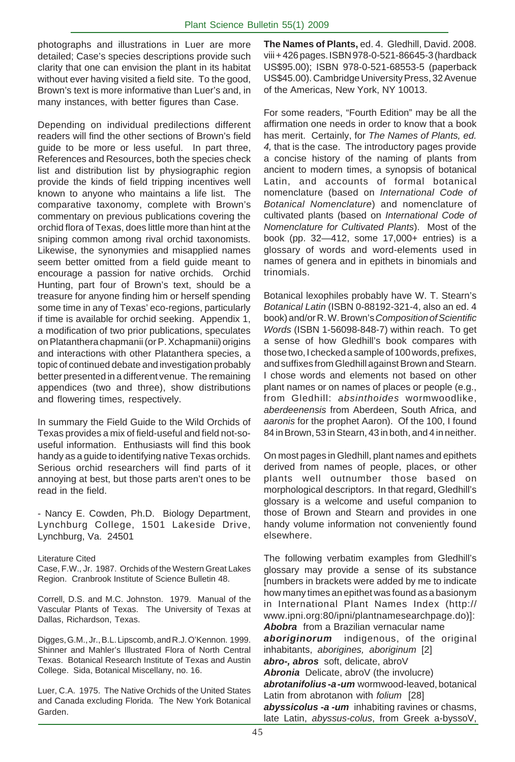photographs and illustrations in Luer are more detailed; Case's species descriptions provide such clarity that one can envision the plant in its habitat without ever having visited a field site. To the good, Brown's text is more informative than Luer's and, in many instances, with better figures than Case.

Depending on individual predilections different readers will find the other sections of Brown's field guide to be more or less useful. In part three, References and Resources, both the species check list and distribution list by physiographic region provide the kinds of field tripping incentives well known to anyone who maintains a life list. The comparative taxonomy, complete with Brown's commentary on previous publications covering the orchid flora of Texas, does little more than hint at the sniping common among rival orchid taxonomists. Likewise, the synonymies and misapplied names seem better omitted from a field guide meant to encourage a passion for native orchids. Orchid Hunting, part four of Brown's text, should be a treasure for anyone finding him or herself spending some time in any of Texas' eco-regions, particularly if time is available for orchid seeking. Appendix 1, a modification of two prior publications, speculates on Platanthera chapmanii (or P. Xchapmanii) origins and interactions with other Platanthera species, a topic of continued debate and investigation probably better presented in a different venue. The remaining appendices (two and three), show distributions and flowering times, respectively.

In summary the Field Guide to the Wild Orchids of Texas provides a mix of field-useful and field not-souseful information. Enthusiasts will find this book handy as a guide to identifying native Texas orchids. Serious orchid researchers will find parts of it annoying at best, but those parts aren't ones to be read in the field.

- Nancy E. Cowden, Ph.D. Biology Department, Lynchburg College, 1501 Lakeside Drive, Lynchburg, Va. 24501

#### Literature Cited

Case, F.W., Jr. 1987. Orchids of the Western Great Lakes Region. Cranbrook Institute of Science Bulletin 48.

Correll, D.S. and M.C. Johnston. 1979. Manual of the Vascular Plants of Texas. The University of Texas at Dallas, Richardson, Texas.

Digges, G.M., Jr., B.L. Lipscomb, and R.J. O'Kennon. 1999. Shinner and Mahler's Illustrated Flora of North Central Texas. Botanical Research Institute of Texas and Austin College. Sida, Botanical Miscellany, no. 16.

Luer, C.A. 1975. The Native Orchids of the United States and Canada excluding Florida. The New York Botanical Garden.

**The Names of Plants,** ed. 4. Gledhill, David. 2008. viii + 426 pages. ISBN 978-0-521-86645-3 (hardback US\$95.00); ISBN 978-0-521-68553-5 (paperback US\$45.00). Cambridge University Press, 32 Avenue of the Americas, New York, NY 10013.

For some readers, "Fourth Edition" may be all the affirmation one needs in order to know that a book has merit. Certainly, for *The Names of Plants, ed. 4,* that is the case. The introductory pages provide a concise history of the naming of plants from ancient to modern times, a synopsis of botanical Latin, and accounts of formal botanical nomenclature (based on *International Code of Botanical Nomenclature*) and nomenclature of cultivated plants (based on *International Code of Nomenclature for Cultivated Plants*). Most of the book (pp. 32—412, some 17,000+ entries) is a glossary of words and word-elements used in names of genera and in epithets in binomials and trinomials.

Botanical lexophiles probably have W. T. Stearn's *Botanical Latin* (ISBN 0-88192-321-4, also an ed. 4 book) and/or R. W. Brown's *Composition of Scientific Words* (ISBN 1-56098-848-7) within reach. To get a sense of how Gledhill's book compares with those two, I checked a sample of 100 words, prefixes, and suffixes from Gledhill against Brown and Stearn. I chose words and elements not based on other plant names or on names of places or people (e.g., from Gledhill: *absinthoides* wormwoodlike, *aberdeenensis* from Aberdeen, South Africa, and *aaronis* for the prophet Aaron). Of the 100, I found 84 in Brown, 53 in Stearn, 43 in both, and 4 in neither.

On most pages in Gledhill, plant names and epithets derived from names of people, places, or other plants well outnumber those based on morphological descriptors. In that regard, Gledhill's glossary is a welcome and useful companion to those of Brown and Stearn and provides in one handy volume information not conveniently found elsewhere.

The following verbatim examples from Gledhill's glossary may provide a sense of its substance [numbers in brackets were added by me to indicate how many times an epithet was found as a basionym in International Plant Names Index (http:// www.ipni.org:80/ipni/plantnamesearchpage.do)]: *Abobra* from a Brazilian vernacular name *aboriginorum* indigenous, of the original inhabitants, *aborigines, aboriginum* [2] *abro-, abros* soft, delicate, abroV *Abronia* Delicate, abroV (the involucre) *abrotanifolius -a -um* wormwood-leaved, botanical Latin from abrotanon with *folium* [28] *abyssicolus -a -um* inhabiting ravines or chasms, late Latin, *abyssus-colus*, from Greek a-byssoV,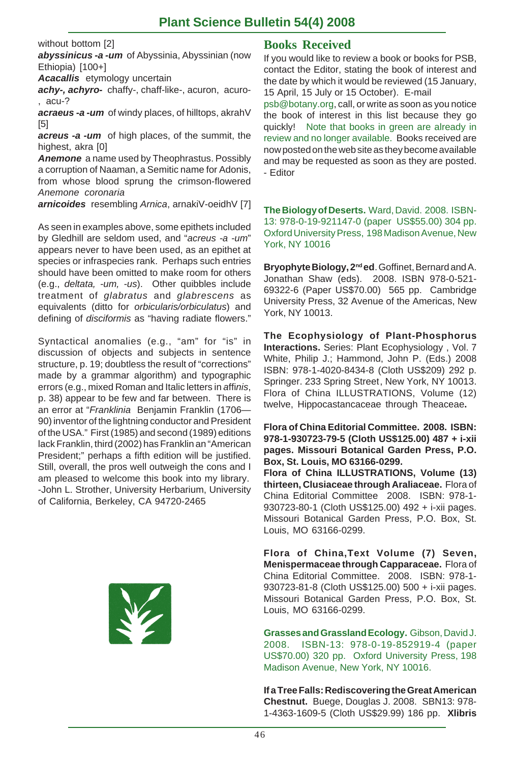## **Plant Science Bulletin 54(4) 2008**

without bottom [2]

*abyssinicus -a -um* of Abyssinia, Abyssinian (now Ethiopia) [100+]

*Acacallis* etymology uncertain

achy-, achyro- chaffy-, chaff-like-, acuron, acuro-, acu-?

*acraeus -a -um* of windy places, of hilltops, akrahV [5]

*acreus -a -um* of high places, of the summit, the highest, akra [0]

*Anemone* a name used by Theophrastus. Possibly a corruption of Naaman, a Semitic name for Adonis, from whose blood sprung the crimson-flowered *Anemone coronaria*

*arnicoides* resembling *Arnica*, arnakiV-oeidhV [7]

As seen in examples above, some epithets included by Gledhill are seldom used, and "*acreus -a -um*" appears never to have been used, as an epithet at species or infraspecies rank. Perhaps such entries should have been omitted to make room for others (e.g., *deltata, -um, -us*). Other quibbles include treatment of *glabratus* and *glabrescens* as equivalents (ditto for *orbicularis/orbiculatus*) and defining of *disciformis* as "having radiate flowers."

Syntactical anomalies (e.g., "am" for "is" in discussion of objects and subjects in sentence structure, p. 19; doubtless the result of "corrections" made by a grammar algorithm) and typographic errors (e.g., mixed Roman and Italic letters in *a*ffi*nis*, p. 38) appear to be few and far between. There is an error at "*Franklinia* Benjamin Franklin (1706— 90) inventor of the lightning conductor and President of the USA." First (1985) and second (1989) editions lack Franklin, third (2002) has Franklin an "American President;" perhaps a fifth edition will be justified. Still, overall, the pros well outweigh the cons and I am pleased to welcome this book into my library. -John L. Strother, University Herbarium, University of California, Berkeley, CA 94720-2465



### **Books Received**

If you would like to review a book or books for PSB, contact the Editor, stating the book of interest and the date by which it would be reviewed (15 January, 15 April, 15 July or 15 October). E-mail

psb@botany.org, call, or write as soon as you notice the book of interest in this list because they go quickly! Note that books in green are already in review and no longer available. Books received are now posted on the web site as they become available and may be requested as soon as they are posted. - Editor

**The Biology of Deserts.** Ward, David. 2008. ISBN-13: 978-0-19-921147-0 (paper US\$55.00) 304 pp. Oxford University Press, 198 Madison Avenue, New York, NY 10016

**Bryophyte Biology, 2nd ed**. Goffinet, Bernard and A. Jonathan Shaw (eds). 2008. ISBN 978-0-521- 69322-6 (Paper US\$70.00) 565 pp. Cambridge University Press, 32 Avenue of the Americas, New York, NY 10013.

**The Ecophysiology of Plant-Phosphorus Interactions.** Series: Plant Ecophysiology , Vol. 7 White, Philip J.; Hammond, John P. (Eds.) 2008 ISBN: 978-1-4020-8434-8 (Cloth US\$209) 292 p. Springer. 233 Spring Street, New York, NY 10013. Flora of China ILLUSTRATIONS, Volume (12) twelve, Hippocastancaceae through Theaceae**.**

**Flora of China Editorial Committee. 2008. ISBN: 978-1-930723-79-5 (Cloth US\$125.00) 487 + i-xii pages. Missouri Botanical Garden Press, P.O. Box, St. Louis, MO 63166-0299.**

**Flora of China ILLUSTRATIONS, Volume (13) thirteen, Clusiaceae through Araliaceae.** Flora of China Editorial Committee 2008. ISBN: 978-1- 930723-80-1 (Cloth US\$125.00) 492 + i-xii pages. Missouri Botanical Garden Press, P.O. Box, St. Louis, MO 63166-0299.

**Flora of China,Text Volume (7) Seven, Menispermaceae through Capparaceae.** Flora of China Editorial Committee. 2008. ISBN: 978-1- 930723-81-8 (Cloth US\$125.00) 500 + i-xii pages. Missouri Botanical Garden Press, P.O. Box, St. Louis, MO 63166-0299.

**Grasses and Grassland Ecology.** Gibson, David J. 2008. ISBN-13: 978-0-19-852919-4 (paper US\$70.00) 320 pp. Oxford University Press, 198 Madison Avenue, New York, NY 10016.

**If a Tree Falls: Rediscovering the Great American Chestnut.** Buege, Douglas J. 2008. SBN13: 978- 1-4363-1609-5 (Cloth US\$29.99) 186 pp. **Xlibris**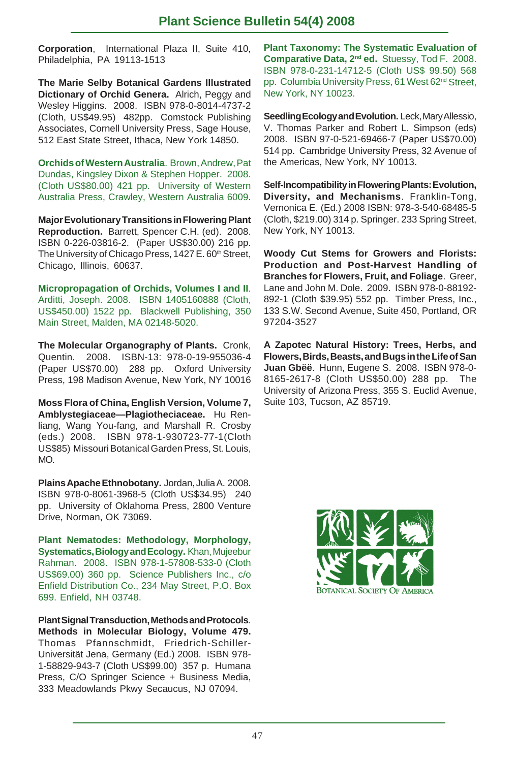**Corporation**, International Plaza II, Suite 410, Philadelphia, PA 19113-1513

**The Marie Selby Botanical Gardens Illustrated Dictionary of Orchid Genera.** Alrich, Peggy and Wesley Higgins. 2008. ISBN 978-0-8014-4737-2 (Cloth, US\$49.95) 482pp. Comstock Publishing Associates, Cornell University Press, Sage House, 512 East State Street, Ithaca, New York 14850.

**Orchids of Western Australia**. Brown, Andrew, Pat Dundas, Kingsley Dixon & Stephen Hopper. 2008. (Cloth US\$80.00) 421 pp. University of Western Australia Press, Crawley, Western Australia 6009.

**Major Evolutionary Transitions in Flowering Plant Reproduction.** Barrett, Spencer C.H. (ed). 2008. ISBN 0-226-03816-2. (Paper US\$30.00) 216 pp. The University of Chicago Press, 1427 E. 60<sup>th</sup> Street, Chicago, Illinois, 60637.

**Micropropagation of Orchids, Volumes I and II**. Arditti, Joseph. 2008. ISBN 1405160888 (Cloth, US\$450.00) 1522 pp. Blackwell Publishing, 350 Main Street, Malden, MA 02148-5020.

**The Molecular Organography of Plants.** Cronk, Quentin. 2008. ISBN-13: 978-0-19-955036-4 (Paper US\$70.00) 288 pp. Oxford University Press, 198 Madison Avenue, New York, NY 10016

**Moss Flora of China, English Version, Volume 7, Amblystegiaceae—Plagiotheciaceae.** Hu Renliang, Wang You-fang, and Marshall R. Crosby (eds.) 2008. ISBN 978-1-930723-77-1(Cloth US\$85) Missouri Botanical Garden Press, St. Louis, MO.

**Plains Apache Ethnobotany.** Jordan, Julia A. 2008. ISBN 978-0-8061-3968-5 (Cloth US\$34.95) 240 pp. University of Oklahoma Press, 2800 Venture Drive, Norman, OK 73069.

**Plant Nematodes: Methodology, Morphology, Systematics, Biology and Ecology.** Khan, Mujeebur Rahman. 2008. ISBN 978-1-57808-533-0 (Cloth US\$69.00) 360 pp. Science Publishers Inc., c/o Enfield Distribution Co., 234 May Street, P.O. Box 699. Enfield, NH 03748.

**Plant Signal Transduction, Methods and Protocols***.* **Methods in Molecular Biology, Volume 479.** Thomas Pfannschmidt, Friedrich-Schiller-Universität Jena, Germany (Ed.) 2008. ISBN 978- 1-58829-943-7 (Cloth US\$99.00) 357 p. Humana Press, C/O Springer Science + Business Media, 333 Meadowlands Pkwy Secaucus, NJ 07094.

**Plant Taxonomy: The Systematic Evaluation of Comparative Data, 2nd ed.** Stuessy, Tod F. 2008. ISBN 978-0-231-14712-5 (Cloth US\$ 99.50) 568 pp. Columbia University Press, 61 West 62<sup>nd</sup> Street, New York, NY 10023.

**Seedling Ecology and Evolution.** Leck, Mary Allessio, V. Thomas Parker and Robert L. Simpson (eds) 2008. ISBN 97-0-521-69466-7 (Paper US\$70.00) 514 pp. Cambridge University Press, 32 Avenue of the Americas, New York, NY 10013.

**Self-Incompatibility in Flowering Plants: Evolution, Diversity, and Mechanisms**. Franklin-Tong, Vernonica E. (Ed.) 2008 ISBN: 978-3-540-68485-5 (Cloth, \$219.00) 314 p. Springer. 233 Spring Street, New York, NY 10013.

**Woody Cut Stems for Growers and Florists: Production and Post-Harvest Handling of Branches for Flowers, Fruit, and Foliage**. Greer, Lane and John M. Dole. 2009. ISBN 978-0-88192- 892-1 (Cloth \$39.95) 552 pp. Timber Press, Inc., 133 S.W. Second Avenue, Suite 450, Portland, OR 97204-3527

**A Zapotec Natural History: Trees, Herbs, and Flowers, Birds, Beasts, and Bugs in the Life of San Juan Gbëë**. Hunn, Eugene S. 2008. ISBN 978-0- 8165-2617-8 (Cloth US\$50.00) 288 pp. The University of Arizona Press, 355 S. Euclid Avenue, Suite 103, Tucson, AZ 85719.